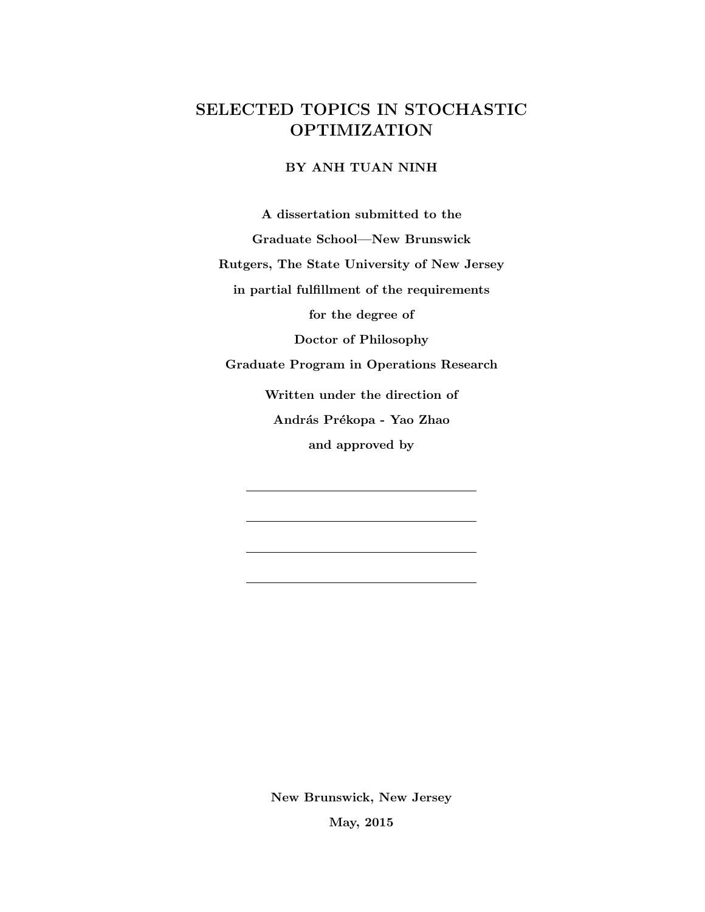## SELECTED TOPICS IN STOCHASTIC OPTIMIZATION

BY ANH TUAN NINH

A dissertation submitted to the

Graduate School—New Brunswick

Rutgers, The State University of New Jersey

in partial fulfillment of the requirements

for the degree of

Doctor of Philosophy

Graduate Program in Operations Research

Written under the direction of András Prékopa - Yao Zhao and approved by

New Brunswick, New Jersey

May, 2015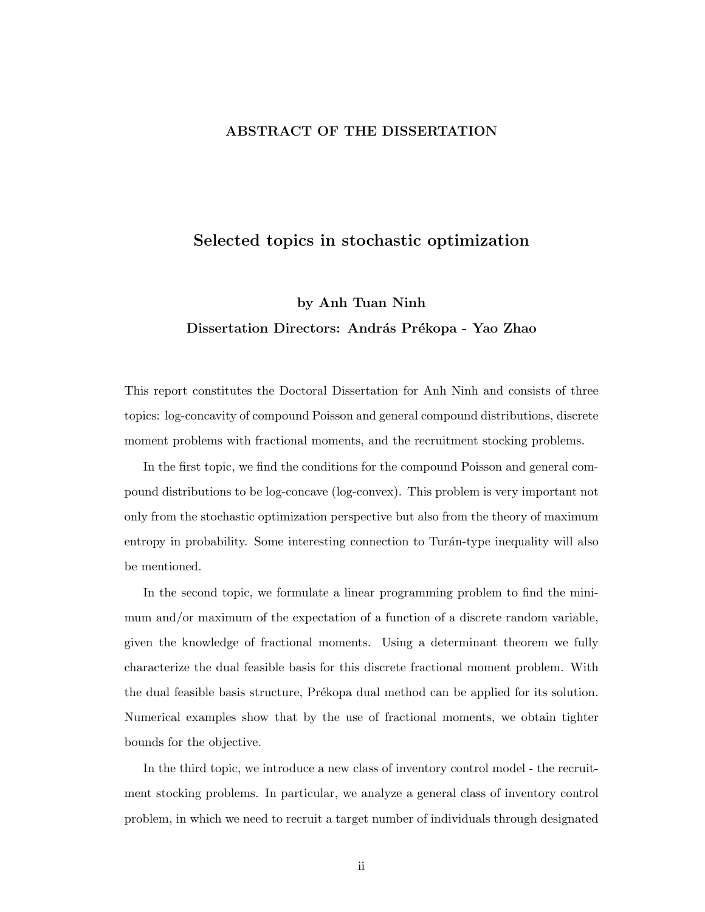#### ABSTRACT OF THE DISSERTATION

### Selected topics in stochastic optimization

# by Anh Tuan Ninh Dissertation Directors: András Prékopa - Yao Zhao

This report constitutes the Doctoral Dissertation for Anh Ninh and consists of three topics: log-concavity of compound Poisson and general compound distributions, discrete moment problems with fractional moments, and the recruitment stocking problems.

In the first topic, we find the conditions for the compound Poisson and general compound distributions to be log-concave (log-convex). This problem is very important not only from the stochastic optimization perspective but also from the theory of maximum entropy in probability. Some interesting connection to Turán-type inequality will also be mentioned.

In the second topic, we formulate a linear programming problem to find the minimum and/or maximum of the expectation of a function of a discrete random variable, given the knowledge of fractional moments. Using a determinant theorem we fully characterize the dual feasible basis for this discrete fractional moment problem. With the dual feasible basis structure, Prékopa dual method can be applied for its solution. Numerical examples show that by the use of fractional moments, we obtain tighter bounds for the objective.

In the third topic, we introduce a new class of inventory control model - the recruitment stocking problems. In particular, we analyze a general class of inventory control problem, in which we need to recruit a target number of individuals through designated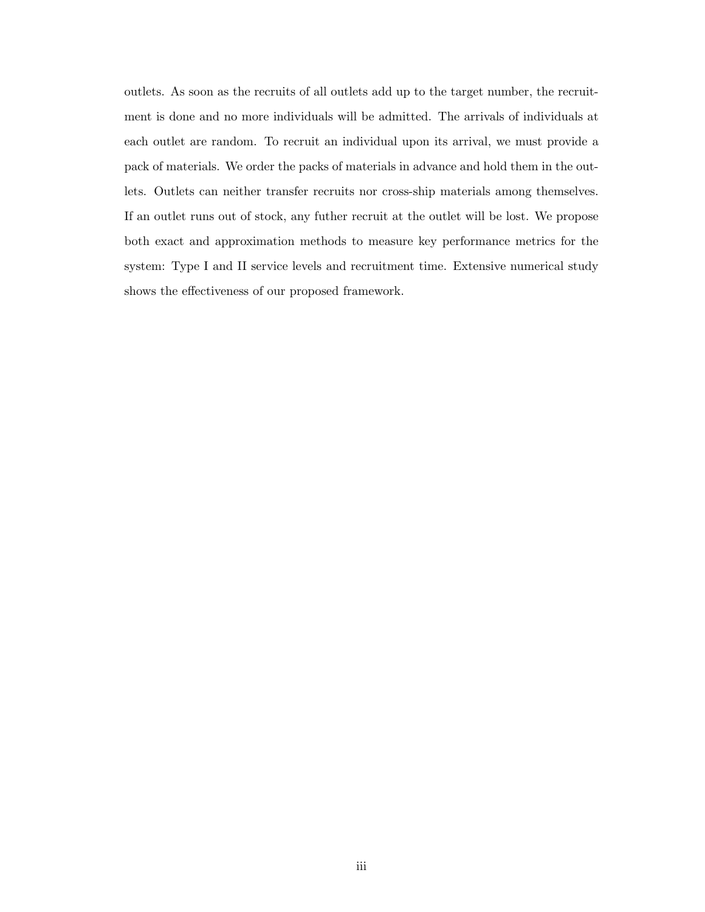outlets. As soon as the recruits of all outlets add up to the target number, the recruitment is done and no more individuals will be admitted. The arrivals of individuals at each outlet are random. To recruit an individual upon its arrival, we must provide a pack of materials. We order the packs of materials in advance and hold them in the outlets. Outlets can neither transfer recruits nor cross-ship materials among themselves. If an outlet runs out of stock, any futher recruit at the outlet will be lost. We propose both exact and approximation methods to measure key performance metrics for the system: Type I and II service levels and recruitment time. Extensive numerical study shows the effectiveness of our proposed framework.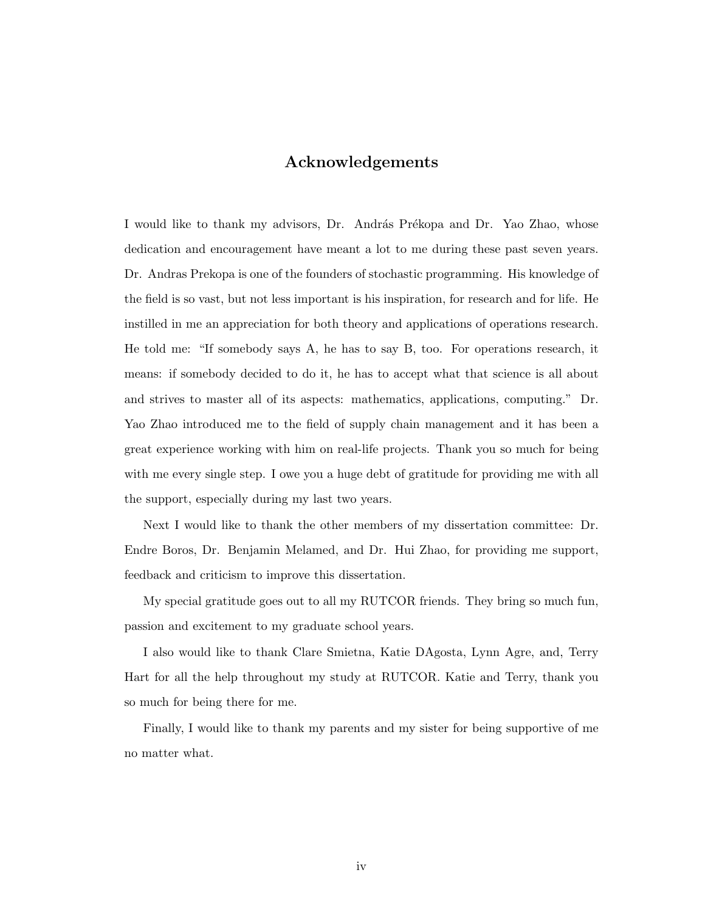### Acknowledgements

I would like to thank my advisors, Dr. András Prékopa and Dr. Yao Zhao, whose dedication and encouragement have meant a lot to me during these past seven years. Dr. Andras Prekopa is one of the founders of stochastic programming. His knowledge of the field is so vast, but not less important is his inspiration, for research and for life. He instilled in me an appreciation for both theory and applications of operations research. He told me: "If somebody says A, he has to say B, too. For operations research, it means: if somebody decided to do it, he has to accept what that science is all about and strives to master all of its aspects: mathematics, applications, computing." Dr. Yao Zhao introduced me to the field of supply chain management and it has been a great experience working with him on real-life projects. Thank you so much for being with me every single step. I owe you a huge debt of gratitude for providing me with all the support, especially during my last two years.

Next I would like to thank the other members of my dissertation committee: Dr. Endre Boros, Dr. Benjamin Melamed, and Dr. Hui Zhao, for providing me support, feedback and criticism to improve this dissertation.

My special gratitude goes out to all my RUTCOR friends. They bring so much fun, passion and excitement to my graduate school years.

I also would like to thank Clare Smietna, Katie DAgosta, Lynn Agre, and, Terry Hart for all the help throughout my study at RUTCOR. Katie and Terry, thank you so much for being there for me.

Finally, I would like to thank my parents and my sister for being supportive of me no matter what.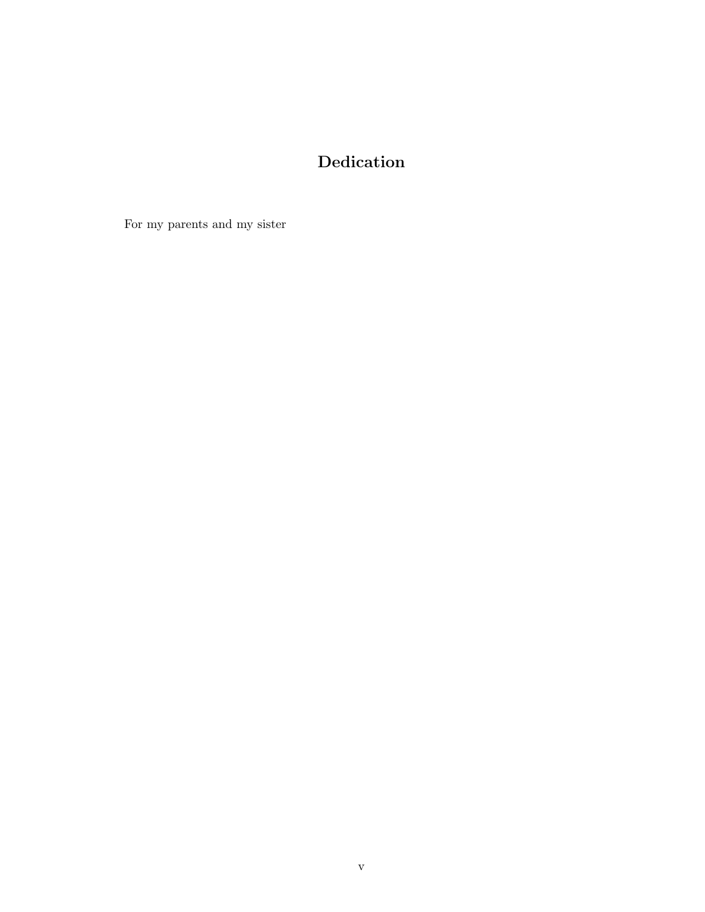# Dedication

For my parents and my sister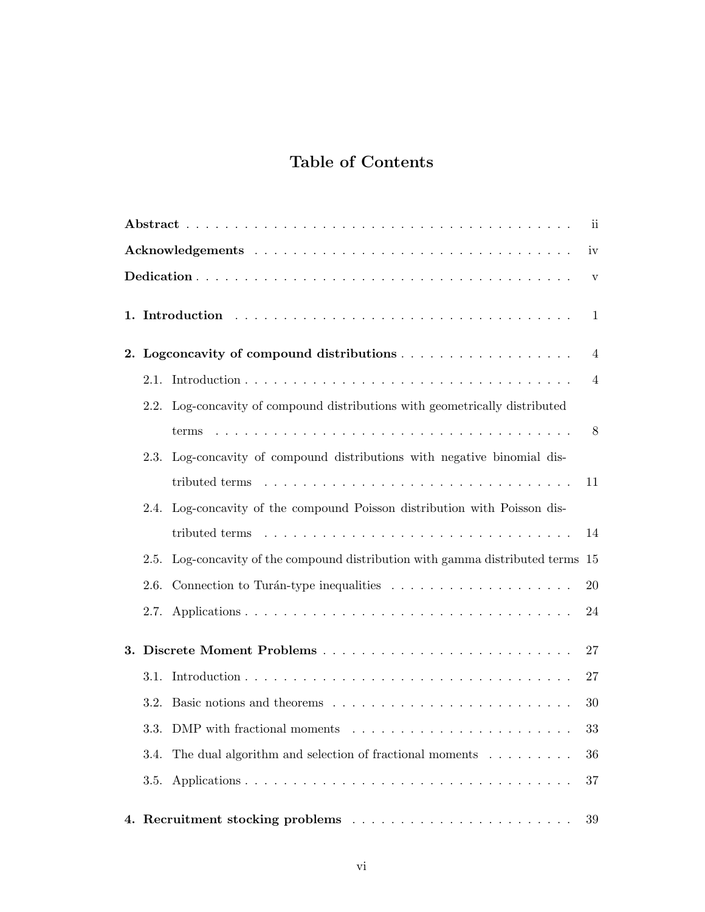# Table of Contents

| $\overline{\mathbf{u}}$ |              |                                                                             |                |  |  |  |
|-------------------------|--------------|-----------------------------------------------------------------------------|----------------|--|--|--|
|                         | iv           |                                                                             |                |  |  |  |
|                         | $\mathbf{V}$ |                                                                             |                |  |  |  |
|                         |              |                                                                             |                |  |  |  |
|                         |              |                                                                             | $\overline{4}$ |  |  |  |
|                         |              |                                                                             | $\overline{4}$ |  |  |  |
|                         |              | 2.2. Log-concavity of compound distributions with geometrically distributed |                |  |  |  |
|                         |              |                                                                             | 8              |  |  |  |
|                         |              | 2.3. Log-concavity of compound distributions with negative binomial dis-    |                |  |  |  |
|                         |              |                                                                             | 11             |  |  |  |
|                         |              | 2.4. Log-concavity of the compound Poisson distribution with Poisson dis-   |                |  |  |  |
|                         |              |                                                                             | 14             |  |  |  |
|                         | 2.5.         | Log-concavity of the compound distribution with gamma distributed terms 15  |                |  |  |  |
|                         | 2.6.         |                                                                             | 20             |  |  |  |
|                         | 2.7.         |                                                                             | 24             |  |  |  |
|                         |              |                                                                             | 27             |  |  |  |
|                         |              |                                                                             | 27             |  |  |  |
|                         | 3.2.         |                                                                             | 30             |  |  |  |
|                         |              | 3.3. DMP with fractional moments                                            | 33             |  |  |  |
|                         | 3.4.         | The dual algorithm and selection of fractional moments                      | 36             |  |  |  |
|                         | 3.5.         |                                                                             | 37             |  |  |  |
|                         |              |                                                                             | $39\,$         |  |  |  |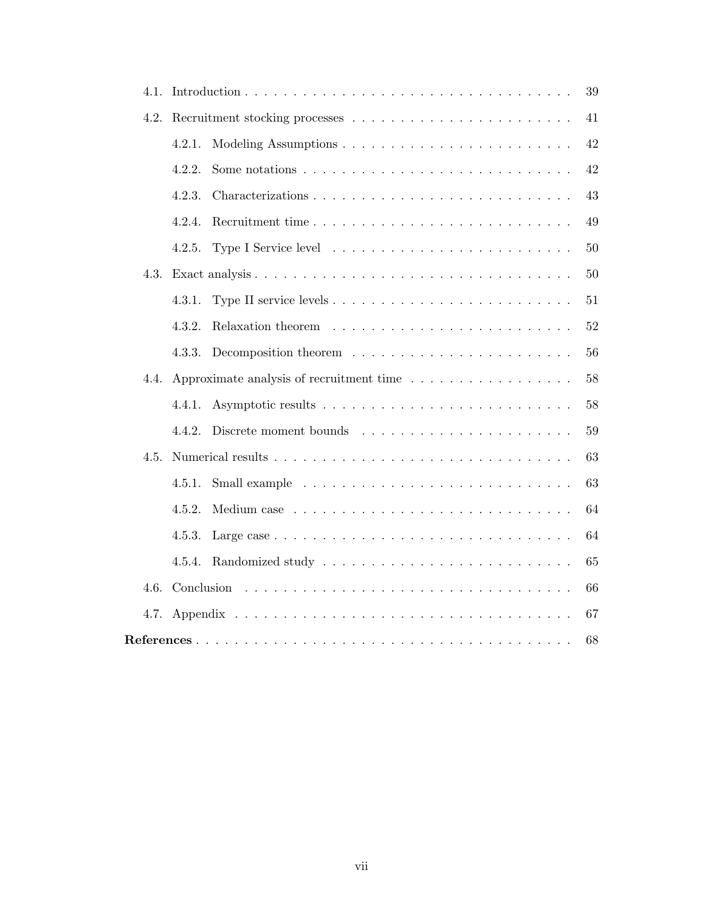|      |        |                                                                                        | 39 |  |  |  |
|------|--------|----------------------------------------------------------------------------------------|----|--|--|--|
| 4.2. |        |                                                                                        | 41 |  |  |  |
|      | 4.2.1. |                                                                                        | 42 |  |  |  |
|      | 4.2.2. | Some notations $\ldots \ldots \ldots \ldots \ldots \ldots \ldots \ldots \ldots \ldots$ | 42 |  |  |  |
|      | 4.2.3. |                                                                                        | 43 |  |  |  |
|      | 4.2.4. | Recruitment time                                                                       | 49 |  |  |  |
|      | 4.2.5. |                                                                                        | 50 |  |  |  |
|      |        |                                                                                        | 50 |  |  |  |
|      | 4.3.1. |                                                                                        | 51 |  |  |  |
|      | 4.3.2. |                                                                                        | 52 |  |  |  |
|      | 4.3.3. |                                                                                        | 56 |  |  |  |
| 4.4. |        | Approximate analysis of recruitment time                                               | 58 |  |  |  |
|      | 4.4.1. |                                                                                        | 58 |  |  |  |
|      | 4.4.2. |                                                                                        | 59 |  |  |  |
| 4.5. |        |                                                                                        | 63 |  |  |  |
|      | 4.5.1. |                                                                                        | 63 |  |  |  |
|      | 4.5.2. |                                                                                        | 64 |  |  |  |
|      | 4.5.3. |                                                                                        | 64 |  |  |  |
|      | 4.5.4. |                                                                                        | 65 |  |  |  |
| 4.6. |        |                                                                                        | 66 |  |  |  |
|      |        |                                                                                        | 67 |  |  |  |
| 68   |        |                                                                                        |    |  |  |  |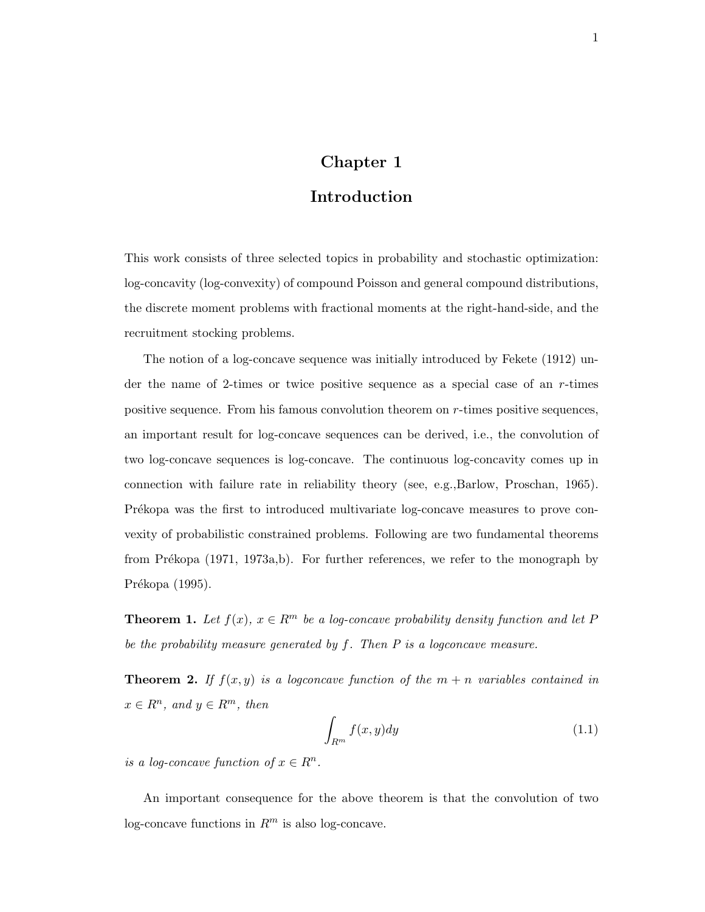### Chapter 1

### Introduction

This work consists of three selected topics in probability and stochastic optimization: log-concavity (log-convexity) of compound Poisson and general compound distributions, the discrete moment problems with fractional moments at the right-hand-side, and the recruitment stocking problems.

The notion of a log-concave sequence was initially introduced by Fekete (1912) under the name of 2-times or twice positive sequence as a special case of an r-times positive sequence. From his famous convolution theorem on r-times positive sequences, an important result for log-concave sequences can be derived, i.e., the convolution of two log-concave sequences is log-concave. The continuous log-concavity comes up in connection with failure rate in reliability theory (see, e.g.,Barlow, Proschan, 1965). Prékopa was the first to introduced multivariate log-concave measures to prove convexity of probabilistic constrained problems. Following are two fundamental theorems from Prékopa (1971, 1973a,b). For further references, we refer to the monograph by Prékopa (1995).

**Theorem 1.** Let  $f(x)$ ,  $x \in \mathbb{R}^m$  be a log-concave probability density function and let P be the probability measure generated by  $f$ . Then  $P$  is a logconcave measure.

**Theorem 2.** If  $f(x, y)$  is a logconcave function of the  $m + n$  variables contained in  $x \in R^n$ , and  $y \in R^m$ , then

$$
\int_{R^m} f(x, y) dy \tag{1.1}
$$

is a log-concave function of  $x \in R^n$ .

An important consequence for the above theorem is that the convolution of two log-concave functions in  $R^m$  is also log-concave.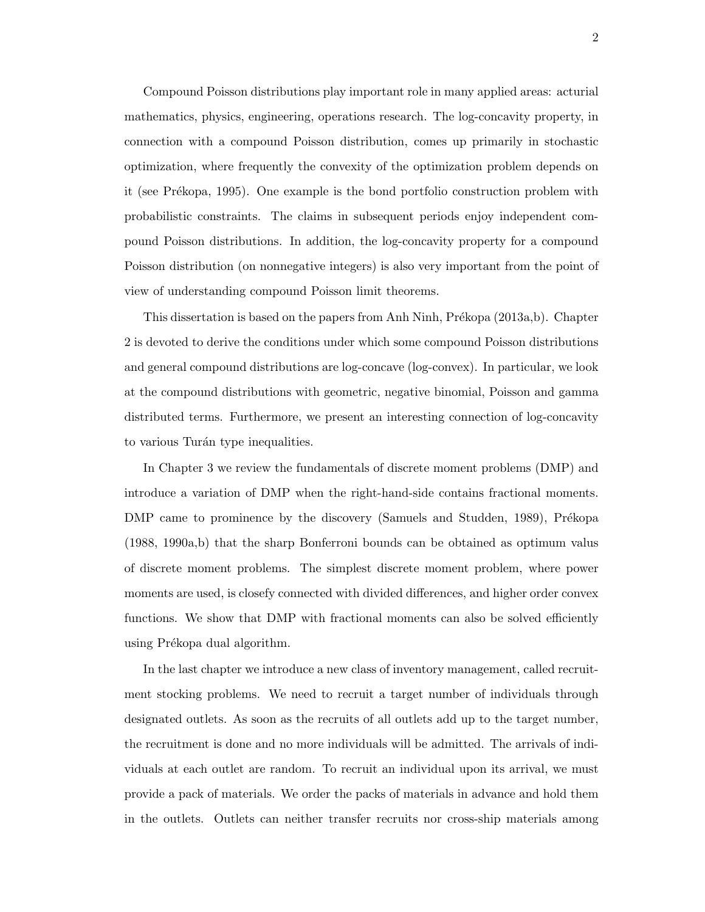Compound Poisson distributions play important role in many applied areas: acturial mathematics, physics, engineering, operations research. The log-concavity property, in connection with a compound Poisson distribution, comes up primarily in stochastic optimization, where frequently the convexity of the optimization problem depends on it (see Prékopa, 1995). One example is the bond portfolio construction problem with probabilistic constraints. The claims in subsequent periods enjoy independent compound Poisson distributions. In addition, the log-concavity property for a compound Poisson distribution (on nonnegative integers) is also very important from the point of view of understanding compound Poisson limit theorems.

This dissertation is based on the papers from Anh Ninh, Prékopa (2013a,b). Chapter 2 is devoted to derive the conditions under which some compound Poisson distributions and general compound distributions are log-concave (log-convex). In particular, we look at the compound distributions with geometric, negative binomial, Poisson and gamma distributed terms. Furthermore, we present an interesting connection of log-concavity to various Turán type inequalities.

In Chapter 3 we review the fundamentals of discrete moment problems (DMP) and introduce a variation of DMP when the right-hand-side contains fractional moments. DMP came to prominence by the discovery (Samuels and Studden, 1989), Prékopa (1988, 1990a,b) that the sharp Bonferroni bounds can be obtained as optimum valus of discrete moment problems. The simplest discrete moment problem, where power moments are used, is closefy connected with divided differences, and higher order convex functions. We show that DMP with fractional moments can also be solved efficiently using Prékopa dual algorithm.

In the last chapter we introduce a new class of inventory management, called recruitment stocking problems. We need to recruit a target number of individuals through designated outlets. As soon as the recruits of all outlets add up to the target number, the recruitment is done and no more individuals will be admitted. The arrivals of individuals at each outlet are random. To recruit an individual upon its arrival, we must provide a pack of materials. We order the packs of materials in advance and hold them in the outlets. Outlets can neither transfer recruits nor cross-ship materials among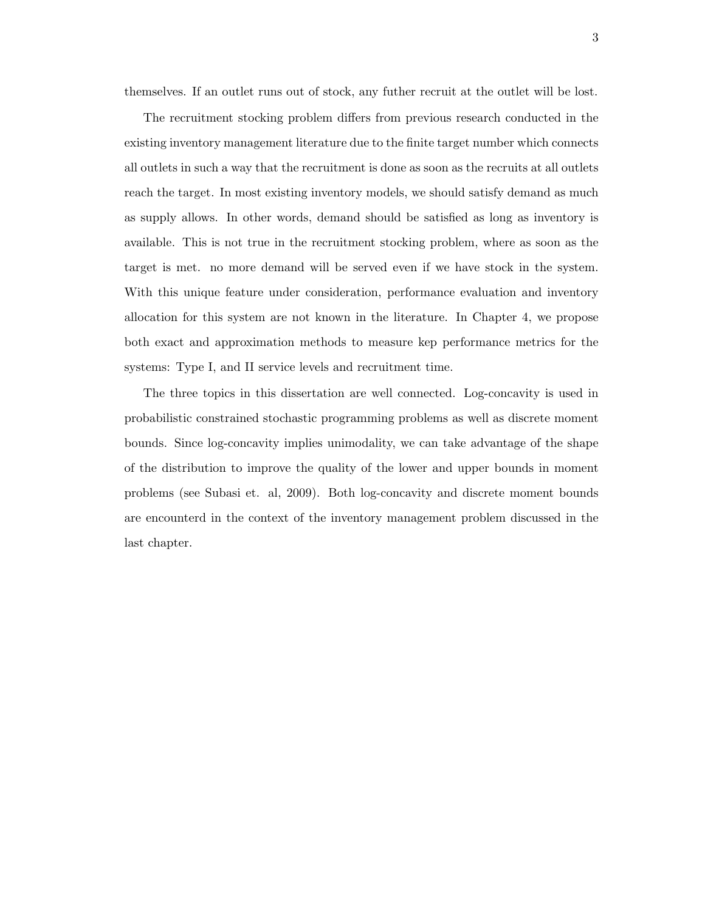themselves. If an outlet runs out of stock, any futher recruit at the outlet will be lost.

The recruitment stocking problem differs from previous research conducted in the existing inventory management literature due to the finite target number which connects all outlets in such a way that the recruitment is done as soon as the recruits at all outlets reach the target. In most existing inventory models, we should satisfy demand as much as supply allows. In other words, demand should be satisfied as long as inventory is available. This is not true in the recruitment stocking problem, where as soon as the target is met. no more demand will be served even if we have stock in the system. With this unique feature under consideration, performance evaluation and inventory allocation for this system are not known in the literature. In Chapter 4, we propose both exact and approximation methods to measure kep performance metrics for the systems: Type I, and II service levels and recruitment time.

The three topics in this dissertation are well connected. Log-concavity is used in probabilistic constrained stochastic programming problems as well as discrete moment bounds. Since log-concavity implies unimodality, we can take advantage of the shape of the distribution to improve the quality of the lower and upper bounds in moment problems (see Subasi et. al, 2009). Both log-concavity and discrete moment bounds are encounterd in the context of the inventory management problem discussed in the last chapter.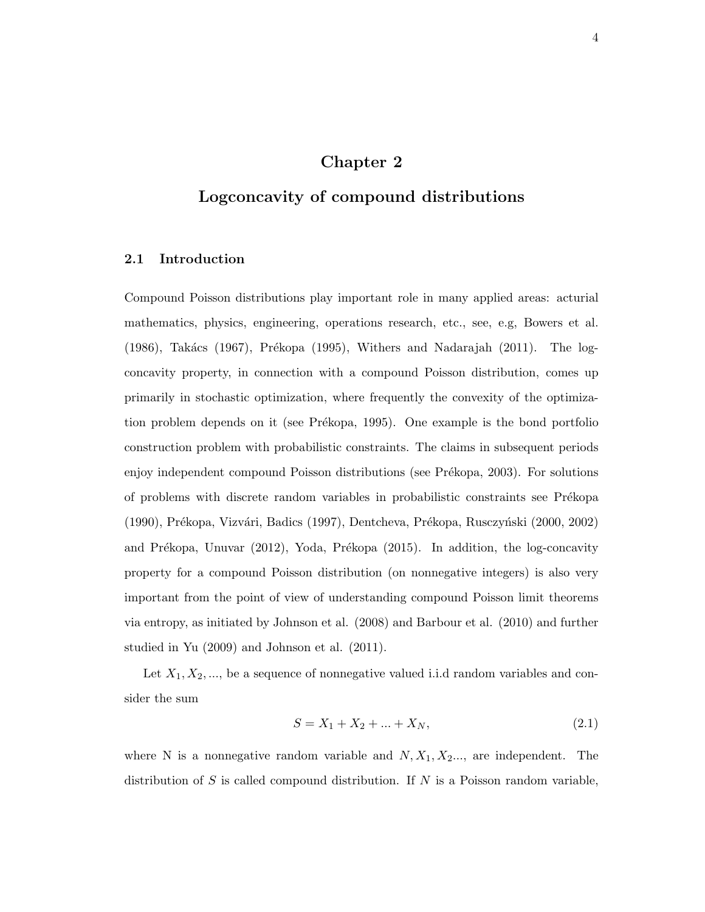### Chapter 2

### Logconcavity of compound distributions

#### 2.1 Introduction

Compound Poisson distributions play important role in many applied areas: acturial mathematics, physics, engineering, operations research, etc., see, e.g, Bowers et al.  $(1986)$ , Takács  $(1967)$ , Prékopa  $(1995)$ , Withers and Nadarajah  $(2011)$ . The logconcavity property, in connection with a compound Poisson distribution, comes up primarily in stochastic optimization, where frequently the convexity of the optimization problem depends on it (see Prékopa, 1995). One example is the bond portfolio construction problem with probabilistic constraints. The claims in subsequent periods enjoy independent compound Poisson distributions (see Prékopa, 2003). For solutions of problems with discrete random variables in probabilistic constraints see Prékopa (1990), Prékopa, Vizvári, Badics (1997), Dentcheva, Prékopa, Rusczyński (2000, 2002) and Prékopa, Unuvar (2012), Yoda, Prékopa (2015). In addition, the log-concavity property for a compound Poisson distribution (on nonnegative integers) is also very important from the point of view of understanding compound Poisson limit theorems via entropy, as initiated by Johnson et al. (2008) and Barbour et al. (2010) and further studied in Yu (2009) and Johnson et al. (2011).

Let  $X_1, X_2, \ldots$ , be a sequence of nonnegative valued i.i.d random variables and consider the sum

$$
S = X_1 + X_2 + \dots + X_N,\tag{2.1}
$$

where N is a nonnegative random variable and  $N, X_1, X_2, \ldots$ , are independent. The distribution of S is called compound distribution. If  $N$  is a Poisson random variable,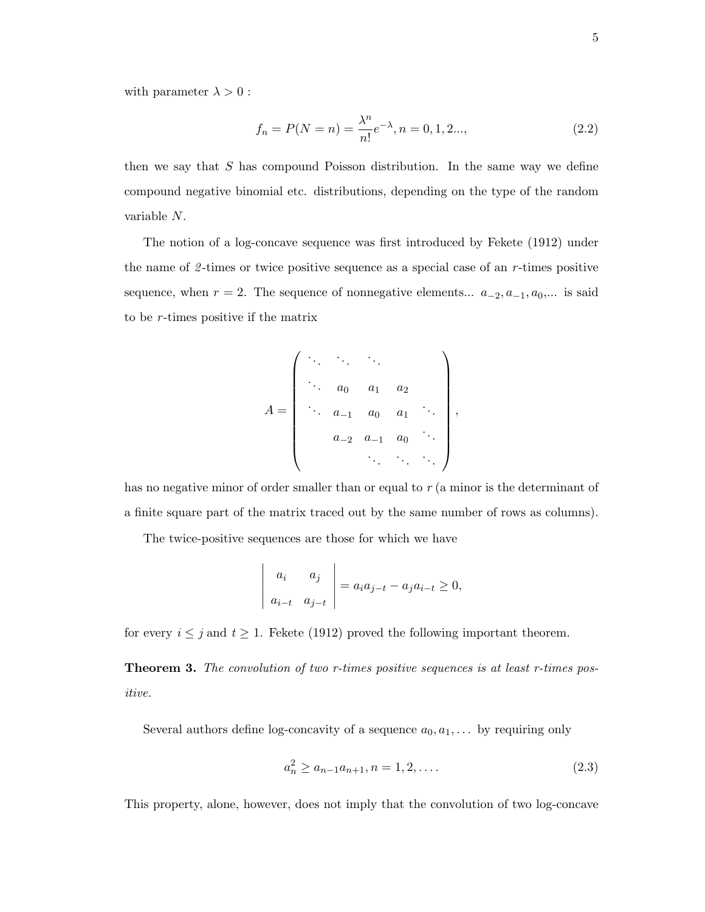with parameter  $\lambda > 0$ :

$$
f_n = P(N = n) = \frac{\lambda^n}{n!} e^{-\lambda}, n = 0, 1, 2..., \tag{2.2}
$$

then we say that S has compound Poisson distribution. In the same way we define compound negative binomial etc. distributions, depending on the type of the random variable N.

The notion of a log-concave sequence was first introduced by Fekete (1912) under the name of  $\ell$ -times or twice positive sequence as a special case of an r-times positive sequence, when  $r = 2$ . The sequence of nonnegative elements...  $a_{-2}, a_{-1}, a_0,...$  is said to be  $r$ -times positive if the matrix

A = . . . . . . . . . . . . a<sup>0</sup> a<sup>1</sup> a<sup>2</sup> . . . a−<sup>1</sup> a<sup>0</sup> a<sup>1</sup> . . . a−<sup>2</sup> a−<sup>1</sup> a<sup>0</sup> . . . . . . . . . . . . ,

has no negative minor of order smaller than or equal to  $r$  (a minor is the determinant of a finite square part of the matrix traced out by the same number of rows as columns).

The twice-positive sequences are those for which we have

$$
\begin{vmatrix} a_i & a_j \\ a_{i-t} & a_{j-t} \end{vmatrix} = a_i a_{j-t} - a_j a_{i-t} \ge 0,
$$

for every  $i \leq j$  and  $t \geq 1$ . Fekete (1912) proved the following important theorem.

**Theorem 3.** The convolution of two r-times positive sequences is at least r-times positive.

Several authors define log-concavity of a sequence  $a_0, a_1, \ldots$  by requiring only

$$
a_n^2 \ge a_{n-1}a_{n+1}, n = 1, 2, \dots
$$
\n(2.3)

This property, alone, however, does not imply that the convolution of two log-concave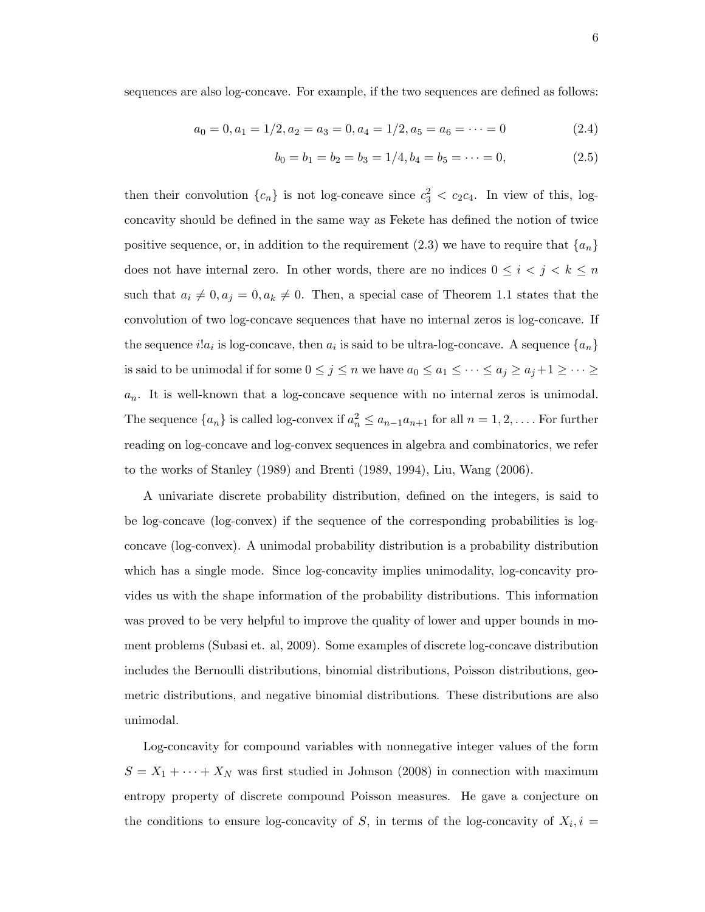sequences are also log-concave. For example, if the two sequences are defined as follows:

$$
a_0 = 0, a_1 = 1/2, a_2 = a_3 = 0, a_4 = 1/2, a_5 = a_6 = \dots = 0
$$
\n
$$
(2.4)
$$

$$
b_0 = b_1 = b_2 = b_3 = 1/4, b_4 = b_5 = \dots = 0,
$$
\n(2.5)

then their convolution  $\{c_n\}$  is not log-concave since  $c_3^2 < c_2c_4$ . In view of this, logconcavity should be defined in the same way as Fekete has defined the notion of twice positive sequence, or, in addition to the requirement  $(2.3)$  we have to require that  $\{a_n\}$ does not have internal zero. In other words, there are no indices  $0 \leq i \leq j \leq k \leq n$ such that  $a_i \neq 0, a_j = 0, a_k \neq 0$ . Then, a special case of Theorem 1.1 states that the convolution of two log-concave sequences that have no internal zeros is log-concave. If the sequence  $i!a_i$  is log-concave, then  $a_i$  is said to be ultra-log-concave. A sequence  $\{a_n\}$ is said to be unimodal if for some  $0 \le j \le n$  we have  $a_0 \le a_1 \le \cdots \le a_j \ge a_j + 1 \ge \cdots \ge$  $a_n$ . It is well-known that a log-concave sequence with no internal zeros is unimodal. The sequence  $\{a_n\}$  is called log-convex if  $a_n^2 \le a_{n-1}a_{n+1}$  for all  $n = 1, 2, \ldots$ . For further reading on log-concave and log-convex sequences in algebra and combinatorics, we refer to the works of Stanley (1989) and Brenti (1989, 1994), Liu, Wang (2006).

A univariate discrete probability distribution, defined on the integers, is said to be log-concave (log-convex) if the sequence of the corresponding probabilities is logconcave (log-convex). A unimodal probability distribution is a probability distribution which has a single mode. Since log-concavity implies unimodality, log-concavity provides us with the shape information of the probability distributions. This information was proved to be very helpful to improve the quality of lower and upper bounds in moment problems (Subasi et. al, 2009). Some examples of discrete log-concave distribution includes the Bernoulli distributions, binomial distributions, Poisson distributions, geometric distributions, and negative binomial distributions. These distributions are also unimodal.

Log-concavity for compound variables with nonnegative integer values of the form  $S = X_1 + \cdots + X_N$  was first studied in Johnson (2008) in connection with maximum entropy property of discrete compound Poisson measures. He gave a conjecture on the conditions to ensure log-concavity of S, in terms of the log-concavity of  $X_i, i =$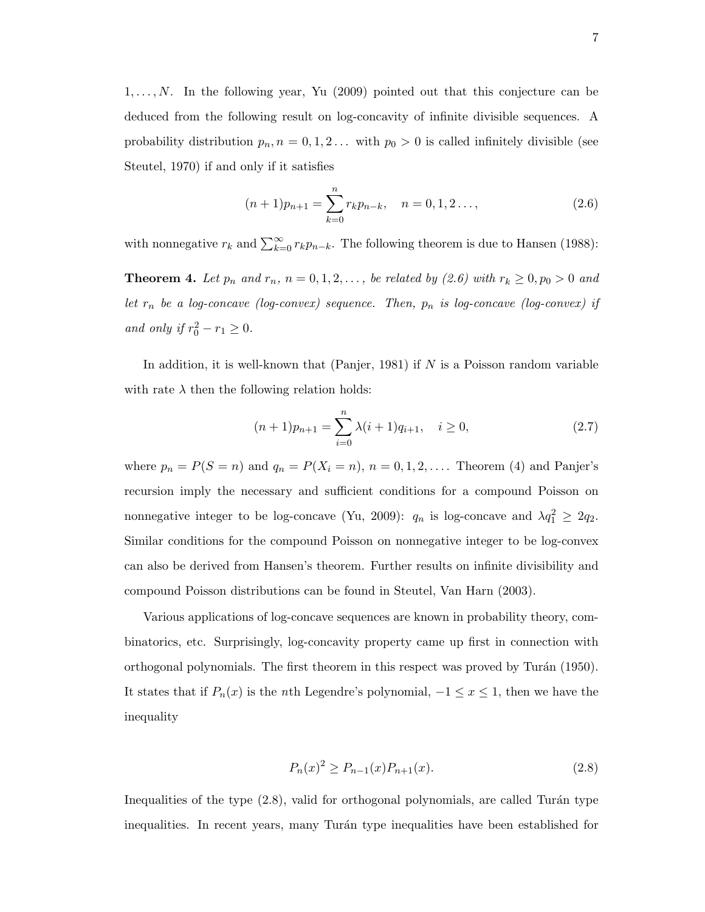$1, \ldots, N$ . In the following year, Yu (2009) pointed out that this conjecture can be deduced from the following result on log-concavity of infinite divisible sequences. A probability distribution  $p_n$ ,  $n = 0, 1, 2...$  with  $p_0 > 0$  is called infinitely divisible (see Steutel, 1970) if and only if it satisfies

$$
(n+1)p_{n+1} = \sum_{k=0}^{n} r_k p_{n-k}, \quad n = 0, 1, 2 \dots,
$$
 (2.6)

with nonnegative  $r_k$  and  $\sum_{k=0}^{\infty} r_k p_{n-k}$ . The following theorem is due to Hansen (1988):

**Theorem 4.** Let  $p_n$  and  $r_n$ ,  $n = 0, 1, 2, \ldots$ , be related by (2.6) with  $r_k \ge 0, p_0 > 0$  and let  $r_n$  be a log-concave (log-convex) sequence. Then,  $p_n$  is log-concave (log-convex) if and only if  $r_0^2 - r_1 \geq 0$ .

In addition, it is well-known that (Panjer, 1981) if  $N$  is a Poisson random variable with rate  $\lambda$  then the following relation holds:

$$
(n+1)p_{n+1} = \sum_{i=0}^{n} \lambda(i+1)q_{i+1}, \quad i \ge 0,
$$
\n(2.7)

where  $p_n = P(S = n)$  and  $q_n = P(X_i = n)$ ,  $n = 0, 1, 2, \ldots$  Theorem (4) and Panjer's recursion imply the necessary and sufficient conditions for a compound Poisson on nonnegative integer to be log-concave (Yu, 2009):  $q_n$  is log-concave and  $\lambda q_1^2 \geq 2q_2$ . Similar conditions for the compound Poisson on nonnegative integer to be log-convex can also be derived from Hansen's theorem. Further results on infinite divisibility and compound Poisson distributions can be found in Steutel, Van Harn (2003).

Various applications of log-concave sequences are known in probability theory, combinatorics, etc. Surprisingly, log-concavity property came up first in connection with orthogonal polynomials. The first theorem in this respect was proved by Turán (1950). It states that if  $P_n(x)$  is the *n*th Legendre's polynomial,  $-1 \le x \le 1$ , then we have the inequality

$$
P_n(x)^2 \ge P_{n-1}(x)P_{n+1}(x). \tag{2.8}
$$

Inequalities of the type  $(2.8)$ , valid for orthogonal polynomials, are called Turán type inequalities. In recent years, many Turán type inequalities have been established for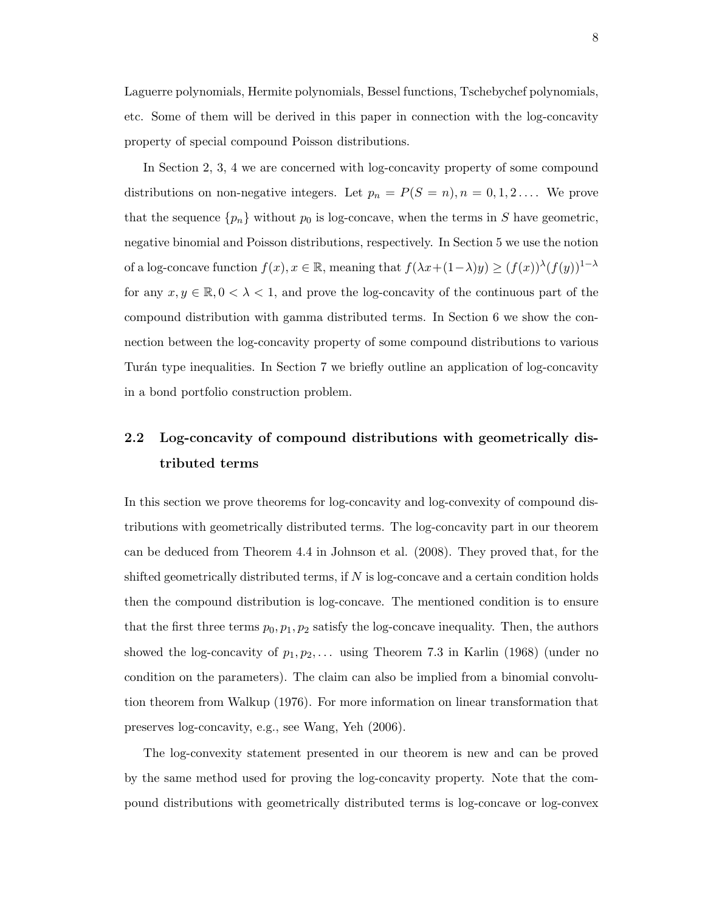Laguerre polynomials, Hermite polynomials, Bessel functions, Tschebychef polynomials, etc. Some of them will be derived in this paper in connection with the log-concavity property of special compound Poisson distributions.

In Section 2, 3, 4 we are concerned with log-concavity property of some compound distributions on non-negative integers. Let  $p_n = P(S = n), n = 0, 1, 2, \ldots$  We prove that the sequence  $\{p_n\}$  without  $p_0$  is log-concave, when the terms in S have geometric, negative binomial and Poisson distributions, respectively. In Section 5 we use the notion of a log-concave function  $f(x), x \in \mathbb{R}$ , meaning that  $f(\lambda x + (1-\lambda)y) \ge (f(x))^{\lambda} (f(y))^{1-\lambda}$ for any  $x, y \in \mathbb{R}, 0 < \lambda < 1$ , and prove the log-concavity of the continuous part of the compound distribution with gamma distributed terms. In Section 6 we show the connection between the log-concavity property of some compound distributions to various Turán type inequalities. In Section 7 we briefly outline an application of log-concavity in a bond portfolio construction problem.

## 2.2 Log-concavity of compound distributions with geometrically distributed terms

In this section we prove theorems for log-concavity and log-convexity of compound distributions with geometrically distributed terms. The log-concavity part in our theorem can be deduced from Theorem 4.4 in Johnson et al. (2008). They proved that, for the shifted geometrically distributed terms, if  $N$  is log-concave and a certain condition holds then the compound distribution is log-concave. The mentioned condition is to ensure that the first three terms  $p_0, p_1, p_2$  satisfy the log-concave inequality. Then, the authors showed the log-concavity of  $p_1, p_2, \ldots$  using Theorem 7.3 in Karlin (1968) (under no condition on the parameters). The claim can also be implied from a binomial convolution theorem from Walkup (1976). For more information on linear transformation that preserves log-concavity, e.g., see Wang, Yeh (2006).

The log-convexity statement presented in our theorem is new and can be proved by the same method used for proving the log-concavity property. Note that the compound distributions with geometrically distributed terms is log-concave or log-convex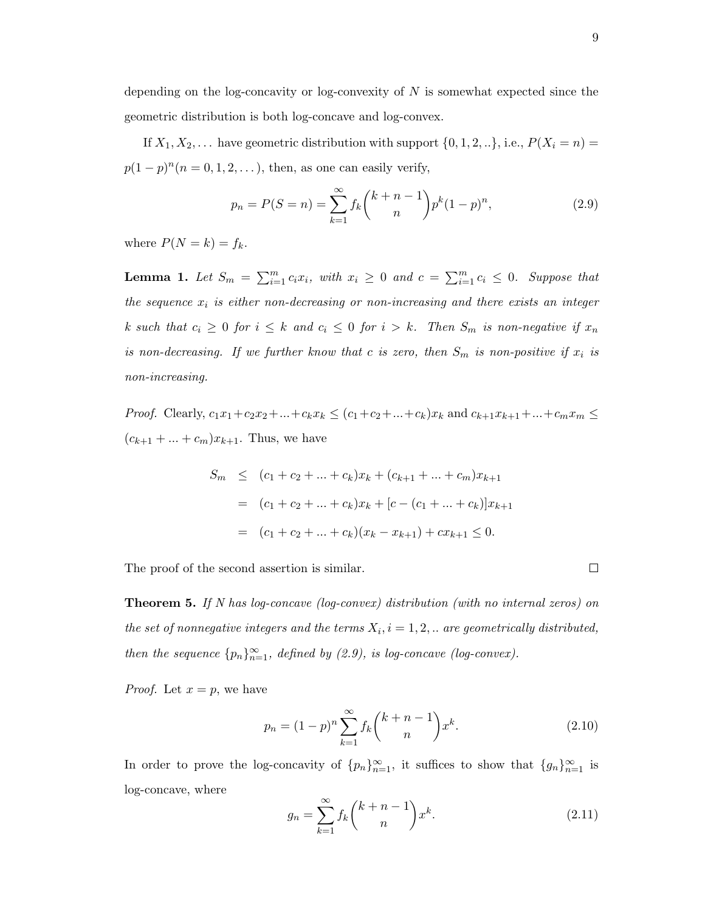depending on the log-concavity or log-convexity of  $N$  is somewhat expected since the geometric distribution is both log-concave and log-convex.

If  $X_1, X_2, \ldots$  have geometric distribution with support  $\{0, 1, 2, \ldots\}$ , i.e.,  $P(X_i = n) =$  $p(1-p)^n (n = 0, 1, 2, \ldots)$ , then, as one can easily verify,

$$
p_n = P(S = n) = \sum_{k=1}^{\infty} f_k {k+n-1 \choose n} p^k (1-p)^n,
$$
\n(2.9)

where  $P(N = k) = f_k$ .

**Lemma 1.** Let  $S_m = \sum_{i=1}^m c_i x_i$ , with  $x_i \geq 0$  and  $c = \sum_{i=1}^m c_i \leq 0$ . Suppose that the sequence  $x_i$  is either non-decreasing or non-increasing and there exists an integer k such that  $c_i \geq 0$  for  $i \leq k$  and  $c_i \leq 0$  for  $i > k$ . Then  $S_m$  is non-negative if  $x_n$ is non-decreasing. If we further know that c is zero, then  $S_m$  is non-positive if  $x_i$  is non-increasing.

*Proof.* Clearly,  $c_1x_1+c_2x_2+...+c_kx_k \le (c_1+c_2+...+c_k)x_k$  and  $c_{k+1}x_{k+1}+...+c_mx_m \le$  $(c_{k+1} + ... + c_m)x_{k+1}$ . Thus, we have

$$
S_m \le (c_1 + c_2 + \dots + c_k)x_k + (c_{k+1} + \dots + c_m)x_{k+1}
$$
  
=  $(c_1 + c_2 + \dots + c_k)x_k + [c - (c_1 + \dots + c_k)]x_{k+1}$   
=  $(c_1 + c_2 + \dots + c_k)(x_k - x_{k+1}) + cx_{k+1} \le 0.$ 

The proof of the second assertion is similar.

Theorem 5. If N has log-concave (log-convex) distribution (with no internal zeros) on the set of nonnegative integers and the terms  $X_i$ ,  $i = 1, 2, ...$  are geometrically distributed, then the sequence  $\{p_n\}_{n=1}^{\infty}$ , defined by (2.9), is log-concave (log-convex).

*Proof.* Let  $x = p$ , we have

$$
p_n = (1 - p)^n \sum_{k=1}^{\infty} f_k {k + n - 1 \choose n} x^k.
$$
 (2.10)

In order to prove the log-concavity of  $\{p_n\}_{n=1}^{\infty}$ , it suffices to show that  $\{g_n\}_{n=1}^{\infty}$  is log-concave, where

$$
g_n = \sum_{k=1}^{\infty} f_k \binom{k+n-1}{n} x^k.
$$
 (2.11)

 $\Box$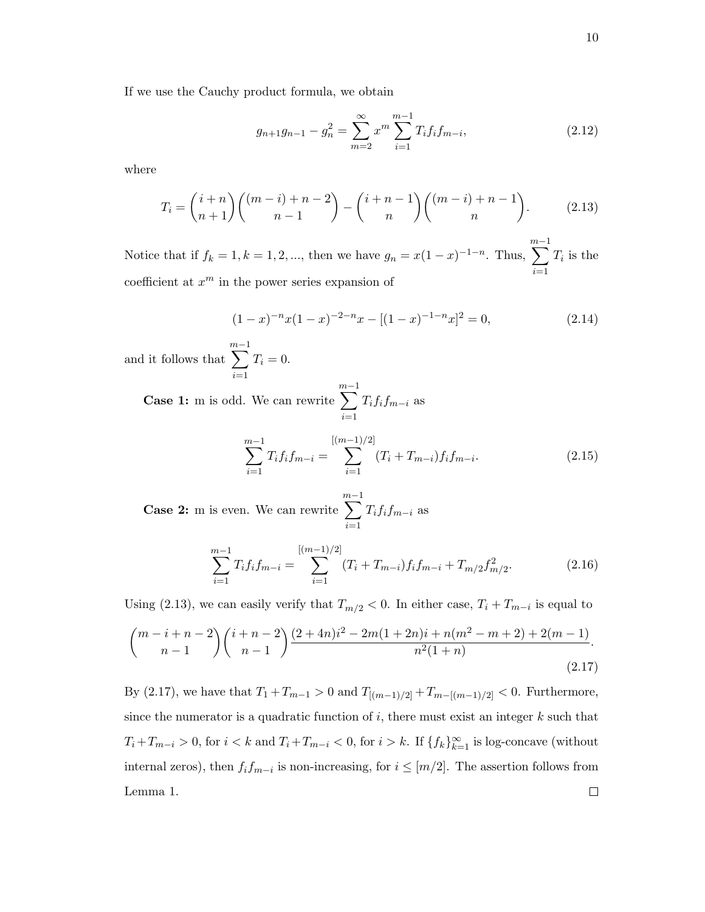$$
g_{n+1}g_{n-1} - g_n^2 = \sum_{m=2}^{\infty} x^m \sum_{i=1}^{m-1} T_i f_i f_{m-i},
$$
\n(2.12)

where

$$
T_i = {i+n \choose n+1} {m-i+n-2 \choose n-1} - {i+n-1 \choose n} {m-i+n-1 \choose n}.
$$
 (2.13)

Notice that if  $f_k = 1, k = 1, 2, ...,$  then we have  $g_n = x(1-x)^{-1-n}$ . Thus,  $\sum_{ }^{m-1}$  $i=1$  $T_i$  is the coefficient at  $x^m$  in the power series expansion of

$$
(1-x)^{-n}x(1-x)^{-2-n}x - [(1-x)^{-1-n}x]^2 = 0,
$$
\n(2.14)

and it follows that  $\sum^{m-1}$  $i=1$  $T_i = 0.$ 

> Case 1: m is odd. We can rewrite  $\sum^{m-1}$  $i=1$  $T_{i}f_{i}f_{m-i}$  as

$$
\sum_{i=1}^{m-1} T_i f_i f_{m-i} = \sum_{i=1}^{[(m-1)/2]} (T_i + T_{m-i}) f_i f_{m-i}.
$$
 (2.15)

Case 2: m is even. We can rewrite  $\sum^{m-1}$  $i=1$  $T_{i}f_{i}f_{m-i}$  as

$$
\sum_{i=1}^{m-1} T_i f_i f_{m-i} = \sum_{i=1}^{[(m-1)/2]} (T_i + T_{m-i}) f_i f_{m-i} + T_{m/2} f_{m/2}^2.
$$
 (2.16)

Using (2.13), we can easily verify that  $T_{m/2} < 0$ . In either case,  $T_i + T_{m-i}$  is equal to

$$
\binom{m-i+n-2}{n-1}\binom{i+n-2}{n-1}\frac{(2+4n)i^2-2m(1+2n)i+n(m^2-m+2)+2(m-1)}{n^2(1+n)}.
$$
\n(2.17)

By (2.17), we have that  $T_1 + T_{m-1} > 0$  and  $T_{[(m-1)/2]} + T_{m-[(m-1)/2]} < 0$ . Furthermore, since the numerator is a quadratic function of  $i$ , there must exist an integer  $k$  such that  $T_i+T_{m-i} > 0$ , for  $i < k$  and  $T_i+T_{m-i} < 0$ , for  $i > k$ . If  $\{f_k\}_{k=1}^{\infty}$  is log-concave (without internal zeros), then  $f_i f_{m-i}$  is non-increasing, for  $i \leq [m/2]$ . The assertion follows from  $\Box$ Lemma 1.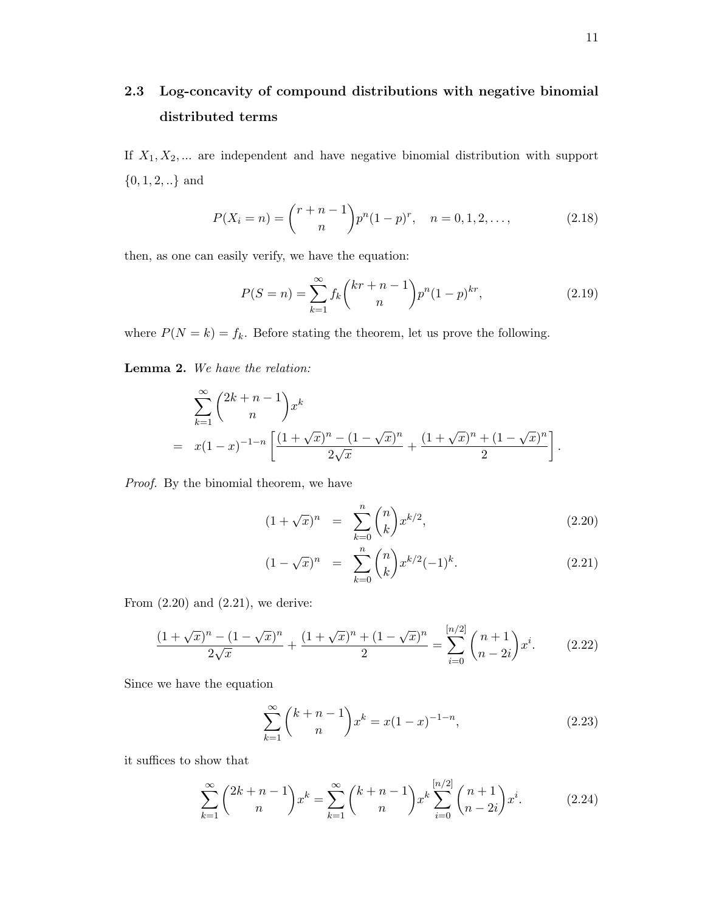## 2.3 Log-concavity of compound distributions with negative binomial distributed terms

If  $X_1, X_2, \ldots$  are independent and have negative binomial distribution with support  $\{0,1,2,..\}$  and

$$
P(X_i = n) = {r + n - 1 \choose n} p^n (1 - p)^r, \quad n = 0, 1, 2, \dots,
$$
 (2.18)

then, as one can easily verify, we have the equation:

$$
P(S = n) = \sum_{k=1}^{\infty} f_k {kr + n - 1 \choose n} p^n (1 - p)^{kr},
$$
\n(2.19)

where  $P(N = k) = f_k$ . Before stating the theorem, let us prove the following.

Lemma 2. We have the relation:

$$
\sum_{k=1}^{\infty} {2k+n-1 \choose n} x^k
$$
  
=  $x(1-x)^{-1-n} \left[ \frac{(1+\sqrt{x})^n - (1-\sqrt{x})^n}{2\sqrt{x}} + \frac{(1+\sqrt{x})^n + (1-\sqrt{x})^n}{2} \right].$ 

Proof. By the binomial theorem, we have

$$
(1 + \sqrt{x})^n = \sum_{k=0}^n \binom{n}{k} x^{k/2}, \tag{2.20}
$$

$$
(1 - \sqrt{x})^n = \sum_{k=0}^n \binom{n}{k} x^{k/2} (-1)^k.
$$
 (2.21)

From  $(2.20)$  and  $(2.21)$ , we derive:

$$
\frac{(1+\sqrt{x})^n - (1-\sqrt{x})^n}{2\sqrt{x}} + \frac{(1+\sqrt{x})^n + (1-\sqrt{x})^n}{2} = \sum_{i=0}^{[n/2]} \binom{n+1}{n-2i} x^i.
$$
 (2.22)

Since we have the equation

$$
\sum_{k=1}^{\infty} {k+n-1 \choose n} x^k = x(1-x)^{-1-n},
$$
\n(2.23)

it suffices to show that

$$
\sum_{k=1}^{\infty} {2k+n-1 \choose n} x^k = \sum_{k=1}^{\infty} {k+n-1 \choose n} x^k \sum_{i=0}^{[n/2]} {n+1 \choose n-2i} x^i.
$$
 (2.24)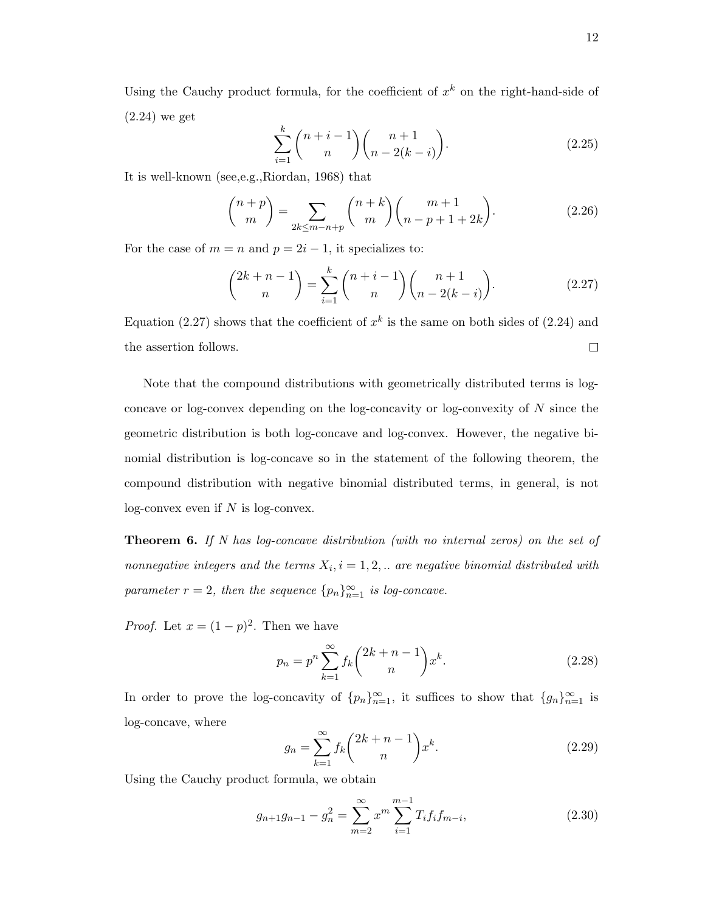Using the Cauchy product formula, for the coefficient of  $x^k$  on the right-hand-side of (2.24) we get

$$
\sum_{i=1}^{k} \binom{n+i-1}{n} \binom{n+1}{n-2(k-i)}.
$$
\n(2.25)

It is well-known (see,e.g.,Riordan, 1968) that

$$
\binom{n+p}{m} = \sum_{2k \le m-n+p} \binom{n+k}{m} \binom{m+1}{n-p+1+2k}.
$$
 (2.26)

For the case of  $m = n$  and  $p = 2i - 1$ , it specializes to:

$$
\binom{2k+n-1}{n} = \sum_{i=1}^{k} \binom{n+i-1}{n} \binom{n+1}{n-2(k-i)}.
$$
 (2.27)

Equation (2.27) shows that the coefficient of  $x^k$  is the same on both sides of (2.24) and the assertion follows.  $\Box$ 

Note that the compound distributions with geometrically distributed terms is logconcave or log-convex depending on the log-concavity or log-convexity of N since the geometric distribution is both log-concave and log-convex. However, the negative binomial distribution is log-concave so in the statement of the following theorem, the compound distribution with negative binomial distributed terms, in general, is not  $log$ -convex even if  $N$  is  $log$ -convex.

**Theorem 6.** If N has log-concave distribution (with no internal zeros) on the set of nonnegative integers and the terms  $X_i$ ,  $i = 1, 2, ...$  are negative binomial distributed with parameter  $r = 2$ , then the sequence  ${p_n}_{n=1}^{\infty}$  is log-concave.

*Proof.* Let  $x = (1 - p)^2$ . Then we have

$$
p_n = p^n \sum_{k=1}^{\infty} f_k {2k + n - 1 \choose n} x^k.
$$
 (2.28)

In order to prove the log-concavity of  $\{p_n\}_{n=1}^{\infty}$ , it suffices to show that  $\{g_n\}_{n=1}^{\infty}$  is log-concave, where

$$
g_n = \sum_{k=1}^{\infty} f_k {2k+n-1 \choose n} x^k.
$$
 (2.29)

Using the Cauchy product formula, we obtain

$$
g_{n+1}g_{n-1} - g_n^2 = \sum_{m=2}^{\infty} x^m \sum_{i=1}^{m-1} T_i f_i f_{m-i},
$$
\n(2.30)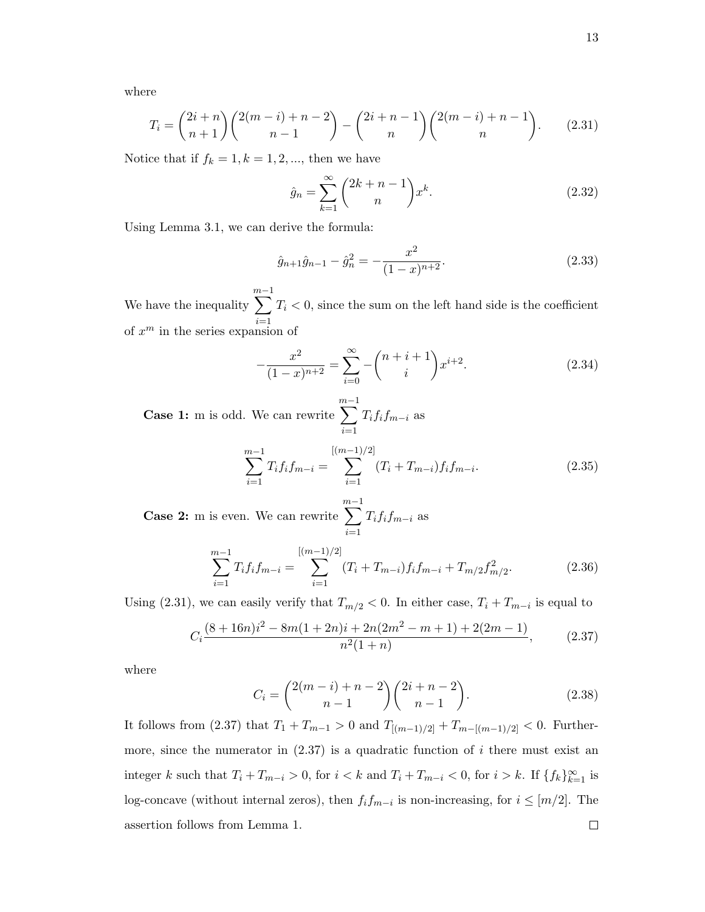where

$$
T_i = {2i+n \choose n+1} {2(m-i)+n-2 \choose n-1} - {2i+n-1 \choose n} {2(m-i)+n-1 \choose n}.
$$
 (2.31)

Notice that if  $f_k = 1, k = 1, 2, \dots$ , then we have

$$
\hat{g}_n = \sum_{k=1}^{\infty} {2k+n-1 \choose n} x^k.
$$
 (2.32)

Using Lemma 3.1, we can derive the formula:

$$
\hat{g}_{n+1}\hat{g}_{n-1} - \hat{g}_n^2 = -\frac{x^2}{(1-x)^{n+2}}.\tag{2.33}
$$

We have the inequality  $\sum^{m-1}$  $i=1$  $T_i < 0$ , since the sum on the left hand side is the coefficient of  $x^m$  in the series expansion of

$$
-\frac{x^2}{(1-x)^{n+2}} = \sum_{i=0}^{\infty} -\binom{n+i+1}{i} x^{i+2}.
$$
 (2.34)

Case 1: m is odd. We can rewrite  $\sum^{m-1}$  $i=1$  $T_{i}f_{i}f_{m-i}$  as

$$
\sum_{i=1}^{m-1} T_i f_i f_{m-i} = \sum_{i=1}^{[(m-1)/2]} (T_i + T_{m-i}) f_i f_{m-i}.
$$
 (2.35)

Case 2: m is even. We can rewrite  $\sum^{m-1}$  $i=1$  $T_i f_i f_{m-i}$  as

$$
\sum_{i=1}^{m-1} T_i f_i f_{m-i} = \sum_{i=1}^{[(m-1)/2]} (T_i + T_{m-i}) f_i f_{m-i} + T_{m/2} f_{m/2}^2.
$$
 (2.36)

Using (2.31), we can easily verify that  $T_{m/2} < 0$ . In either case,  $T_i + T_{m-i}$  is equal to

$$
C_i \frac{(8+16n)i^2 - 8m(1+2n)i + 2n(2m^2 - m + 1) + 2(2m - 1)}{n^2(1+n)},
$$
\n(2.37)

where

$$
C_i = \binom{2(m-i)+n-2}{n-1} \binom{2i+n-2}{n-1}.
$$
\n(2.38)

It follows from (2.37) that  $T_1 + T_{m-1} > 0$  and  $T_{[(m-1)/2]} + T_{m-[(m-1)/2]} < 0$ . Furthermore, since the numerator in  $(2.37)$  is a quadratic function of i there must exist an integer k such that  $T_i + T_{m-i} > 0$ , for  $i < k$  and  $T_i + T_{m-i} < 0$ , for  $i > k$ . If  $\{f_k\}_{k=1}^{\infty}$  is log-concave (without internal zeros), then  $f_i f_{m-i}$  is non-increasing, for  $i \leq [m/2]$ . The assertion follows from Lemma 1. $\Box$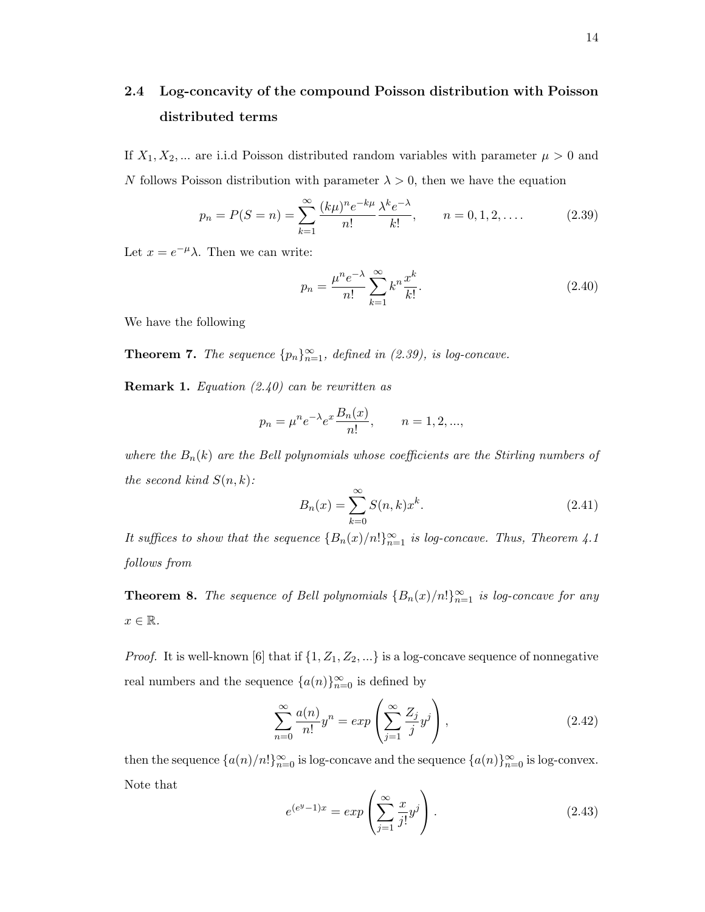## 2.4 Log-concavity of the compound Poisson distribution with Poisson distributed terms

If  $X_1, X_2, ...$  are i.i.d Poisson distributed random variables with parameter  $\mu > 0$  and N follows Poisson distribution with parameter  $\lambda > 0$ , then we have the equation

$$
p_n = P(S = n) = \sum_{k=1}^{\infty} \frac{(k\mu)^n e^{-k\mu}}{n!} \frac{\lambda^k e^{-\lambda}}{k!}, \qquad n = 0, 1, 2, .... \tag{2.39}
$$

Let  $x = e^{-\mu}\lambda$ . Then we can write:

$$
p_n = \frac{\mu^n e^{-\lambda}}{n!} \sum_{k=1}^{\infty} k^n \frac{x^k}{k!}.
$$
\n(2.40)

We have the following

**Theorem 7.** The sequence  ${p_n}_{n=1}^{\infty}$ , defined in (2.39), is log-concave.

**Remark 1.** Equation  $(2.40)$  can be rewritten as

$$
p_n = \mu^n e^{-\lambda} e^x \frac{B_n(x)}{n!}, \qquad n = 1, 2, ...,
$$

where the  $B_n(k)$  are the Bell polynomials whose coefficients are the Stirling numbers of the second kind  $S(n, k)$ :

$$
B_n(x) = \sum_{k=0}^{\infty} S(n,k)x^k.
$$
 (2.41)

It suffices to show that the sequence  ${B_n(x)/n!}_{n=1}^{\infty}$  is log-concave. Thus, Theorem 4.1 follows from

**Theorem 8.** The sequence of Bell polynomials  ${B_n(x)/n!}_{n=1}^{\infty}$  is log-concave for any  $x \in \mathbb{R}$ .

*Proof.* It is well-known [6] that if  $\{1, Z_1, Z_2, ...\}$  is a log-concave sequence of nonnegative real numbers and the sequence  $\{a(n)\}_{n=0}^{\infty}$  is defined by

$$
\sum_{n=0}^{\infty} \frac{a(n)}{n!} y^n = \exp\left(\sum_{j=1}^{\infty} \frac{Z_j}{j} y^j\right),\tag{2.42}
$$

then the sequence  $\{a(n)/n!\}_{n=0}^{\infty}$  is log-concave and the sequence  $\{a(n)\}_{n=0}^{\infty}$  is log-convex. Note that

$$
e^{(e^y - 1)x} = exp\left(\sum_{j=1}^{\infty} \frac{x}{j!} y^j\right).
$$
 (2.43)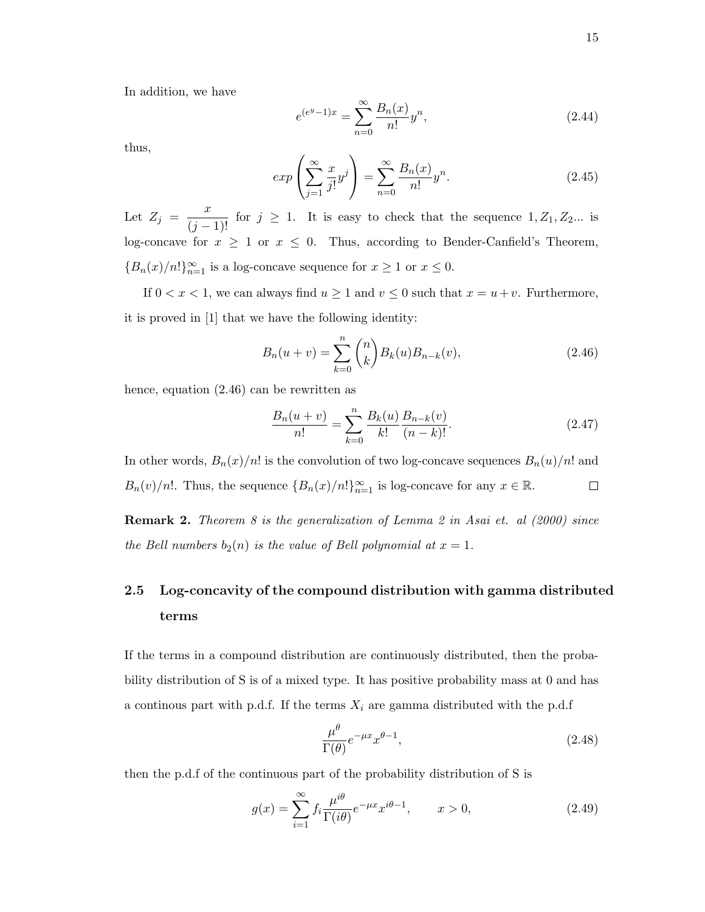In addition, we have

$$
e^{(e^y - 1)x} = \sum_{n=0}^{\infty} \frac{B_n(x)}{n!} y^n,
$$
\n(2.44)

thus,

$$
exp\left(\sum_{j=1}^{\infty} \frac{x}{j!} y^j\right) = \sum_{n=0}^{\infty} \frac{B_n(x)}{n!} y^n.
$$
\n(2.45)

Let  $Z_j = \frac{x}{(j-1)!}$  for  $j \ge 1$ . It is easy to check that the sequence  $1, Z_1, Z_2...$  is log-concave for  $x \geq 1$  or  $x \leq 0$ . Thus, according to Bender-Canfield's Theorem,  ${B_n(x)/n!\}_{n=1}^{\infty}$  is a log-concave sequence for  $x \ge 1$  or  $x \le 0$ .

If  $0 < x < 1$ , we can always find  $u \ge 1$  and  $v \le 0$  such that  $x = u + v$ . Furthermore, it is proved in [1] that we have the following identity:

$$
B_n(u+v) = \sum_{k=0}^n \binom{n}{k} B_k(u) B_{n-k}(v), \tag{2.46}
$$

hence, equation (2.46) can be rewritten as

$$
\frac{B_n(u+v)}{n!} = \sum_{k=0}^n \frac{B_k(u)}{k!} \frac{B_{n-k}(v)}{(n-k)!}.
$$
\n(2.47)

In other words,  $B_n(x)/n!$  is the convolution of two log-concave sequences  $B_n(u)/n!$  and  $B_n(v)/n!$ . Thus, the sequence  ${B_n(x)/n!}_{n=1}^{\infty}$  is log-concave for any  $x \in \mathbb{R}$ .  $\Box$ 

**Remark 2.** Theorem 8 is the generalization of Lemma 2 in Asai et. al  $(2000)$  since the Bell numbers  $b_2(n)$  is the value of Bell polynomial at  $x = 1$ .

## 2.5 Log-concavity of the compound distribution with gamma distributed terms

If the terms in a compound distribution are continuously distributed, then the probability distribution of S is of a mixed type. It has positive probability mass at 0 and has a continous part with p.d.f. If the terms  $X_i$  are gamma distributed with the p.d.f

$$
\frac{\mu^{\theta}}{\Gamma(\theta)} e^{-\mu x} x^{\theta - 1},\tag{2.48}
$$

then the p.d.f of the continuous part of the probability distribution of S is

$$
g(x) = \sum_{i=1}^{\infty} f_i \frac{\mu^{i\theta}}{\Gamma(i\theta)} e^{-\mu x} x^{i\theta - 1}, \qquad x > 0,
$$
\n(2.49)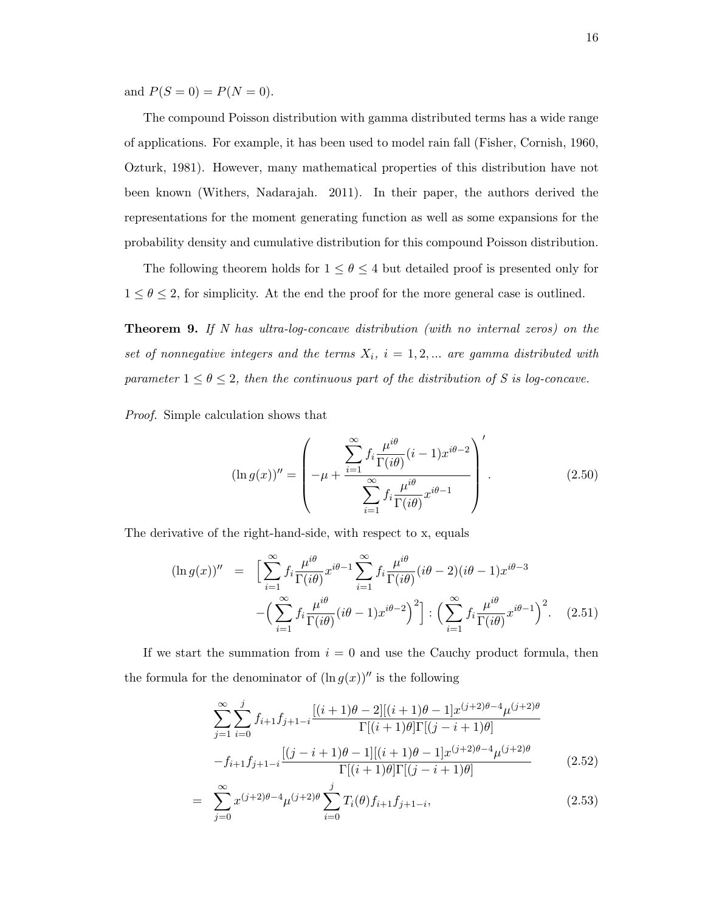and  $P(S = 0) = P(N = 0)$ .

The compound Poisson distribution with gamma distributed terms has a wide range of applications. For example, it has been used to model rain fall (Fisher, Cornish, 1960, Ozturk, 1981). However, many mathematical properties of this distribution have not been known (Withers, Nadarajah. 2011). In their paper, the authors derived the representations for the moment generating function as well as some expansions for the probability density and cumulative distribution for this compound Poisson distribution.

The following theorem holds for  $1 \leq \theta \leq 4$  but detailed proof is presented only for  $1 \leq \theta \leq 2$ , for simplicity. At the end the proof for the more general case is outlined.

Theorem 9. If N has ultra-log-concave distribution (with no internal zeros) on the set of nonnegative integers and the terms  $X_i$ ,  $i = 1, 2, ...$  are gamma distributed with parameter  $1 \le \theta \le 2$ , then the continuous part of the distribution of S is log-concave.

Proof. Simple calculation shows that

$$
(\ln g(x))'' = \left( -\mu + \frac{\sum_{i=1}^{\infty} f_i \frac{\mu^{i\theta}}{\Gamma(i\theta)} (i-1) x^{i\theta-2}}{\sum_{i=1}^{\infty} f_i \frac{\mu^{i\theta}}{\Gamma(i\theta)} x^{i\theta-1}} \right)'.
$$
 (2.50)

The derivative of the right-hand-side, with respect to x, equals

$$
(\ln g(x))'' = \left[ \sum_{i=1}^{\infty} f_i \frac{\mu^{i\theta}}{\Gamma(i\theta)} x^{i\theta-1} \sum_{i=1}^{\infty} f_i \frac{\mu^{i\theta}}{\Gamma(i\theta)} (i\theta - 2)(i\theta - 1) x^{i\theta-3} - \left( \sum_{i=1}^{\infty} f_i \frac{\mu^{i\theta}}{\Gamma(i\theta)} (i\theta - 1) x^{i\theta-2} \right)^2 \right] : \left( \sum_{i=1}^{\infty} f_i \frac{\mu^{i\theta}}{\Gamma(i\theta)} x^{i\theta-1} \right)^2.
$$
 (2.51)

If we start the summation from  $i = 0$  and use the Cauchy product formula, then the formula for the denominator of  $(\ln g(x))$ <sup>*u*</sup> is the following

$$
\sum_{j=1}^{\infty} \sum_{i=0}^{j} f_{i+1} f_{j+1-i} \frac{[(i+1)\theta - 2][(i+1)\theta - 1]x^{(j+2)\theta - 4} \mu^{(j+2)\theta}}{\Gamma[(i+1)\theta]\Gamma[(j-i+1)\theta]}
$$

$$
-f_{i+1} f_{j+1-i} \frac{[(j-i+1)\theta - 1][(i+1)\theta - 1]x^{(j+2)\theta - 4} \mu^{(j+2)\theta}}{\Gamma[(i+1)\theta]\Gamma[(j-i+1)\theta]}
$$
(2.52)

$$
= \sum_{j=0}^{\infty} x^{(j+2)\theta - 4} \mu^{(j+2)\theta} \sum_{i=0}^{j} T_i(\theta) f_{i+1} f_{j+1-i}, \qquad (2.53)
$$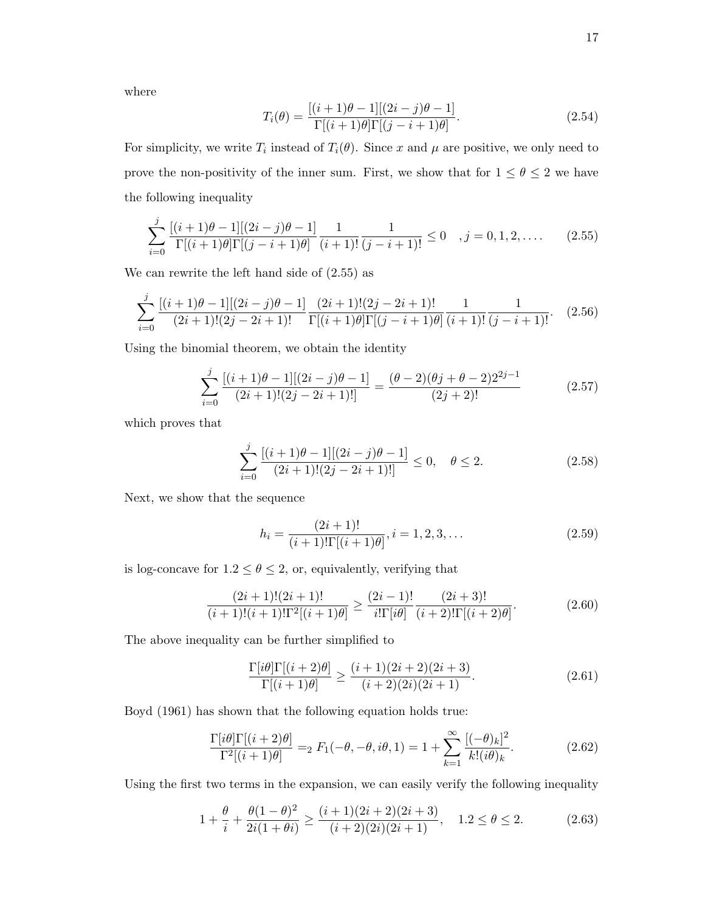where

$$
T_i(\theta) = \frac{[(i+1)\theta - 1][(2i - j)\theta - 1]}{\Gamma[(i+1)\theta]\Gamma[(j - i + 1)\theta]}.
$$
\n(2.54)

For simplicity, we write  $T_i$  instead of  $T_i(\theta)$ . Since x and  $\mu$  are positive, we only need to prove the non-positivity of the inner sum. First, we show that for  $1 \leq \theta \leq 2$  we have the following inequality

$$
\sum_{i=0}^{j} \frac{[(i+1)\theta - 1][(2i - j)\theta - 1]}{\Gamma[(i+1)\theta]\Gamma[(j - i + 1)\theta]} \frac{1}{(i+1)!} \frac{1}{(j - i + 1)!} \le 0 \quad , j = 0, 1, 2, .... \quad (2.55)
$$

We can rewrite the left hand side of (2.55) as

$$
\sum_{i=0}^{j} \frac{[(i+1)\theta - 1][(2i - j)\theta - 1]}{(2i+1)!(2j - 2i + 1)!} \frac{(2i+1)!(2j - 2i + 1)!}{\Gamma[(i+1)\theta]\Gamma[(j-i+1)\theta]} \frac{1}{(i+1)!} \frac{1}{(j-i+1)!}.
$$
 (2.56)

Using the binomial theorem, we obtain the identity

$$
\sum_{i=0}^{j} \frac{[(i+1)\theta - 1][(2i - j)\theta - 1]}{(2i+1)!(2j - 2i + 1)!} = \frac{(\theta - 2)(\theta j + \theta - 2)2^{2j-1}}{(2j+2)!}
$$
(2.57)

which proves that

$$
\sum_{i=0}^{j} \frac{[(i+1)\theta - 1][(2i - j)\theta - 1]}{(2i+1)!(2j - 2i + 1)!} \le 0, \quad \theta \le 2.
$$
 (2.58)

Next, we show that the sequence

$$
h_i = \frac{(2i+1)!}{(i+1)!\Gamma[(i+1)\theta]}, i = 1, 2, 3, \dots
$$
\n(2.59)

is log-concave for  $1.2 \leq \theta \leq 2,$  or, equivalently, verifying that

$$
\frac{(2i+1)!(2i+1)!}{(i+1)!(i+1)!\Gamma^2[(i+1)\theta]} \ge \frac{(2i-1)!}{i!\Gamma[i\theta]} \frac{(2i+3)!}{(i+2)!\Gamma[(i+2)\theta]}.
$$
\n(2.60)

The above inequality can be further simplified to

$$
\frac{\Gamma[i\theta]\Gamma[(i+2)\theta]}{\Gamma[(i+1)\theta]} \ge \frac{(i+1)(2i+2)(2i+3)}{(i+2)(2i)(2i+1)}.\tag{2.61}
$$

Boyd (1961) has shown that the following equation holds true:

$$
\frac{\Gamma[i\theta]\Gamma[(i+2)\theta]}{\Gamma^2[(i+1)\theta]} =_2 F_1(-\theta, -\theta, i\theta, 1) = 1 + \sum_{k=1}^{\infty} \frac{[(-\theta)_k]^2}{k!(i\theta)_k}.
$$
\n(2.62)

Using the first two terms in the expansion, we can easily verify the following inequality

$$
1 + \frac{\theta}{i} + \frac{\theta(1-\theta)^2}{2i(1+\theta i)} \ge \frac{(i+1)(2i+2)(2i+3)}{(i+2)(2i)(2i+1)}, \quad 1.2 \le \theta \le 2. \tag{2.63}
$$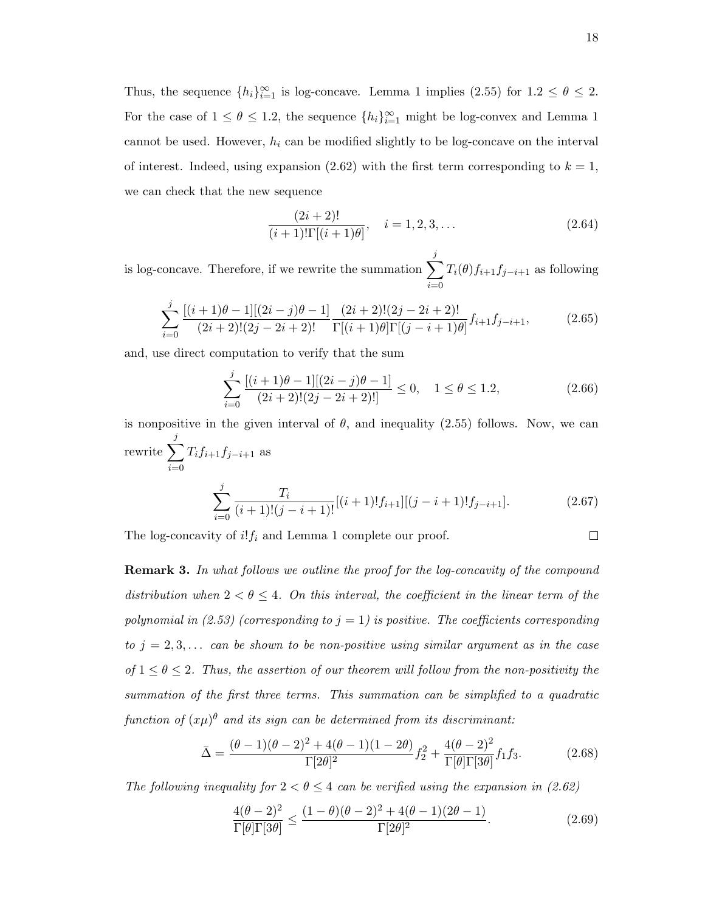Thus, the sequence  $\{h_i\}_{i=1}^{\infty}$  is log-concave. Lemma 1 implies (2.55) for  $1.2 \le \theta \le 2$ . For the case of  $1 \le \theta \le 1.2$ , the sequence  $\{h_i\}_{i=1}^{\infty}$  might be log-convex and Lemma 1 cannot be used. However,  $h_i$  can be modified slightly to be log-concave on the interval of interest. Indeed, using expansion (2.62) with the first term corresponding to  $k = 1$ , we can check that the new sequence

$$
\frac{(2i+2)!}{(i+1)!\Gamma[(i+1)\theta]}, \quad i = 1, 2, 3, \dots
$$
\n(2.64)

is log-concave. Therefore, if we rewrite the summation  $\sum$ j  $i=0$  $T_i(\theta) f_{i+1} f_{j-i+1}$  as following

$$
\sum_{i=0}^{j} \frac{\left[(i+1)\theta - 1\right] \left[(2i-j)\theta - 1\right]}{(2i+2)!(2j-2i+2)!} \frac{(2i+2)!(2j-2i+2)!}{\Gamma[(i+1)\theta]\Gamma[(j-i+1)\theta]} f_{i+1} f_{j-i+1},\tag{2.65}
$$

and, use direct computation to verify that the sum

$$
\sum_{i=0}^{j} \frac{[(i+1)\theta - 1][(2i - j)\theta - 1]}{(2i + 2)!(2j - 2i + 2)!} \le 0, \quad 1 \le \theta \le 1.2,
$$
\n(2.66)

is nonpositive in the given interval of  $\theta$ , and inequality (2.55) follows. Now, we can rewrite  $\sum$ j  $i=0$  $T_i f_{i+1} f_{j-i+1}$  as  $\sum$ j  $i=0$  $\frac{T_i}{(i+1)!(j-i+1)!}[(i+1)!f_{i+1}][(j-i+1)!f_{j-i+1}].$  (2.67)

The log-concavity of  $i!f_i$  and Lemma 1 complete our proof.

**Remark 3.** In what follows we outline the proof for the log-concavity of the compound distribution when  $2 < \theta \leq 4$ . On this interval, the coefficient in the linear term of the polynomial in (2.53) (corresponding to  $j = 1$ ) is positive. The coefficients corresponding to  $j = 2, 3, \ldots$  can be shown to be non-positive using similar argument as in the case of  $1 \leq \theta \leq 2$ . Thus, the assertion of our theorem will follow from the non-positivity the summation of the first three terms. This summation can be simplified to a quadratic function of  $(x\mu)^\theta$  and its sign can be determined from its discriminant:

$$
\bar{\Delta} = \frac{(\theta - 1)(\theta - 2)^2 + 4(\theta - 1)(1 - 2\theta)}{\Gamma[2\theta]^2} f_2^2 + \frac{4(\theta - 2)^2}{\Gamma[\theta]\Gamma[3\theta]} f_1 f_3. \tag{2.68}
$$

The following inequality for  $2 < \theta \leq 4$  can be verified using the expansion in (2.62)

$$
\frac{4(\theta - 2)^2}{\Gamma[\theta]\Gamma[3\theta]} \le \frac{(1 - \theta)(\theta - 2)^2 + 4(\theta - 1)(2\theta - 1)}{\Gamma[2\theta]^2}.
$$
\n(2.69)

 $\Box$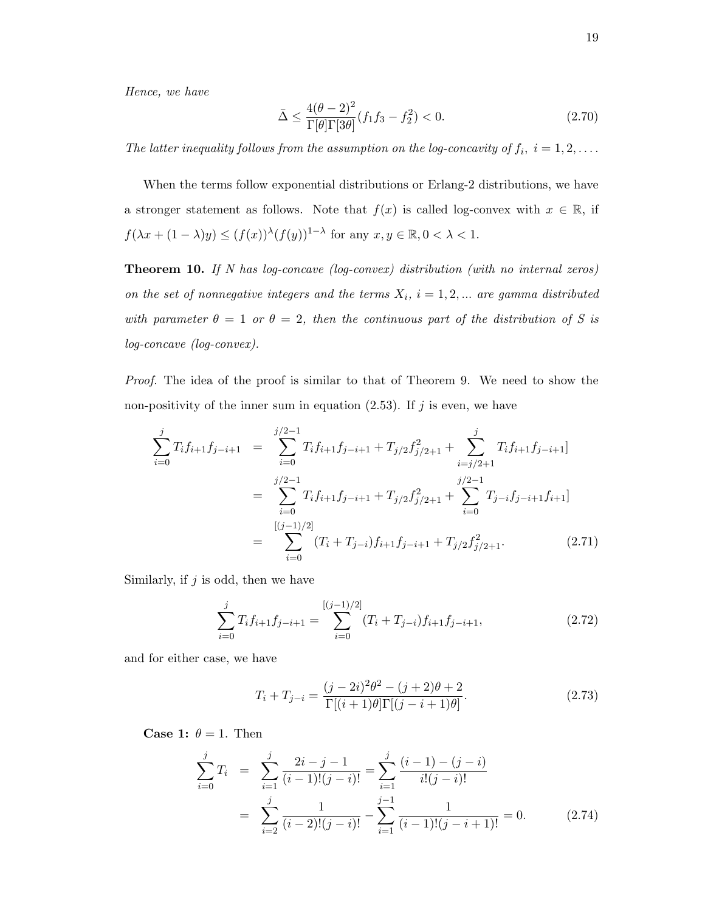Hence, we have

$$
\bar{\Delta} \le \frac{4(\theta - 2)^2}{\Gamma[\theta]\Gamma[3\theta]} (f_1 f_3 - f_2^2) < 0. \tag{2.70}
$$

The latter inequality follows from the assumption on the log-concavity of  $f_i$ ,  $i = 1, 2, \ldots$ .

When the terms follow exponential distributions or Erlang-2 distributions, we have a stronger statement as follows. Note that  $f(x)$  is called log-convex with  $x \in \mathbb{R}$ , if  $f(\lambda x + (1 - \lambda)y) \le (f(x))^{\lambda} (f(y))^{1-\lambda}$  for any  $x, y \in \mathbb{R}, 0 < \lambda < 1$ .

**Theorem 10.** If N has log-concave (log-convex) distribution (with no internal zeros) on the set of nonnegative integers and the terms  $X_i$ ,  $i = 1, 2, ...$  are gamma distributed with parameter  $\theta = 1$  or  $\theta = 2$ , then the continuous part of the distribution of S is log-concave (log-convex).

Proof. The idea of the proof is similar to that of Theorem 9. We need to show the non-positivity of the inner sum in equation  $(2.53)$ . If j is even, we have

$$
\sum_{i=0}^{j} T_i f_{i+1} f_{j-i+1} = \sum_{i=0}^{j/2-1} T_i f_{i+1} f_{j-i+1} + T_{j/2} f_{j/2+1}^2 + \sum_{i=j/2+1}^{j} T_i f_{i+1} f_{j-i+1}
$$
\n
$$
= \sum_{i=0}^{j/2-1} T_i f_{i+1} f_{j-i+1} + T_{j/2} f_{j/2+1}^2 + \sum_{i=0}^{j/2-1} T_{j-i} f_{j-i+1} f_{i+1}
$$
\n
$$
= \sum_{i=0}^{[(j-1)/2]} (T_i + T_{j-i}) f_{i+1} f_{j-i+1} + T_{j/2} f_{j/2+1}^2.
$$
\n(2.71)

Similarly, if  $j$  is odd, then we have

$$
\sum_{i=0}^{j} T_i f_{i+1} f_{j-i+1} = \sum_{i=0}^{[(j-1)/2]} (T_i + T_{j-i}) f_{i+1} f_{j-i+1},
$$
\n(2.72)

and for either case, we have

$$
T_i + T_{j-i} = \frac{(j-2i)^2 \theta^2 - (j+2)\theta + 2}{\Gamma[(i+1)\theta]\Gamma[(j-i+1)\theta]}.
$$
\n(2.73)

**Case 1:**  $\theta = 1$ . Then

$$
\sum_{i=0}^{j} T_i = \sum_{i=1}^{j} \frac{2i - j - 1}{(i - 1)!(j - i)!} = \sum_{i=1}^{j} \frac{(i - 1) - (j - i)}{i!(j - i)!}
$$

$$
= \sum_{i=2}^{j} \frac{1}{(i - 2)!(j - i)!} - \sum_{i=1}^{j-1} \frac{1}{(i - 1)!(j - i + 1)!} = 0.
$$
(2.74)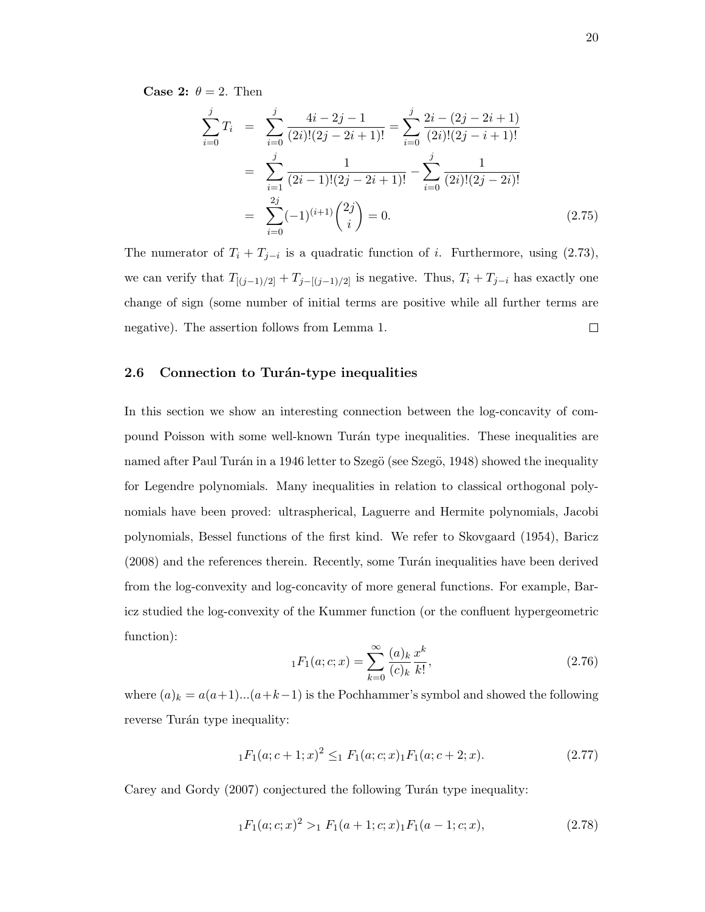**Case 2:**  $\theta = 2$ . Then

$$
\sum_{i=0}^{j} T_i = \sum_{i=0}^{j} \frac{4i - 2j - 1}{(2i)!(2j - 2i + 1)!} = \sum_{i=0}^{j} \frac{2i - (2j - 2i + 1)}{(2i)!(2j - i + 1)!}
$$

$$
= \sum_{i=1}^{j} \frac{1}{(2i - 1)!(2j - 2i + 1)!} - \sum_{i=0}^{j} \frac{1}{(2i)!(2j - 2i)!}
$$

$$
= \sum_{i=0}^{2j} (-1)^{(i+1)} {2j \choose i} = 0.
$$
(2.75)

The numerator of  $T_i + T_{j-i}$  is a quadratic function of i. Furthermore, using (2.73), we can verify that  $T_{[(j-1)/2]} + T_{j-[(j-1)/2]}$  is negative. Thus,  $T_i + T_{j-i}$  has exactly one change of sign (some number of initial terms are positive while all further terms are negative). The assertion follows from Lemma 1.  $\Box$ 

#### 2.6 Connection to Turán-type inequalities

In this section we show an interesting connection between the log-concavity of compound Poisson with some well-known Tur´an type inequalities. These inequalities are named after Paul Turán in a 1946 letter to Szegö (see Szegö, 1948) showed the inequality for Legendre polynomials. Many inequalities in relation to classical orthogonal polynomials have been proved: ultraspherical, Laguerre and Hermite polynomials, Jacobi polynomials, Bessel functions of the first kind. We refer to Skovgaard (1954), Baricz (2008) and the references therein. Recently, some Turán inequalities have been derived from the log-convexity and log-concavity of more general functions. For example, Baricz studied the log-convexity of the Kummer function (or the confluent hypergeometric function):

$$
{}_{1}F_{1}(a;c;x) = \sum_{k=0}^{\infty} \frac{(a)_{k}}{(c)_{k}} \frac{x^{k}}{k!},
$$
\n(2.76)

where  $(a)_k = a(a+1)...(a+k-1)$  is the Pochhammer's symbol and showed the following reverse Turán type inequality:

$$
{}_{1}F_{1}(a;c+1;x)^{2} \leq_{1} F_{1}(a;c;x) {}_{1}F_{1}(a;c+2;x).
$$
\n(2.77)

Carey and Gordy (2007) conjectured the following Turán type inequality:

$$
{}_{1}F_{1}(a;c;x)^{2} >_{1} F_{1}(a+1;c;x) {}_{1}F_{1}(a-1;c;x), \qquad (2.78)
$$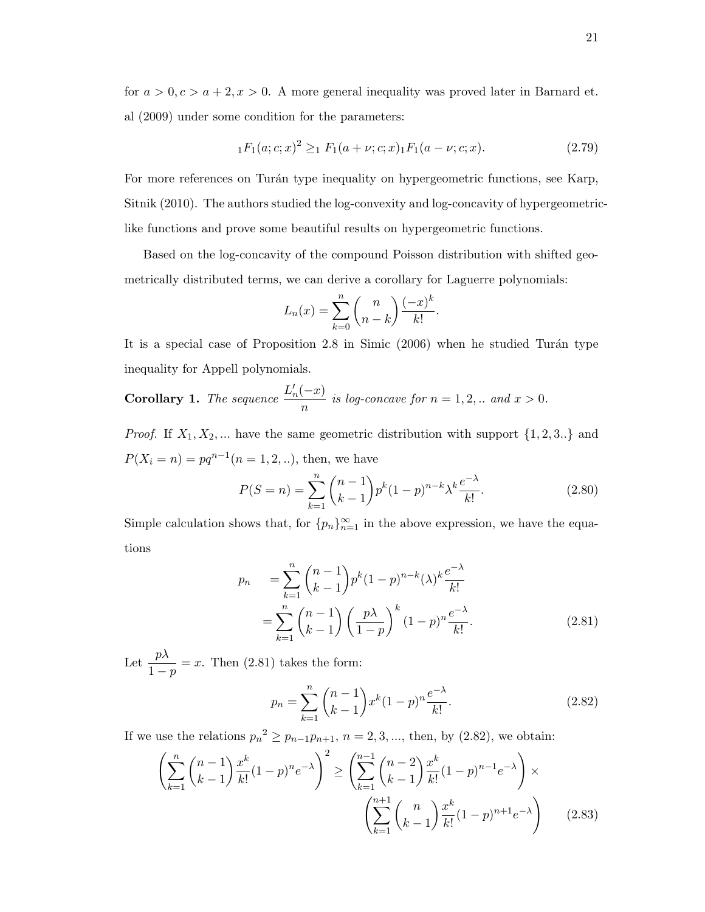for  $a > 0, c > a + 2, x > 0$ . A more general inequality was proved later in Barnard et. al (2009) under some condition for the parameters:

$$
{}_{1}F_{1}(a;c;x)^{2} \geq_{1} F_{1}(a+\nu;c;x) {}_{1}F_{1}(a-\nu;c;x).
$$
 (2.79)

For more references on Turán type inequality on hypergeometric functions, see Karp, Sitnik (2010). The authors studied the log-convexity and log-concavity of hypergeometriclike functions and prove some beautiful results on hypergeometric functions.

Based on the log-concavity of the compound Poisson distribution with shifted geometrically distributed terms, we can derive a corollary for Laguerre polynomials:

$$
L_n(x) = \sum_{k=0}^n {n \choose n-k} \frac{(-x)^k}{k!}.
$$

It is a special case of Proposition  $2.8$  in Simic  $(2006)$  when he studied Turán type inequality for Appell polynomials.

**Corollary 1.** The sequence  $\frac{L'_n(-x)}{L'_n(-x)}$  $\frac{u}{n}$  is log-concave for  $n = 1, 2, ...$  and  $x > 0$ .

*Proof.* If  $X_1, X_2, ...$  have the same geometric distribution with support  $\{1, 2, 3..\}$  and  $P(X_i = n) = pq^{n-1}(n = 1, 2, ...),$  then, we have

$$
P(S=n) = \sum_{k=1}^{n} {n-1 \choose k-1} p^k (1-p)^{n-k} \lambda^k \frac{e^{-\lambda}}{k!}.
$$
 (2.80)

Simple calculation shows that, for  $\{p_n\}_{n=1}^{\infty}$  in the above expression, we have the equations

$$
p_n = \sum_{k=1}^n {n-1 \choose k-1} p^k (1-p)^{n-k} (\lambda)^k \frac{e^{-\lambda}}{k!}
$$
  
= 
$$
\sum_{k=1}^n {n-1 \choose k-1} \left(\frac{p\lambda}{1-p}\right)^k (1-p)^n \frac{e^{-\lambda}}{k!}.
$$
 (2.81)

Let  $\frac{p\lambda}{1-p} = x$ . Then (2.81) takes the form:

$$
p_n = \sum_{k=1}^n \binom{n-1}{k-1} x^k (1-p)^n \frac{e^{-\lambda}}{k!}.
$$
 (2.82)

If we use the relations  $p_n^2 \ge p_{n-1}p_{n+1}, n = 2, 3, \dots$ , then, by  $(2.82)$ , we obtain:

$$
\left(\sum_{k=1}^{n} {n-1 \choose k-1} \frac{x^k}{k!} (1-p)^n e^{-\lambda}\right)^2 \ge \left(\sum_{k=1}^{n-1} {n-2 \choose k-1} \frac{x^k}{k!} (1-p)^{n-1} e^{-\lambda}\right) \times \left(\sum_{k=1}^{n+1} {n \choose k-1} \frac{x^k}{k!} (1-p)^{n+1} e^{-\lambda}\right) \tag{2.83}
$$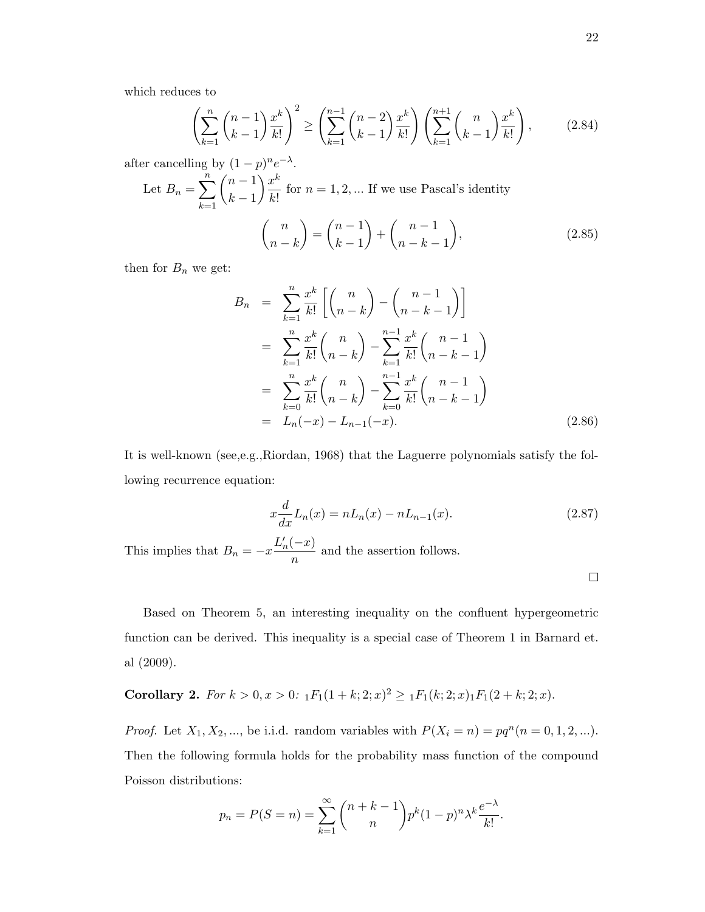which reduces to

$$
\left(\sum_{k=1}^{n} {n-1 \choose k-1} \frac{x^k}{k!} \right)^2 \ge \left(\sum_{k=1}^{n-1} {n-2 \choose k-1} \frac{x^k}{k!} \right) \left(\sum_{k=1}^{n+1} {n \choose k-1} \frac{x^k}{k!} \right),\tag{2.84}
$$

after cancelling by  $(1-p)^n e^{-\lambda}$ . Let  $B_n = \sum_{n=1}^{n}$  $k=1$  $(n-1)$  $k-1$  $\setminus x^k$  $\frac{x}{k!}$  for  $n = 1, 2, ...$  If we use Pascal's identity  $\binom{n}{n}$  $n - k$  $\bigg) = \bigg( \begin{array}{c} n-1 \\ n \end{array} \bigg)$  $k-1$  $\bigg) + \bigg( \begin{array}{c} n-1 \\ n \end{array} \bigg)$  $n-k-1$  $\setminus$  $(2.85)$ 

then for  $B_n$  we get:

$$
B_n = \sum_{k=1}^n \frac{x^k}{k!} \left[ \binom{n}{n-k} - \binom{n-1}{n-k-1} \right]
$$
  
\n
$$
= \sum_{k=1}^n \frac{x^k}{k!} \binom{n}{n-k} - \sum_{k=1}^{n-1} \frac{x^k}{k!} \binom{n-1}{n-k-1}
$$
  
\n
$$
= \sum_{k=0}^n \frac{x^k}{k!} \binom{n}{n-k} - \sum_{k=0}^{n-1} \frac{x^k}{k!} \binom{n-1}{n-k-1}
$$
  
\n
$$
= L_n(-x) - L_{n-1}(-x).
$$
 (2.86)

It is well-known (see,e.g.,Riordan, 1968) that the Laguerre polynomials satisfy the following recurrence equation:

$$
x\frac{d}{dx}L_n(x) = nL_n(x) - nL_{n-1}(x).
$$
 (2.87)

This implies that  $B_n = -x \frac{L'_n(-x)}{n}$  $\frac{a}{n}$  and the assertion follows.

 $\Box$ 

Based on Theorem 5, an interesting inequality on the confluent hypergeometric function can be derived. This inequality is a special case of Theorem 1 in Barnard et. al (2009).

**Corollary 2.** For 
$$
k > 0
$$
,  $x > 0$ :  ${}_1F_1(1 + k; 2; x)^2 \geq {}_1F_1(k; 2; x)_1F_1(2 + k; 2; x)$ .

*Proof.* Let  $X_1, X_2, ...,$  be i.i.d. random variables with  $P(X_i = n) = pq^n (n = 0, 1, 2, ...).$ Then the following formula holds for the probability mass function of the compound Poisson distributions:

$$
p_n = P(S = n) = \sum_{k=1}^{\infty} {n+k-1 \choose n} p^k (1-p)^n \lambda^k \frac{e^{-\lambda}}{k!}.
$$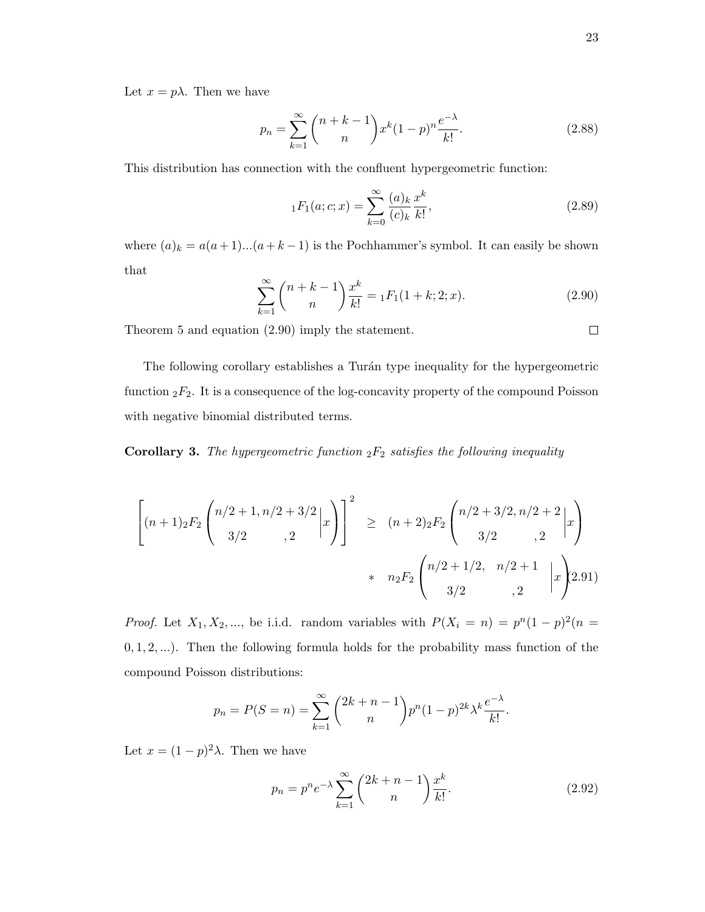Let  $x = p\lambda$ . Then we have

$$
p_n = \sum_{k=1}^{\infty} {n+k-1 \choose n} x^k (1-p)^n \frac{e^{-\lambda}}{k!}.
$$
 (2.88)

This distribution has connection with the confluent hypergeometric function:

$$
{}_1F_1(a;c;x) = \sum_{k=0}^{\infty} \frac{(a)_k}{(c)_k} \frac{x^k}{k!},
$$
\n(2.89)

where  $(a)_k = a(a+1)...(a+k-1)$  is the Pochhammer's symbol. It can easily be shown that

$$
\sum_{k=1}^{\infty} {n+k-1 \choose n} \frac{x^k}{k!} = {}_1F_1(1+k;2;x). \tag{2.90}
$$

Theorem 5 and equation (2.90) imply the statement.

The following corollary establishes a Turán type inequality for the hypergeometric function  ${}_2F_2$ . It is a consequence of the log-concavity property of the compound Poisson with negative binomial distributed terms.

**Corollary 3.** The hypergeometric function  ${}_2F_2$  satisfies the following inequality

$$
\left[ (n+1)_2 F_2 \binom{n/2+1, n/2+3/2}{3/2}_{\qquad \, 2} | x \right]^2 \geq (n+2)_2 F_2 \binom{n/2+3/2, n/2+2}{3/2}_{\qquad \, 2} | x \right)
$$
  
 
$$
* n_2 F_2 \binom{n/2+1/2, n/2+1}{3/2}_{\qquad \, 2} | x \right)
$$

*Proof.* Let  $X_1, X_2, \dots$ , be i.i.d. random variables with  $P(X_i = n) = p^n(1-p)^2(n =$  $(0, 1, 2, \ldots)$ . Then the following formula holds for the probability mass function of the compound Poisson distributions:

$$
p_n = P(S = n) = \sum_{k=1}^{\infty} {2k + n - 1 \choose n} p^n (1-p)^{2k} \lambda^k \frac{e^{-\lambda}}{k!}.
$$

Let  $x = (1 - p)^2 \lambda$ . Then we have

$$
p_n = p^n e^{-\lambda} \sum_{k=1}^{\infty} {2k+n-1 \choose n} \frac{x^k}{k!}.
$$
 (2.92)

$$
\Box
$$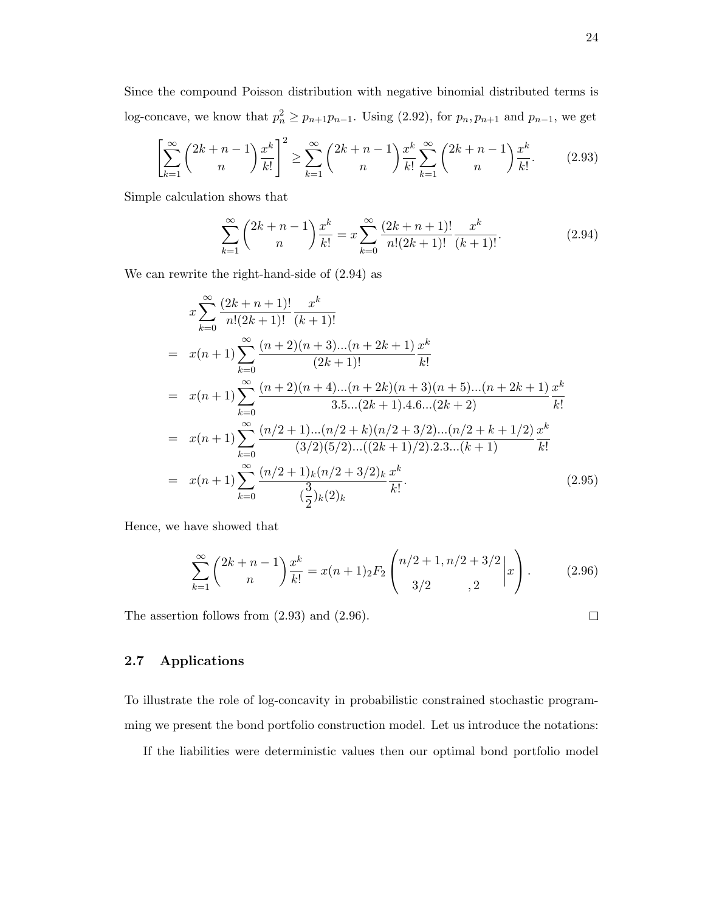Since the compound Poisson distribution with negative binomial distributed terms is log-concave, we know that  $p_n^2 \ge p_{n+1}p_{n-1}$ . Using (2.92), for  $p_n, p_{n+1}$  and  $p_{n-1}$ , we get

$$
\left[\sum_{k=1}^{\infty} \binom{2k+n-1}{n} \frac{x^k}{k!} \right]^2 \ge \sum_{k=1}^{\infty} \binom{2k+n-1}{n} \frac{x^k}{k!} \sum_{k=1}^{\infty} \binom{2k+n-1}{n} \frac{x^k}{k!}.
$$
 (2.93)

Simple calculation shows that

$$
\sum_{k=1}^{\infty} {2k+n-1 \choose n} \frac{x^k}{k!} = x \sum_{k=0}^{\infty} \frac{(2k+n+1)!}{n!(2k+1)!} \frac{x^k}{(k+1)!}.
$$
 (2.94)

We can rewrite the right-hand-side of (2.94) as

$$
x \sum_{k=0}^{\infty} \frac{(2k+n+1)!}{n!(2k+1)!} \frac{x^k}{(k+1)!}
$$
  
=  $x(n+1) \sum_{k=0}^{\infty} \frac{(n+2)(n+3)...(n+2k+1)}{(2k+1)!} \frac{x^k}{k!}$   
=  $x(n+1) \sum_{k=0}^{\infty} \frac{(n+2)(n+4)...(n+2k)(n+3)(n+5)...(n+2k+1)}{3.5...(2k+1).4.6...(2k+2)} \frac{x^k}{k!}$   
=  $x(n+1) \sum_{k=0}^{\infty} \frac{(n/2+1)...(n/2+k)(n/2+3/2)...(n/2+k+1/2)}{(3/2)(5/2)...((2k+1)/2).2.3...(k+1)} \frac{x^k}{k!}$   
=  $x(n+1) \sum_{k=0}^{\infty} \frac{(n/2+1)_k (n/2+3/2)_k}{(\frac{3}{2})_k (2)_k} \frac{x^k}{k!}$ . (2.95)

Hence, we have showed that

$$
\sum_{k=1}^{\infty} {2k+n-1 \choose n} \frac{x^k}{k!} = x(n+1)_2 F_2 \binom{n/2+1, n/2+3/2}{3/2, 2} x.
$$
 (2.96)

The assertion follows from (2.93) and (2.96).

#### 2.7 Applications

To illustrate the role of log-concavity in probabilistic constrained stochastic programming we present the bond portfolio construction model. Let us introduce the notations:

If the liabilities were deterministic values then our optimal bond portfolio model

 $\Box$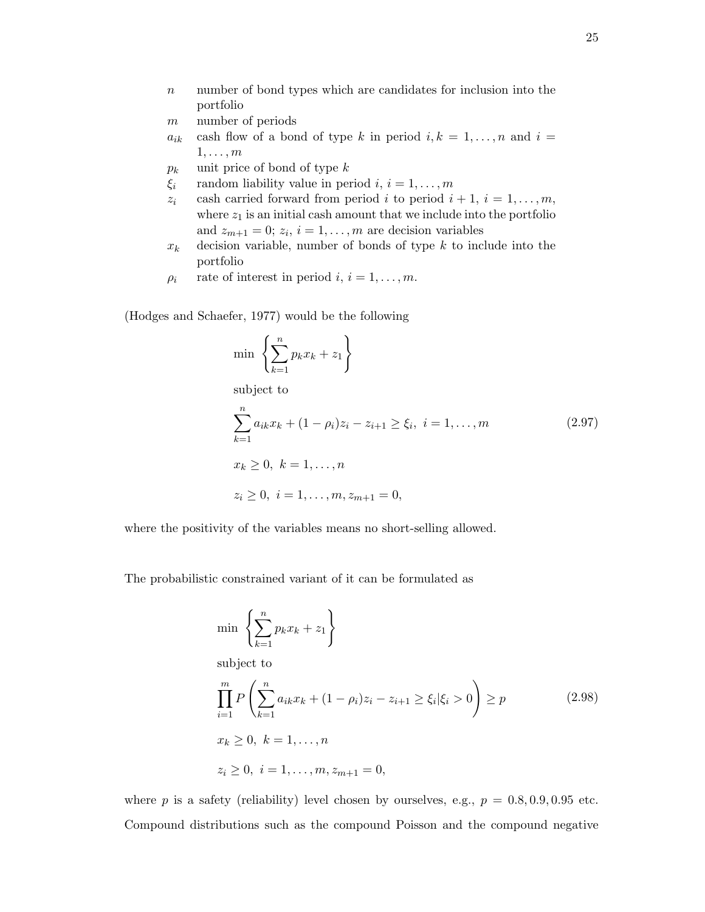- $n$  number of bond types which are candidates for inclusion into the portfolio
- m number of periods
- $a_{ik}$  cash flow of a bond of type k in period  $i, k = 1, \ldots, n$  and  $i =$  $1, \ldots, m$
- $p_k$  unit price of bond of type k
- $\xi_i$  random liability value in period  $i, i = 1, \ldots, m$
- $z_i$  cash carried forward from period i to period  $i + 1$ ,  $i = 1, \ldots, m$ , where  $z_1$  is an initial cash amount that we include into the portfolio and  $z_{m+1} = 0$ ;  $z_i$ ,  $i = 1, ..., m$  are decision variables
- $x_k$  decision variable, number of bonds of type k to include into the portfolio
- $\rho_i$  rate of interest in period  $i, i = 1, \ldots, m$ .

(Hodges and Schaefer, 1977) would be the following

$$
\min \left\{ \sum_{k=1}^{n} p_k x_k + z_1 \right\}
$$

subject to

$$
\sum_{k=1}^{n} a_{ik}x_k + (1 - \rho_i)z_i - z_{i+1} \ge \xi_i, \ i = 1, ..., m
$$
\n
$$
x_k \ge 0, \ k = 1, ..., n
$$
\n
$$
z_i \ge 0, \ i = 1, ..., m, z_{m+1} = 0,
$$
\n
$$
(2.97)
$$

where the positivity of the variables means no short-selling allowed.

The probabilistic constrained variant of it can be formulated as

$$
\min \left\{ \sum_{k=1}^{n} p_k x_k + z_1 \right\}
$$

subject to

$$
\prod_{i=1}^{m} P\left(\sum_{k=1}^{n} a_{ik} x_k + (1 - \rho_i) z_i - z_{i+1} \ge \xi_i | \xi_i > 0\right) \ge p \tag{2.98}
$$
\n
$$
x_k \ge 0, \ k = 1, \dots, n
$$
\n
$$
z_i \ge 0, \ i = 1, \dots, m, z_{m+1} = 0,
$$

where p is a safety (reliability) level chosen by ourselves, e.g.,  $p = 0.8, 0.9, 0.95$  etc. Compound distributions such as the compound Poisson and the compound negative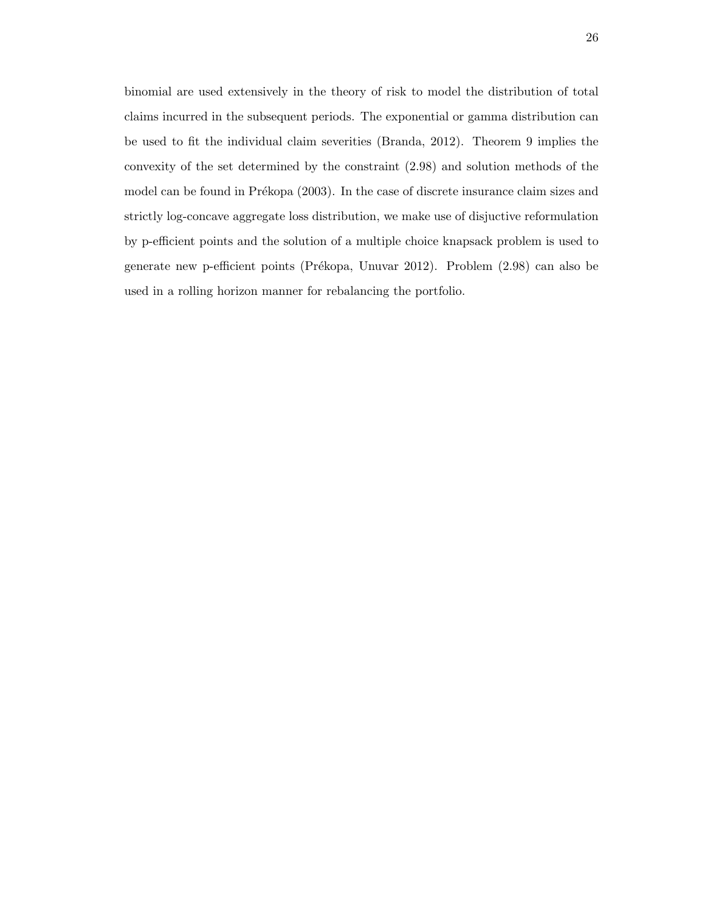binomial are used extensively in the theory of risk to model the distribution of total claims incurred in the subsequent periods. The exponential or gamma distribution can be used to fit the individual claim severities (Branda, 2012). Theorem 9 implies the convexity of the set determined by the constraint (2.98) and solution methods of the model can be found in Prékopa (2003). In the case of discrete insurance claim sizes and strictly log-concave aggregate loss distribution, we make use of disjuctive reformulation by p-efficient points and the solution of a multiple choice knapsack problem is used to generate new p-efficient points (Prékopa, Unuvar 2012). Problem (2.98) can also be used in a rolling horizon manner for rebalancing the portfolio.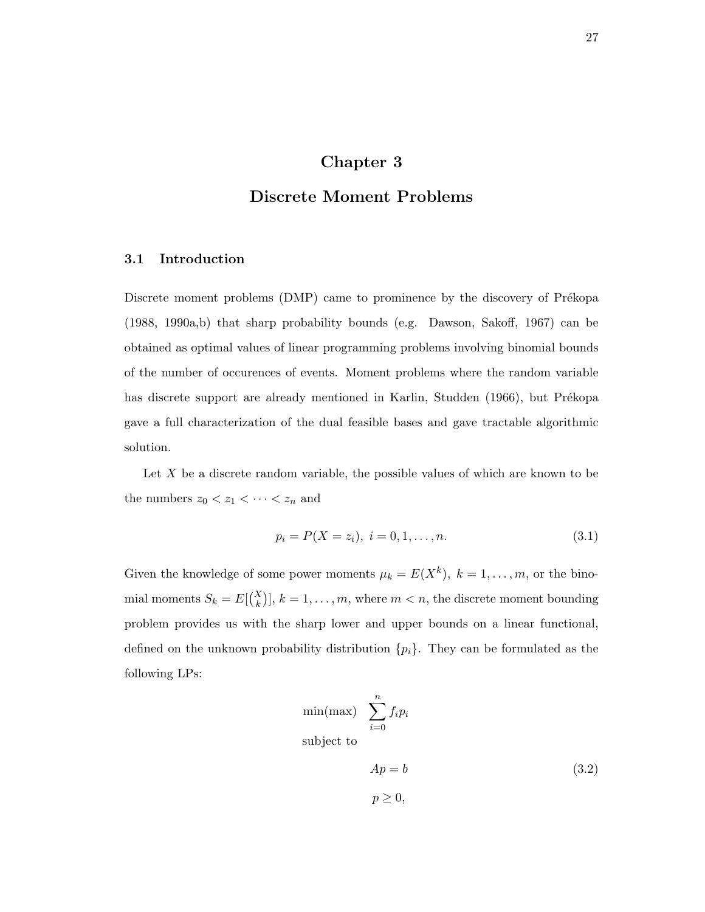### Chapter 3

### Discrete Moment Problems

#### 3.1 Introduction

Discrete moment problems (DMP) came to prominence by the discovery of Prékopa (1988, 1990a,b) that sharp probability bounds (e.g. Dawson, Sakoff, 1967) can be obtained as optimal values of linear programming problems involving binomial bounds of the number of occurences of events. Moment problems where the random variable has discrete support are already mentioned in Karlin, Studden (1966), but Prékopa gave a full characterization of the dual feasible bases and gave tractable algorithmic solution.

Let  $X$  be a discrete random variable, the possible values of which are known to be the numbers  $z_0 < z_1 < \cdots < z_n$  and

$$
p_i = P(X = z_i), \ i = 0, 1, \dots, n. \tag{3.1}
$$

Given the knowledge of some power moments  $\mu_k = E(X^k)$ ,  $k = 1, \ldots, m$ , or the binomial moments  $S_k = E[{X \choose k}]$ ,  $k = 1, ..., m$ , where  $m < n$ , the discrete moment bounding problem provides us with the sharp lower and upper bounds on a linear functional, defined on the unknown probability distribution  $\{p_i\}$ . They can be formulated as the following LPs:

$$
\min(\max) \sum_{i=0}^{n} f_i p_i
$$
  
subject to  

$$
Ap = b
$$

$$
p \ge 0,
$$
 (3.2)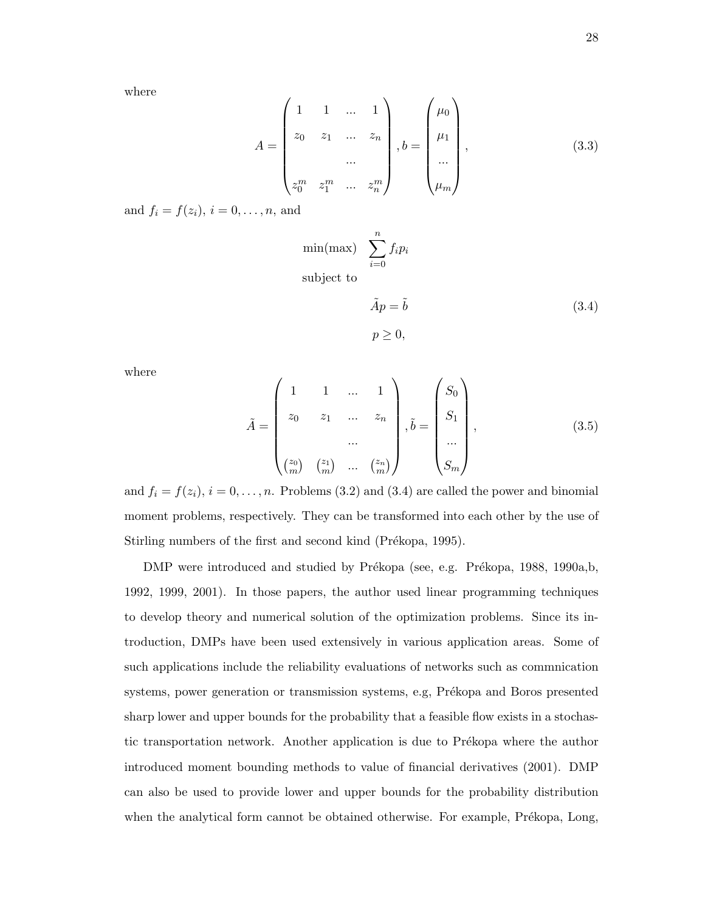where

$$
A = \begin{pmatrix} 1 & 1 & \dots & 1 \\ z_0 & z_1 & \dots & z_n \\ \dots & & & \\ z_0^m & z_1^m & \dots & z_n^m \end{pmatrix}, b = \begin{pmatrix} \mu_0 \\ \mu_1 \\ \dots \\ \mu_m \end{pmatrix}, \qquad (3.3)
$$

and  $f_i = f(z_i), i = 0, ..., n$ , and

$$
\min(\max) \sum_{i=0}^{n} f_i p_i
$$
\n
$$
\text{subject to}
$$
\n
$$
\tilde{A}p = \tilde{b} \tag{3.4}
$$
\n
$$
p \ge 0,
$$

where

$$
\tilde{A} = \begin{pmatrix} 1 & 1 & \dots & 1 \\ z_0 & z_1 & \dots & z_n \\ \dots & & & \\ z_0 & \dots & & \\ z_1 & \dots & & \\ z_0 & \dots & & \\ z_0 & \dots & & \\ z_0 & \dots & & \\ z_0 & \dots & & \\ z_n & \dots & & \\ z_n & \dots & & \\ z_n & \dots & & \\ z_n & \dots & & \\ z_n & \dots & & \\ z_n & \dots & & \\ z_n & \dots & & \\ z_n & \dots & & \\ z_n & \dots & & \\ z_n & \dots & & \\ z_n & \dots & & \\ z_n & \dots & & \\ z_n & \dots & & \\ z_n & \dots & & \\ z_n & \dots & & \\ z_n & \dots & & \\ z_n & \dots & & \\ z_n & \dots & & \\ z_n & \dots & & \\ z_n & \dots & & \\ z_n & \dots & & \\ z_n & \dots & & \\ z_n & \dots & & \\ z_n & \dots & & \\ z_n & \dots & & \\ z_n & \dots & & \\ z_n & \dots & & \\ z_n & \dots & & \\ z_n & \dots & & \\ z_n & \dots & & \\ z_n & \dots & & \\ z_n & \dots & & \\ z_n & \dots & & \\ z_n & \dots & & \\ z_n & \dots & & \\ z_n & \dots & & \\ z_n & \dots & & \\ z_n & \dots & & \\ z_n & \dots & & \\ z_n & \dots & & \\ z_n & \dots & & \\ z_n & \dots & & \\ z_n & \dots & & \\ z_n & \dots & & \\ z_n & \dots & & \\ z_n & \dots & & \\ z_n & \dots & & \\ z_n & \dots & & \\ z_n & \dots & & \\ z_n & \dots & & \\ z_n & \dots & & \\ z_n & \dots & & \\ z_n & \dots & & \\ z_n & \dots & & \\ z_n & \dots & & \\ z_n & \dots & & \\ z_n & \dots & & \\ z_n & \dots & & \\ z_n & \dots & & \\ z_n & \dots & & \\ z_n & \dots & & \\ z_n & \dots & & \\ z_n & \dots & & \\ z_n & \dots & & \\ z_n & \dots & & \\ z_n & \dots & & \\ z_n & \dots & & \\ z_n & \dots & & \\ z_n & \dots & & \\ z_n & \dots & & \\ z_n & \dots & & \\ z_n & \dots & & \\ z_n & \dots & & \\ z_n & \dots & & \\ z_n & \dots & & \\ z_n & \dots & & \\ z_n & \dots & & \\ z_n & \dots & & \\ z_n & \dots & & \\ z_n & \dots & & \\ z_n & \dots & & \\ z_n & \dots & & \\ z_n & \dots
$$

and  $f_i = f(z_i)$ ,  $i = 0, \ldots, n$ . Problems (3.2) and (3.4) are called the power and binomial moment problems, respectively. They can be transformed into each other by the use of Stirling numbers of the first and second kind (Prékopa, 1995).

DMP were introduced and studied by Prékopa (see, e.g. Prékopa, 1988, 1990a,b, 1992, 1999, 2001). In those papers, the author used linear programming techniques to develop theory and numerical solution of the optimization problems. Since its introduction, DMPs have been used extensively in various application areas. Some of such applications include the reliability evaluations of networks such as commnication systems, power generation or transmission systems, e.g, Prékopa and Boros presented sharp lower and upper bounds for the probability that a feasible flow exists in a stochastic transportation network. Another application is due to Prékopa where the author introduced moment bounding methods to value of financial derivatives (2001). DMP can also be used to provide lower and upper bounds for the probability distribution when the analytical form cannot be obtained otherwise. For example, Prékopa, Long,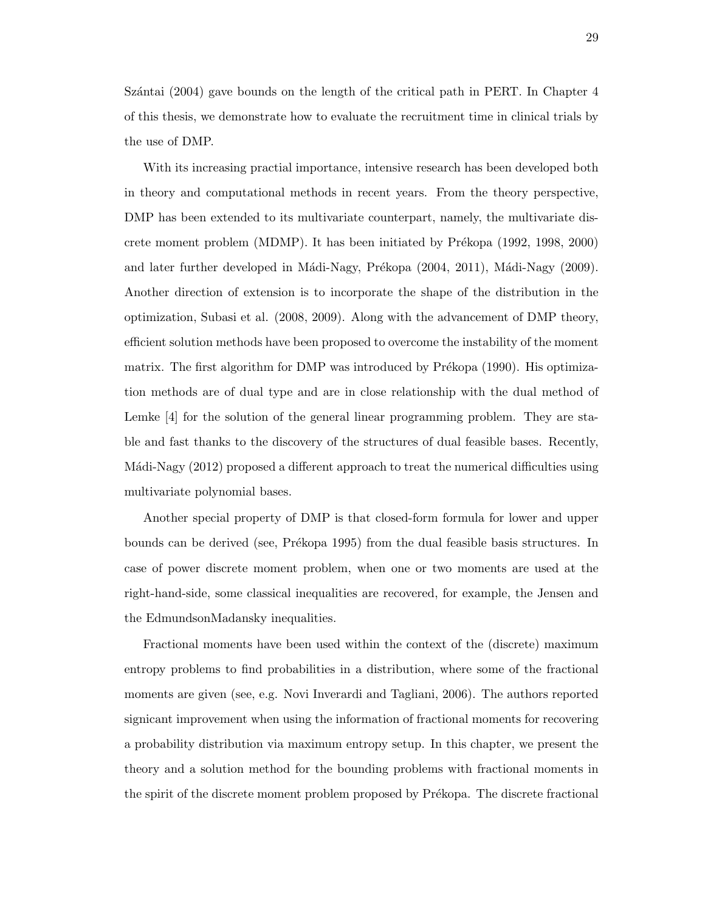Szántai (2004) gave bounds on the length of the critical path in PERT. In Chapter 4 of this thesis, we demonstrate how to evaluate the recruitment time in clinical trials by the use of DMP.

With its increasing practial importance, intensive research has been developed both in theory and computational methods in recent years. From the theory perspective, DMP has been extended to its multivariate counterpart, namely, the multivariate discrete moment problem (MDMP). It has been initiated by Prékopa (1992, 1998, 2000) and later further developed in Mádi-Nagy, Prékopa (2004, 2011), Mádi-Nagy (2009). Another direction of extension is to incorporate the shape of the distribution in the optimization, Subasi et al. (2008, 2009). Along with the advancement of DMP theory, efficient solution methods have been proposed to overcome the instability of the moment matrix. The first algorithm for DMP was introduced by Prékopa (1990). His optimization methods are of dual type and are in close relationship with the dual method of Lemke [4] for the solution of the general linear programming problem. They are stable and fast thanks to the discovery of the structures of dual feasible bases. Recently, Mádi-Nagy (2012) proposed a different approach to treat the numerical difficulties using multivariate polynomial bases.

Another special property of DMP is that closed-form formula for lower and upper bounds can be derived (see, Prékopa 1995) from the dual feasible basis structures. In case of power discrete moment problem, when one or two moments are used at the right-hand-side, some classical inequalities are recovered, for example, the Jensen and the EdmundsonMadansky inequalities.

Fractional moments have been used within the context of the (discrete) maximum entropy problems to find probabilities in a distribution, where some of the fractional moments are given (see, e.g. Novi Inverardi and Tagliani, 2006). The authors reported signicant improvement when using the information of fractional moments for recovering a probability distribution via maximum entropy setup. In this chapter, we present the theory and a solution method for the bounding problems with fractional moments in the spirit of the discrete moment problem proposed by Prékopa. The discrete fractional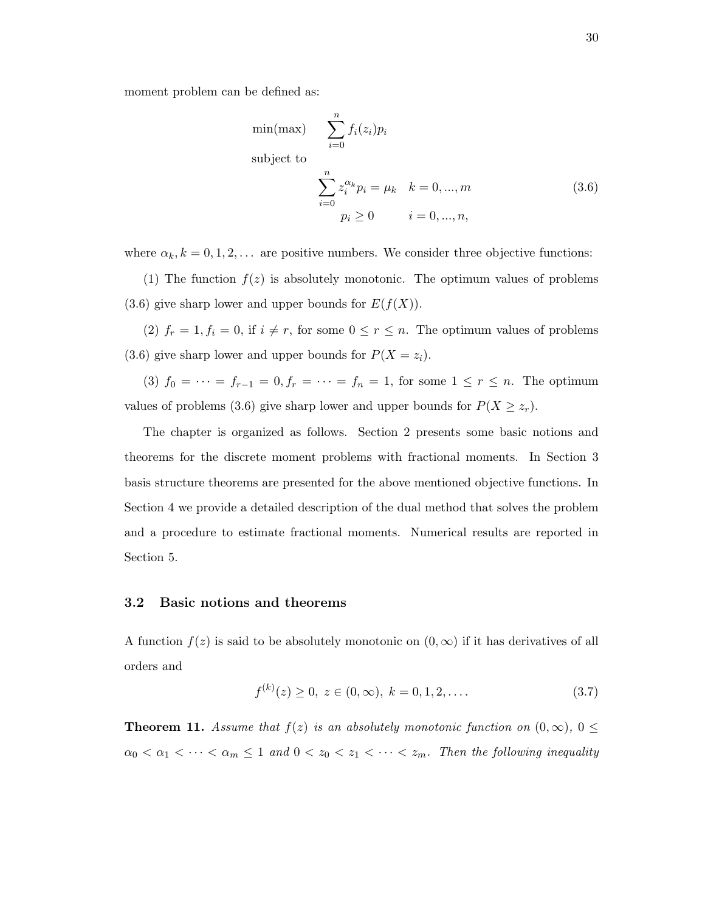moment problem can be defined as:

$$
\min(\max) \qquad \sum_{i=0}^{n} f_i(z_i) p_i
$$
\n
$$
\text{subject to}
$$
\n
$$
\sum_{i=0}^{n} z_i^{\alpha_k} p_i = \mu_k \quad k = 0, ..., m
$$
\n
$$
p_i \ge 0 \qquad i = 0, ..., n,
$$
\n(3.6)

where  $\alpha_k, k = 0, 1, 2, \dots$  are positive numbers. We consider three objective functions:

(1) The function  $f(z)$  is absolutely monotonic. The optimum values of problems  $(3.6)$  give sharp lower and upper bounds for  $E(f(X))$ .

(2)  $f_r = 1, f_i = 0$ , if  $i \neq r$ , for some  $0 \leq r \leq n$ . The optimum values of problems (3.6) give sharp lower and upper bounds for  $P(X = z_i)$ .

(3)  $f_0 = \cdots = f_{r-1} = 0, f_r = \cdots = f_n = 1$ , for some  $1 \le r \le n$ . The optimum values of problems (3.6) give sharp lower and upper bounds for  $P(X \geq z_r)$ .

The chapter is organized as follows. Section 2 presents some basic notions and theorems for the discrete moment problems with fractional moments. In Section 3 basis structure theorems are presented for the above mentioned objective functions. In Section 4 we provide a detailed description of the dual method that solves the problem and a procedure to estimate fractional moments. Numerical results are reported in Section 5.

#### 3.2 Basic notions and theorems

A function  $f(z)$  is said to be absolutely monotonic on  $(0, \infty)$  if it has derivatives of all orders and

$$
f^{(k)}(z) \ge 0, \ z \in (0, \infty), \ k = 0, 1, 2, \dots
$$
\n
$$
(3.7)
$$

**Theorem 11.** Assume that  $f(z)$  is an absolutely monotonic function on  $(0, \infty)$ ,  $0 \leq$  $\alpha_0 < \alpha_1 < \cdots < \alpha_m \leq 1$  and  $0 < z_0 < z_1 < \cdots < z_m$ . Then the following inequality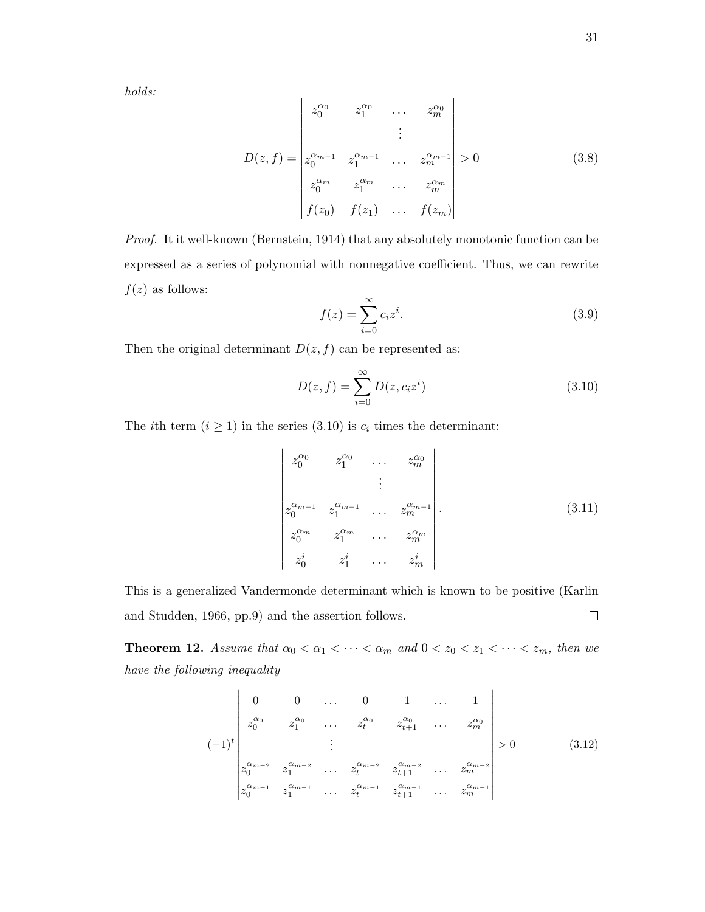holds:

$$
D(z,f) = \begin{vmatrix} z_0^{\alpha_0} & z_1^{\alpha_0} & \dots & z_m^{\alpha_0} \\ \vdots & & \vdots \\ z_0^{\alpha_{m-1}} & z_1^{\alpha_{m-1}} & \dots & z_m^{\alpha_{m-1}} \\ z_0^{\alpha_m} & z_1^{\alpha_m} & \dots & z_m^{\alpha_m} \\ f(z_0) & f(z_1) & \dots & f(z_m) \end{vmatrix} > 0
$$
 (3.8)

Proof. It it well-known (Bernstein, 1914) that any absolutely monotonic function can be expressed as a series of polynomial with nonnegative coefficient. Thus, we can rewrite  $f(z)$  as follows:

$$
f(z) = \sum_{i=0}^{\infty} c_i z^i.
$$
 (3.9)

Then the original determinant  $D(z, f)$  can be represented as:

$$
D(z, f) = \sum_{i=0}^{\infty} D(z, c_i z^i)
$$
 (3.10)

The *i*th term  $(i \geq 1)$  in the series (3.10) is  $c_i$  times the determinant:

$$
\begin{vmatrix} z_0^{\alpha_0} & z_1^{\alpha_0} & \dots & z_m^{\alpha_0} \\ & & \vdots & \\ z_0^{\alpha_{m-1}} & z_1^{\alpha_{m-1}} & \dots & z_m^{\alpha_{m-1}} \\ z_0^{\alpha_m} & z_1^{\alpha_m} & \dots & z_m^{\alpha_m} \\ z_0^i & z_1^i & \dots & z_m^i \end{vmatrix} . \tag{3.11}
$$

This is a generalized Vandermonde determinant which is known to be positive (Karlin  $\Box$ and Studden, 1966, pp.9) and the assertion follows.

**Theorem 12.** Assume that  $\alpha_0 < \alpha_1 < \cdots < \alpha_m$  and  $0 < z_0 < z_1 < \cdots < z_m$ , then we have the following inequality

$$
(-1)^{t} \begin{vmatrix} 0 & 0 & \dots & 0 & 1 & \dots & 1 \\ z_0^{\alpha_0} & z_1^{\alpha_0} & \dots & z_t^{\alpha_0} & z_{t+1}^{\alpha_0} & \dots & z_m^{\alpha_0} \\ \vdots & \vdots & \ddots & \vdots & \vdots \\ z_0^{\alpha_{m-2}} & z_1^{\alpha_{m-2}} & \dots & z_t^{\alpha_{m-2}} & z_{t+1}^{\alpha_{m-2}} & \dots & z_m^{\alpha_{m-2}} \\ z_0^{\alpha_{m-1}} & z_1^{\alpha_{m-1}} & \dots & z_t^{\alpha_{m-1}} & z_{t+1}^{\alpha_{m-1}} & \dots & z_m^{\alpha_{m-1}} \end{vmatrix} > 0
$$
 (3.12)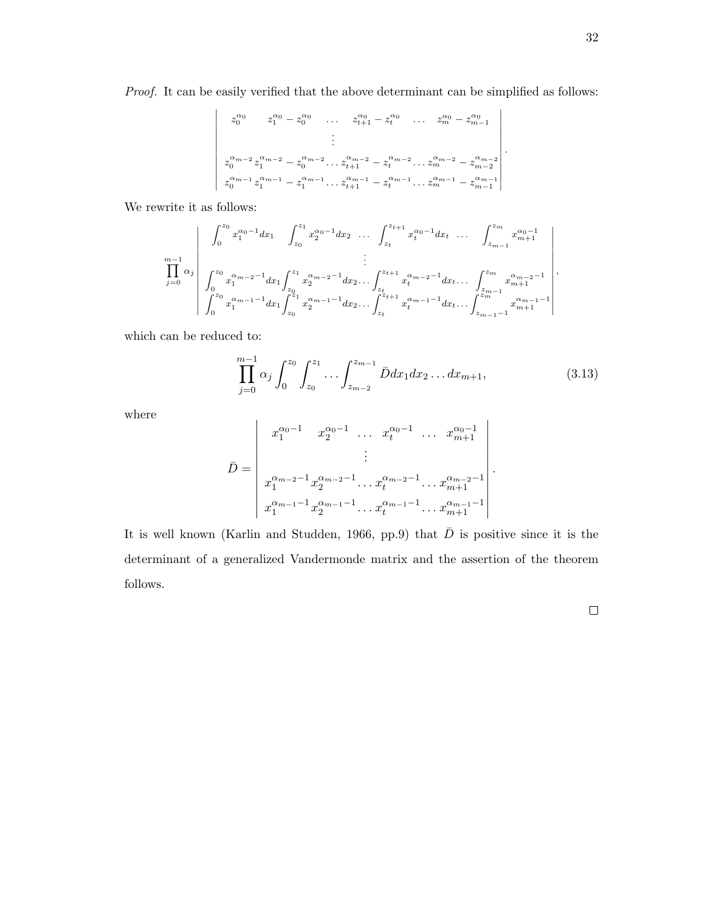Proof. It can be easily verified that the above determinant can be simplified as follows:

$$
\begin{vmatrix}\nz_0^{\alpha_0} & z_1^{\alpha_0} - z_0^{\alpha_0} & \dots & z_{t+1}^{\alpha_0} - z_t^{\alpha_0} & \dots & z_m^{\alpha_0} - z_{m-1}^{\alpha_0} \\
\vdots & & & \vdots \\
z_0^{\alpha_{m-2}} z_1^{\alpha_{m-2}} - z_0^{\alpha_{m-2}} \dots z_{t+1}^{\alpha_{m-2}} - z_t^{\alpha_{m-2}} \dots z_m^{\alpha_{m-2}} - z_{m-2}^{\alpha_{m-2}} \\
z_0^{\alpha_{m-1}} z_1^{\alpha_{m-1}} - z_1^{\alpha_{m-1}} \dots z_{t+1}^{\alpha_{m-1}} - z_t^{\alpha_{m-1}} \dots z_m^{\alpha_{m-1}} - z_{m-1}^{\alpha_{m-1}}\n\end{vmatrix}
$$

We rewrite it as follows:

$$
\prod_{j=0}^{m-1} \alpha_j \begin{vmatrix} \int_0^{z_0} x_1^{\alpha_0-1} dx_1 & \int_{z_0}^{z_1} x_2^{\alpha_0-1} dx_2 & \dots & \int_{z_t}^{z_{t+1}} x_t^{\alpha_0-1} dx_t & \dots & \int_{z_{m-1}}^{z_m} x_{m+1}^{\alpha_0-1} \\ \vdots & & & \vdots \\ \int_0^{z_0} x_1^{\alpha_{m-2}-1} dx_1 \int_{z_0}^{z_1} x_2^{\alpha_{m-2}-1} dx_2 & \dots & \int_{z_t}^{z_{t+1}} x_t^{\alpha_{m-2}-1} dx_t & \dots & \int_{z_{m-1}}^{z_m} x_{m+1}^{\alpha_{m-2}-1} \\ \int_0^{z_0} x_1^{\alpha_{m-1}-1} dx_1 \int_{z_0}^{z_1} x_2^{\alpha_{m-1}-1} dx_2 & \dots & \int_{z_t}^{z_{t+1}} x_t^{\alpha_{m-1}-1} dx_t & \dots & \int_{z_{m-1}-1}^{z_m} x_{m+1}^{\alpha_{m-1}-1} \end{vmatrix},
$$

which can be reduced to:

$$
\prod_{j=0}^{m-1} \alpha_j \int_0^{z_0} \int_{z_0}^{z_1} \dots \int_{z_{m-2}}^{z_{m-1}} \bar{D} dx_1 dx_2 \dots dx_{m+1},
$$
\n(3.13)

where

$$
\bar{D} = \begin{vmatrix} x_1^{\alpha_0 - 1} & x_2^{\alpha_0 - 1} & \dots & x_t^{\alpha_0 - 1} & \dots & x_{m+1}^{\alpha_0 - 1} \\ & \vdots & & \vdots & \vdots \\ x_1^{\alpha_{m-2} - 1} x_2^{\alpha_{m-2} - 1} & \dots & x_t^{\alpha_{m-2} - 1} & \dots & x_{m+1}^{\alpha_{m-2} - 1} \\ x_1^{\alpha_{m-1} - 1} x_2^{\alpha_{m-1} - 1} & \dots & x_t^{\alpha_{m-1} - 1} & \dots & x_{m+1}^{\alpha_{m-1} - 1} \end{vmatrix}.
$$

It is well known (Karlin and Studden, 1966, pp.9) that  $\overline{D}$  is positive since it is the determinant of a generalized Vandermonde matrix and the assertion of the theorem follows.

 $\Box$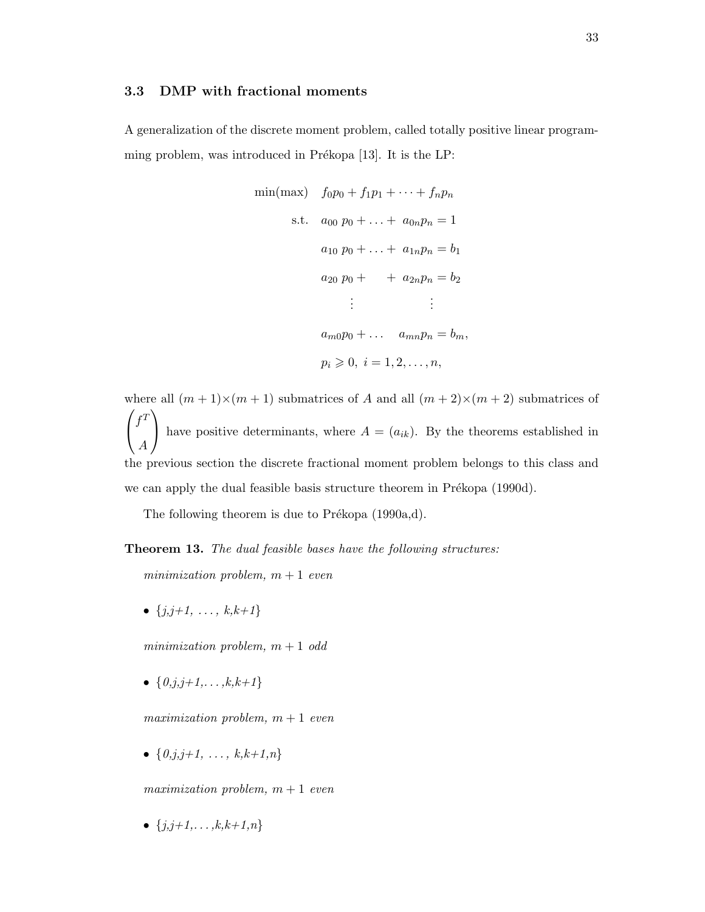## 3.3 DMP with fractional moments

A generalization of the discrete moment problem, called totally positive linear programming problem, was introduced in Prékopa  $[13]$ . It is the LP:

$$
\min(\max) \quad f_0 p_0 + f_1 p_1 + \dots + f_n p_n
$$
\n
$$
\text{s.t.} \quad a_{00} \ p_0 + \dots + a_{0n} p_n = 1
$$
\n
$$
a_{10} \ p_0 + \dots + a_{1n} p_n = b_1
$$
\n
$$
a_{20} \ p_0 + \dots + a_{2n} p_n = b_2
$$
\n
$$
\vdots \qquad \vdots
$$
\n
$$
a_{m0} p_0 + \dots + a_{mn} p_n = b_m,
$$
\n
$$
p_i \geqslant 0, \ i = 1, 2, \dots, n,
$$

where all  $(m + 1) \times (m + 1)$  submatrices of A and all  $(m + 2) \times (m + 2)$  submatrices of  $\sqrt{ }$  $\mathcal{L}$  $f^T$ A  $\setminus$ have positive determinants, where  $A = (a_{ik})$ . By the theorems established in the previous section the discrete fractional moment problem belongs to this class and we can apply the dual feasible basis structure theorem in Prékopa (1990d).

The following theorem is due to Prékopa  $(1990a,d)$ .

**Theorem 13.** The dual feasible bases have the following structures:

minimization problem,  $m + 1$  even

•  $\{j, j+1, \ldots, k, k+1\}$ 

minimization problem,  $m + 1$  odd

•  $\{0, j, j+1, \ldots, k, k+1\}$ 

maximization problem,  $m + 1$  even

•  $\{0,j,j+1, \ldots, k,k+1,n\}$ 

maximization problem,  $m + 1$  even

•  $\{j, j+1, \ldots, k, k+1, n\}$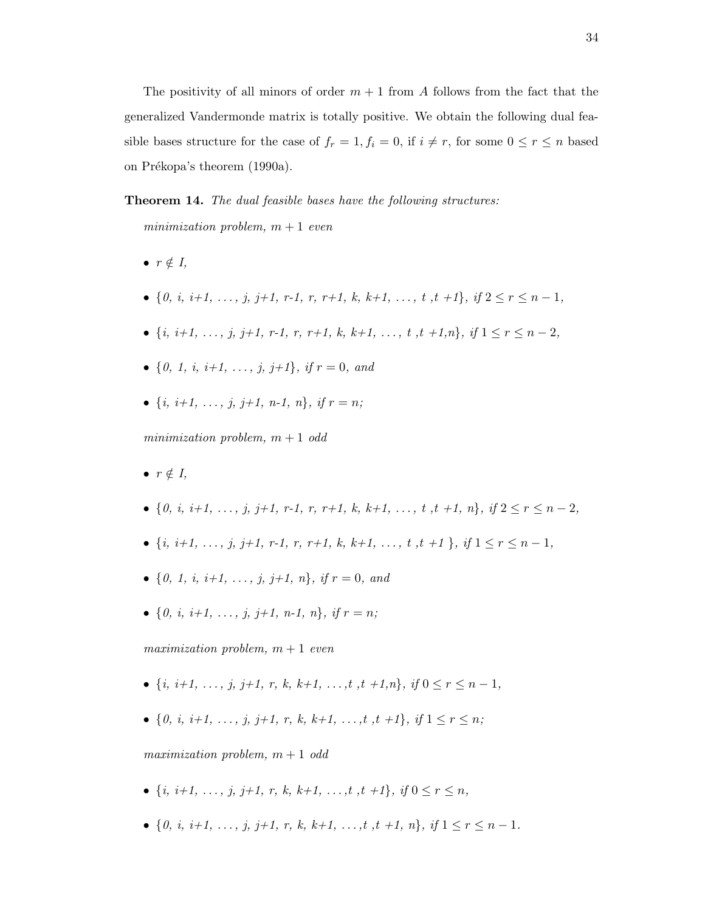The positivity of all minors of order  $m + 1$  from A follows from the fact that the generalized Vandermonde matrix is totally positive. We obtain the following dual feasible bases structure for the case of  $f_r = 1, f_i = 0$ , if  $i \neq r$ , for some  $0 \leq r \leq n$  based on Prékopa's theorem (1990a).

#### **Theorem 14.** The dual feasible bases have the following structures:

minimization problem,  $m + 1$  even

- $r \notin I$ ,
- {0, i, i+1, ..., j, j+1, r-1, r, r+1, k, k+1, ..., t, t +1}, if  $2 \le r \le n-1$ ,
- $\{i, i+1, \ldots, j, j+1, r-1, r, r+1, k, k+1, \ldots, t, t+1, n\}, if 1 \leq r \leq n-2.$
- {0, 1, i, i+1, ..., i, i+1}, if  $r = 0$ , and
- $\{i, i+1, \ldots, i, i+1, n-1, n\}, \text{ if } r = n;$

minimization problem,  $m + 1$  odd

- $\bullet$   $r \notin I$ ,
- {0, i, i+1, ..., i, i+1, r-1, r, r+1, k, k+1, ..., t, t, +1, n}, if  $2 \le r \le n-2$ .
- $\{i, i+1, \ldots, j, j+1, r-1, r, r+1, k, k+1, \ldots, t, t+1 \}$ , if  $1 \leq r \leq n-1$ ,
- {0, 1, i, i+1, ..., j, j+1, n}, if  $r = 0$ , and
- { $0, i, i+1, \ldots, j, j+1, n-1, n$ }, if  $r = n$ :

maximization problem,  $m + 1$  even

- $\{i, i+1, \ldots, j, j+1, r, k, k+1, \ldots, t, t+1, n\}, \text{ if } 0 \leq r \leq n-1,$
- {0, i, i+1, ..., j, j+1, r, k, k+1, ..., t, t +1}, if  $1 \le r \le n$ ;

maximization problem,  $m + 1$  odd

- $\{i, i+1, \ldots, j, j+1, r, k, k+1, \ldots, t, t+1\}, \text{ if } 0 \leq r \leq n,$
- {0, i, i+1, ..., j, j+1, r, k, k+1, ..., t, t +1, n}, if  $1 \le r \le n-1$ .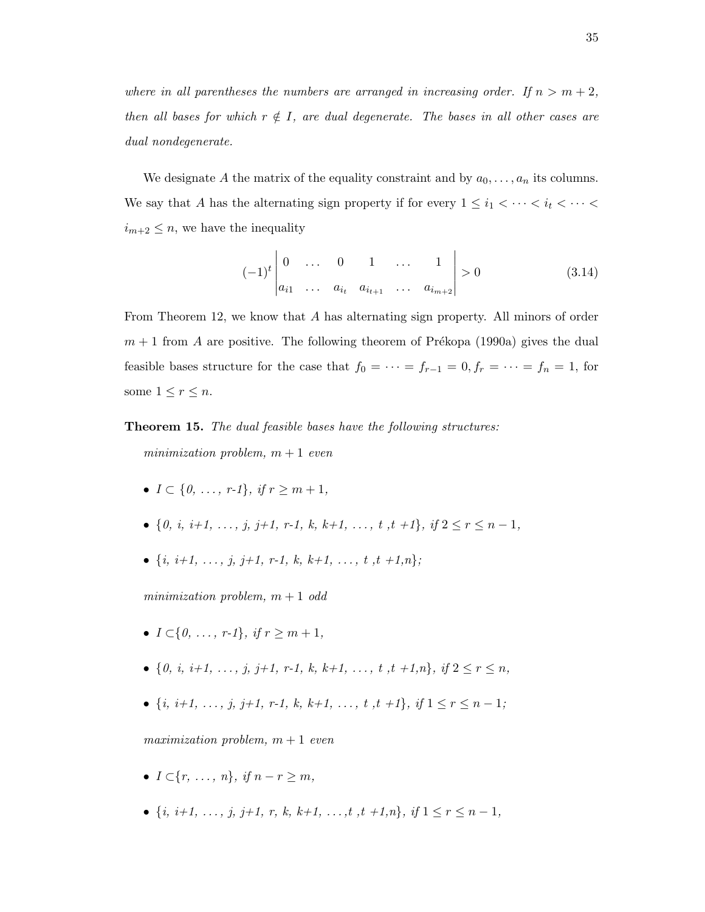where in all parentheses the numbers are arranged in increasing order. If  $n > m + 2$ , then all bases for which  $r \notin I$ , are dual degenerate. The bases in all other cases are dual nondegenerate.

We designate A the matrix of the equality constraint and by  $a_0, \ldots, a_n$  its columns. We say that A has the alternating sign property if for every  $1 \leq i_1 < \cdots < i_t < \cdots <$  $i_{m+2} \leq n$ , we have the inequality

$$
(-1)^{t} \begin{vmatrix} 0 & \dots & 0 & 1 & \dots & 1 \\ a_{i1} & \dots & a_{i_t} & a_{i_{t+1}} & \dots & a_{i_{m+2}} \end{vmatrix} > 0
$$
 (3.14)

From Theorem 12, we know that A has alternating sign property. All minors of order  $m + 1$  from A are positive. The following theorem of Prékopa (1990a) gives the dual feasible bases structure for the case that  $f_0 = \cdots = f_{r-1} = 0, f_r = \cdots = f_n = 1$ , for some  $1 \leq r \leq n$ .

**Theorem 15.** The dual feasible bases have the following structures:

minimization problem,  $m + 1$  even

- $I \subset \{0, \ldots, r-1\}, \text{ if } r > m+1,$
- {0, i, i+1, ..., j, j+1, r-1, k, k+1, ..., t, t +1}, if  $2 \le r \le n-1$ ,
- $\{i, i+1, \ldots, j, j+1, r-1, k, k+1, \ldots, t, t+1, n\};$

minimization problem,  $m + 1$  odd

- $I \subset \{0, \ldots, r-1\}, \text{ if } r \geq m+1,$
- {0, i, i+1, ..., i, i+1, r-1, k, k+1, ..., t, t +1,n}, if  $2 \le r \le n$ .
- $\{i, i+1, \ldots, j, j+1, r-1, k, k+1, \ldots, t, t+1\}, \text{ if } 1 \leq r \leq n-1;$

maximization problem,  $m + 1$  even

- $I \subset \{r, \ldots, n\}, \text{ if } n r \geq m,$
- $\{i, i+1, \ldots, j, j+1, r, k, k+1, \ldots, t, t+1, n\}, \text{ if } 1 \leq r \leq n-1,$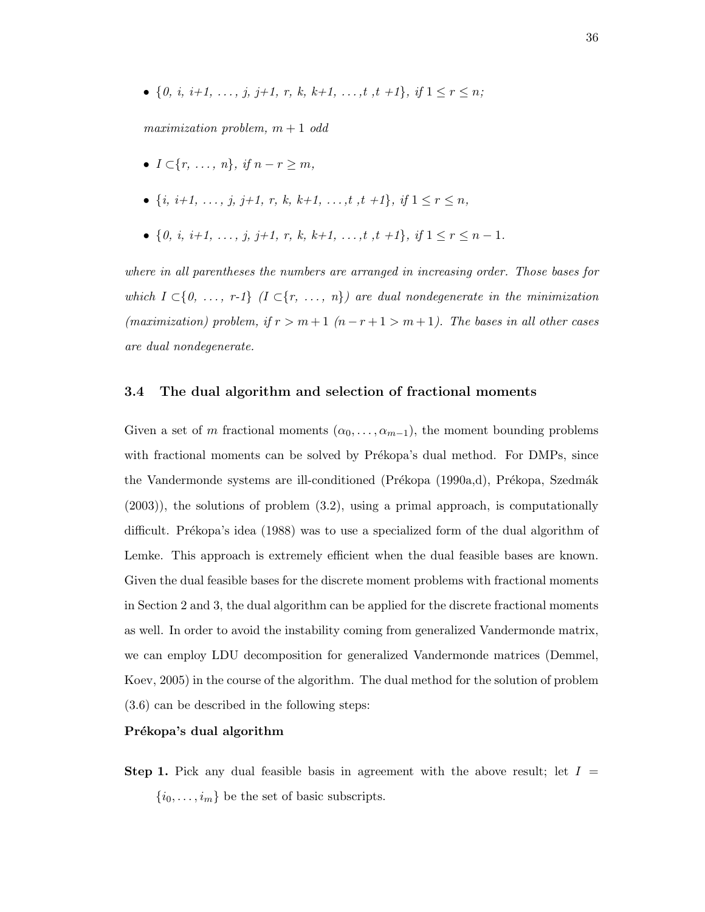• {0, i, i+1, ..., j, j+1, r, k, k+1, ..., t, +1}, if  $1 \le r \le n$ ;

maximization problem,  $m + 1$  odd

- $I \subset \{r, \ldots, n\}, \text{ if } n r \geq m,$
- $\{i, i+1, \ldots, j, j+1, r, k, k+1, \ldots, t, t+1\}, if 1 \leq r \leq n,$
- {0, i, i+1, ..., j, j+1, r, k, k+1, ..., t, t +1}, if  $1 \le r \le n-1$ .

where in all parentheses the numbers are arranged in increasing order. Those bases for which  $I \subset \{0, \ldots, r-1\}$  ( $I \subset \{r, \ldots, n\}$ ) are dual nondegenerate in the minimization (maximization) problem, if  $r > m + 1$   $(n - r + 1 > m + 1)$ . The bases in all other cases are dual nondegenerate.

## 3.4 The dual algorithm and selection of fractional moments

Given a set of m fractional moments  $(\alpha_0, \ldots, \alpha_{m-1})$ , the moment bounding problems with fractional moments can be solved by Prékopa's dual method. For DMPs, since the Vandermonde systems are ill-conditioned (Prékopa (1990a,d), Prékopa, Szedmák (2003)), the solutions of problem (3.2), using a primal approach, is computationally difficult. Prékopa's idea (1988) was to use a specialized form of the dual algorithm of Lemke. This approach is extremely efficient when the dual feasible bases are known. Given the dual feasible bases for the discrete moment problems with fractional moments in Section 2 and 3, the dual algorithm can be applied for the discrete fractional moments as well. In order to avoid the instability coming from generalized Vandermonde matrix, we can employ LDU decomposition for generalized Vandermonde matrices (Demmel, Koev, 2005) in the course of the algorithm. The dual method for the solution of problem (3.6) can be described in the following steps:

## Prékopa's dual algorithm

**Step 1.** Pick any dual feasible basis in agreement with the above result; let  $I =$  $\{i_0, \ldots, i_m\}$  be the set of basic subscripts.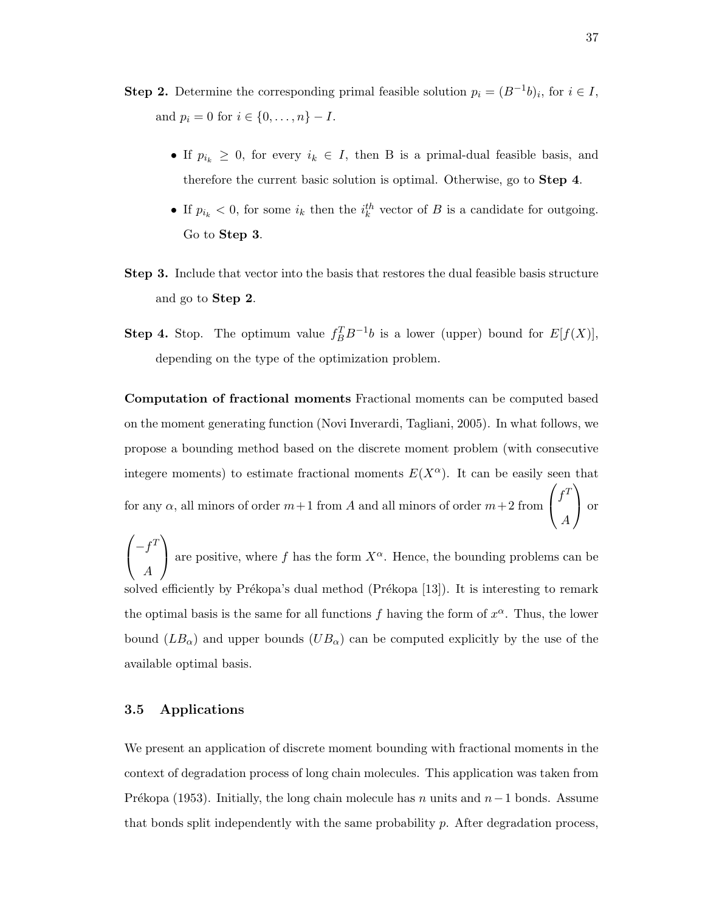- **Step 2.** Determine the corresponding primal feasible solution  $p_i = (B^{-1}b)_i$ , for  $i \in I$ , and  $p_i = 0$  for  $i \in \{0, ..., n\} - I$ .
	- If  $p_{i_k} \geq 0$ , for every  $i_k \in I$ , then B is a primal-dual feasible basis, and therefore the current basic solution is optimal. Otherwise, go to Step 4.
	- If  $p_{i_k} < 0$ , for some  $i_k$  then the  $i_k^{th}$  vector of B is a candidate for outgoing. Go to Step 3.
- Step 3. Include that vector into the basis that restores the dual feasible basis structure and go to Step 2.
- **Step 4.** Stop. The optimum value  $f_B^T B^{-1} b$  is a lower (upper) bound for  $E[f(X)]$ , depending on the type of the optimization problem.

Computation of fractional moments Fractional moments can be computed based on the moment generating function (Novi Inverardi, Tagliani, 2005). In what follows, we propose a bounding method based on the discrete moment problem (with consecutive integere moments) to estimate fractional moments  $E(X^{\alpha})$ . It can be easily seen that for any  $\alpha$ , all minors of order  $m+1$  from A and all minors of order  $m+2$  from  $\sqrt{ }$  $\overline{1}$  $f^T$ A  $\setminus$ or

 $\sqrt{ }$  $\overline{1}$  $-f<sup>T</sup>$ A  $\setminus$ are positive, where f has the form  $X^{\alpha}$ . Hence, the bounding problems can be solved efficiently by Prékopa's dual method (Prékopa  $[13]$ ). It is interesting to remark the optimal basis is the same for all functions f having the form of  $x^{\alpha}$ . Thus, the lower bound  $(LB_{\alpha})$  and upper bounds  $(UB_{\alpha})$  can be computed explicitly by the use of the available optimal basis.

## 3.5 Applications

We present an application of discrete moment bounding with fractional moments in the context of degradation process of long chain molecules. This application was taken from Prékopa (1953). Initially, the long chain molecule has n units and  $n-1$  bonds. Assume that bonds split independently with the same probability p. After degradation process,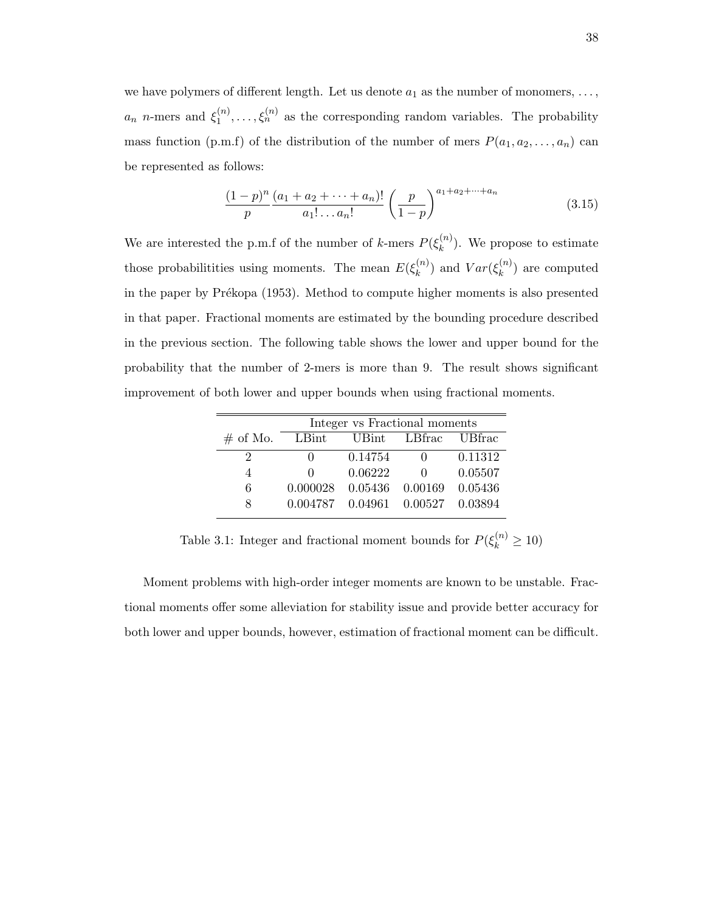we have polymers of different length. Let us denote  $a_1$  as the number of monomers, ...,  $a_n$  n-mers and  $\xi_1^{(n)}$  $\zeta_1^{(n)}, \ldots, \zeta_n^{(n)}$  as the corresponding random variables. The probability mass function (p.m.f) of the distribution of the number of mers  $P(a_1, a_2, \ldots, a_n)$  can be represented as follows:

$$
\frac{(1-p)^n}{p} \frac{(a_1 + a_2 + \dots + a_n)!}{a_1! \dots a_n!} \left(\frac{p}{1-p}\right)^{a_1 + a_2 + \dots + a_n} \tag{3.15}
$$

We are interested the p.m.f of the number of k-mers  $P(\xi_k^{(n)})$  $\binom{n}{k}$ . We propose to estimate those probabilitities using moments. The mean  $E(\xi_k^{(n)})$  $\binom{n}{k}$  and  $Var(\xi_k^{(n)})$  $\binom{n}{k}$  are computed in the paper by Prékopa (1953). Method to compute higher moments is also presented in that paper. Fractional moments are estimated by the bounding procedure described in the previous section. The following table shows the lower and upper bound for the probability that the number of 2-mers is more than 9. The result shows significant improvement of both lower and upper bounds when using fractional moments.

|          |              | Integer vs Fractional moments |                               |         |
|----------|--------------|-------------------------------|-------------------------------|---------|
| # of Mo. | LBint        | UBint                         | LBfrac UBfrac                 |         |
| '2       |              | 0.14754                       |                               | 0.11312 |
|          | $\mathbf{0}$ | 0.06222                       |                               | 0.05507 |
| 6        | 0.000028     | 0.05436 0.00169               |                               | 0.05436 |
| 8        | 0.004787     |                               | $0.04961$ $0.00527$ $0.03894$ |         |

Table 3.1: Integer and fractional moment bounds for  $P(\xi_k^{(n)} \ge 10)$ 

Moment problems with high-order integer moments are known to be unstable. Fractional moments offer some alleviation for stability issue and provide better accuracy for both lower and upper bounds, however, estimation of fractional moment can be difficult.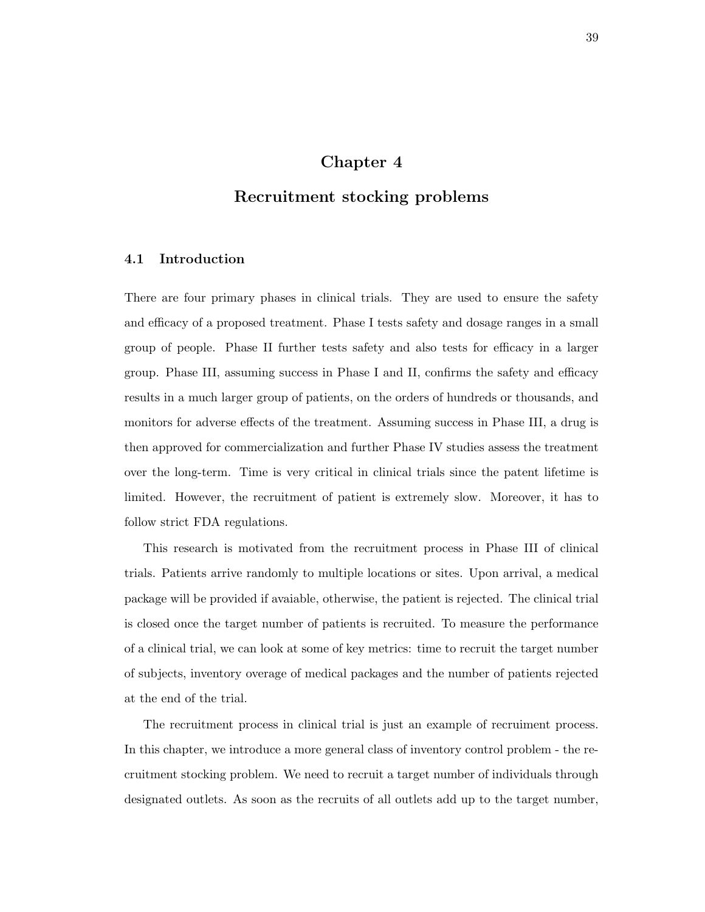# Chapter 4

# Recruitment stocking problems

## 4.1 Introduction

There are four primary phases in clinical trials. They are used to ensure the safety and efficacy of a proposed treatment. Phase I tests safety and dosage ranges in a small group of people. Phase II further tests safety and also tests for efficacy in a larger group. Phase III, assuming success in Phase I and II, confirms the safety and efficacy results in a much larger group of patients, on the orders of hundreds or thousands, and monitors for adverse effects of the treatment. Assuming success in Phase III, a drug is then approved for commercialization and further Phase IV studies assess the treatment over the long-term. Time is very critical in clinical trials since the patent lifetime is limited. However, the recruitment of patient is extremely slow. Moreover, it has to follow strict FDA regulations.

This research is motivated from the recruitment process in Phase III of clinical trials. Patients arrive randomly to multiple locations or sites. Upon arrival, a medical package will be provided if avaiable, otherwise, the patient is rejected. The clinical trial is closed once the target number of patients is recruited. To measure the performance of a clinical trial, we can look at some of key metrics: time to recruit the target number of subjects, inventory overage of medical packages and the number of patients rejected at the end of the trial.

The recruitment process in clinical trial is just an example of recruiment process. In this chapter, we introduce a more general class of inventory control problem - the recruitment stocking problem. We need to recruit a target number of individuals through designated outlets. As soon as the recruits of all outlets add up to the target number,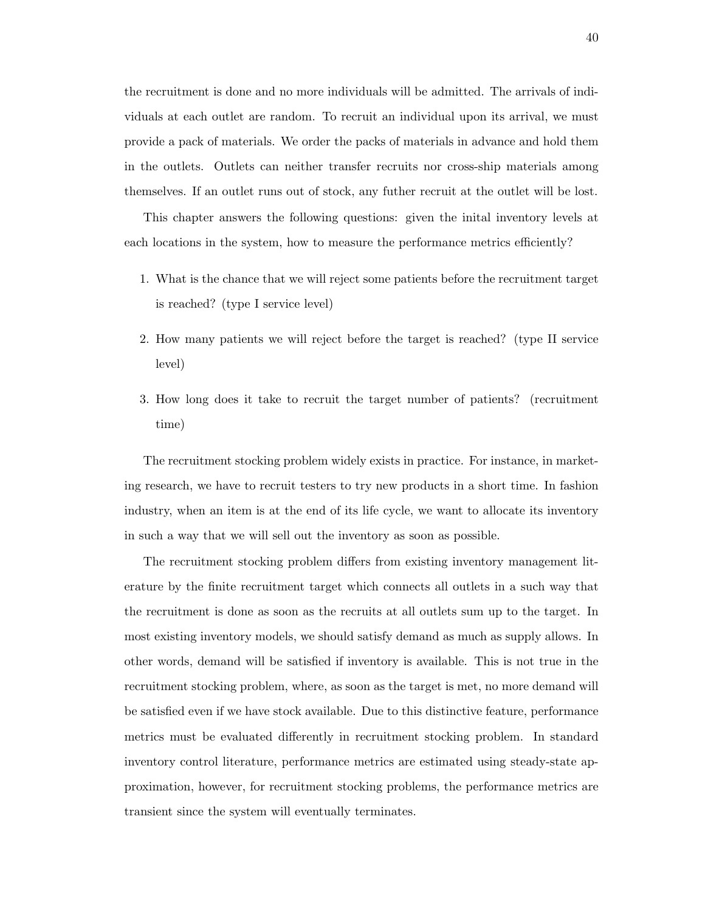the recruitment is done and no more individuals will be admitted. The arrivals of individuals at each outlet are random. To recruit an individual upon its arrival, we must provide a pack of materials. We order the packs of materials in advance and hold them in the outlets. Outlets can neither transfer recruits nor cross-ship materials among themselves. If an outlet runs out of stock, any futher recruit at the outlet will be lost.

This chapter answers the following questions: given the inital inventory levels at each locations in the system, how to measure the performance metrics efficiently?

- 1. What is the chance that we will reject some patients before the recruitment target is reached? (type I service level)
- 2. How many patients we will reject before the target is reached? (type II service level)
- 3. How long does it take to recruit the target number of patients? (recruitment time)

The recruitment stocking problem widely exists in practice. For instance, in marketing research, we have to recruit testers to try new products in a short time. In fashion industry, when an item is at the end of its life cycle, we want to allocate its inventory in such a way that we will sell out the inventory as soon as possible.

The recruitment stocking problem differs from existing inventory management literature by the finite recruitment target which connects all outlets in a such way that the recruitment is done as soon as the recruits at all outlets sum up to the target. In most existing inventory models, we should satisfy demand as much as supply allows. In other words, demand will be satisfied if inventory is available. This is not true in the recruitment stocking problem, where, as soon as the target is met, no more demand will be satisfied even if we have stock available. Due to this distinctive feature, performance metrics must be evaluated differently in recruitment stocking problem. In standard inventory control literature, performance metrics are estimated using steady-state approximation, however, for recruitment stocking problems, the performance metrics are transient since the system will eventually terminates.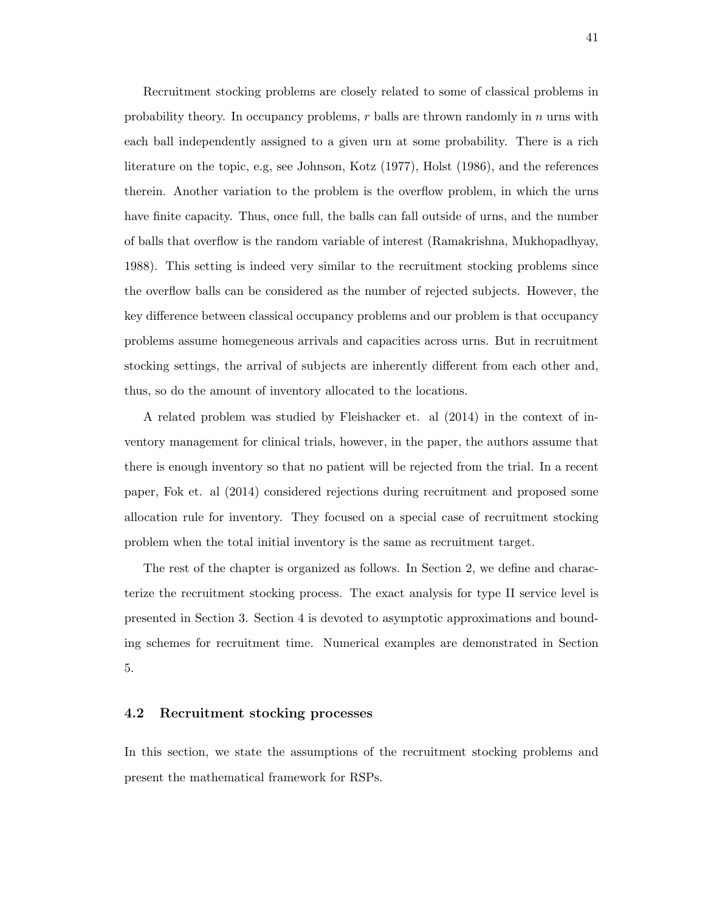Recruitment stocking problems are closely related to some of classical problems in probability theory. In occupancy problems,  $r$  balls are thrown randomly in  $n$  urns with each ball independently assigned to a given urn at some probability. There is a rich literature on the topic, e.g, see Johnson, Kotz (1977), Holst (1986), and the references therein. Another variation to the problem is the overflow problem, in which the urns have finite capacity. Thus, once full, the balls can fall outside of urns, and the number of balls that overflow is the random variable of interest (Ramakrishna, Mukhopadhyay, 1988). This setting is indeed very similar to the recruitment stocking problems since the overflow balls can be considered as the number of rejected subjects. However, the key difference between classical occupancy problems and our problem is that occupancy problems assume homegeneous arrivals and capacities across urns. But in recruitment stocking settings, the arrival of subjects are inherently different from each other and, thus, so do the amount of inventory allocated to the locations.

A related problem was studied by Fleishacker et. al (2014) in the context of inventory management for clinical trials, however, in the paper, the authors assume that there is enough inventory so that no patient will be rejected from the trial. In a recent paper, Fok et. al (2014) considered rejections during recruitment and proposed some allocation rule for inventory. They focused on a special case of recruitment stocking problem when the total initial inventory is the same as recruitment target.

The rest of the chapter is organized as follows. In Section 2, we define and characterize the recruitment stocking process. The exact analysis for type II service level is presented in Section 3. Section 4 is devoted to asymptotic approximations and bounding schemes for recruitment time. Numerical examples are demonstrated in Section 5.

## 4.2 Recruitment stocking processes

In this section, we state the assumptions of the recruitment stocking problems and present the mathematical framework for RSPs.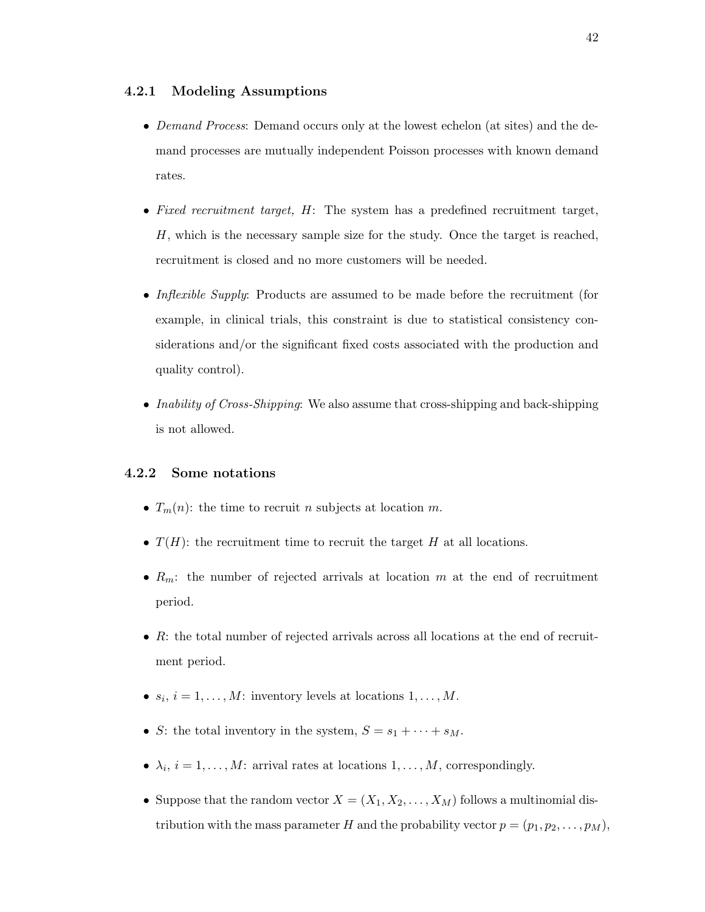## 4.2.1 Modeling Assumptions

- Demand Process: Demand occurs only at the lowest echelon (at sites) and the demand processes are mutually independent Poisson processes with known demand rates.
- Fixed recruitment target, H: The system has a predefined recruitment target, H, which is the necessary sample size for the study. Once the target is reached, recruitment is closed and no more customers will be needed.
- Inflexible Supply: Products are assumed to be made before the recruitment (for example, in clinical trials, this constraint is due to statistical consistency considerations and/or the significant fixed costs associated with the production and quality control).
- Inability of Cross-Shipping: We also assume that cross-shipping and back-shipping is not allowed.

## 4.2.2 Some notations

- $T_m(n)$ : the time to recruit n subjects at location m.
- $T(H)$ : the recruitment time to recruit the target H at all locations.
- $R_m$ : the number of rejected arrivals at location m at the end of recruitment period.
- $\bullet$  R: the total number of rejected arrivals across all locations at the end of recruitment period.
- $s_i$ ,  $i = 1, ..., M$ : inventory levels at locations  $1, ..., M$ .
- S: the total inventory in the system,  $S = s_1 + \cdots + s_M$ .
- $\lambda_i, i = 1, \ldots, M$ : arrival rates at locations  $1, \ldots, M$ , correspondingly.
- Suppose that the random vector  $X = (X_1, X_2, \ldots, X_M)$  follows a multinomial distribution with the mass parameter H and the probability vector  $p = (p_1, p_2, \ldots, p_M)$ ,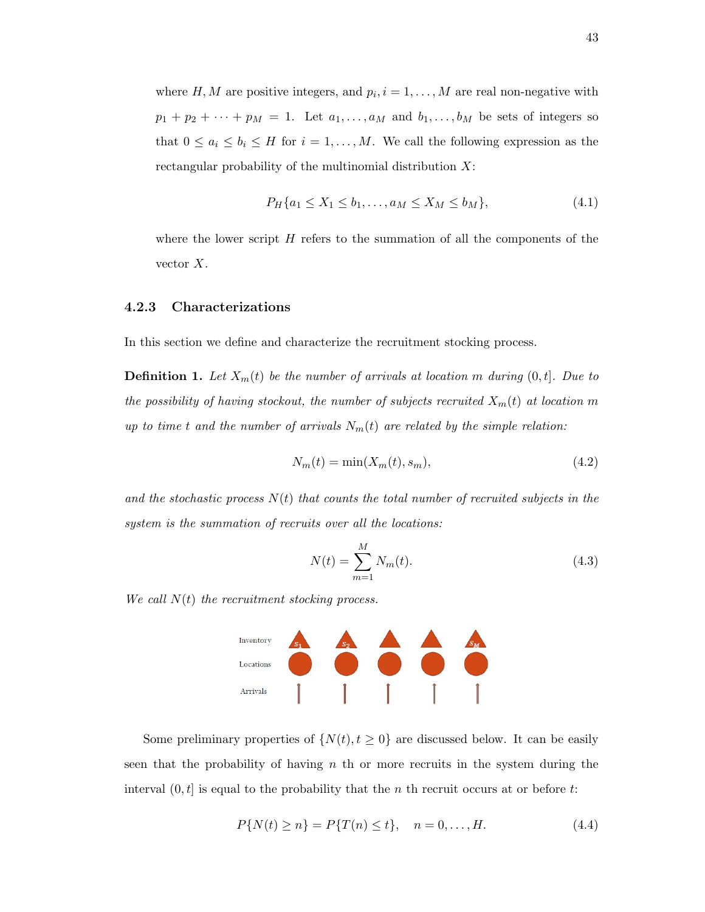where  $H, M$  are positive integers, and  $p_i, i = 1, \ldots, M$  are real non-negative with  $p_1 + p_2 + \cdots + p_M = 1$ . Let  $a_1, \ldots, a_M$  and  $b_1, \ldots, b_M$  be sets of integers so that  $0 \le a_i \le b_i \le H$  for  $i = 1, ..., M$ . We call the following expression as the rectangular probability of the multinomial distribution X:

$$
P_H\{a_1 \le X_1 \le b_1, \dots, a_M \le X_M \le b_M\},\tag{4.1}
$$

where the lower script  $H$  refers to the summation of all the components of the vector X.

#### 4.2.3 Characterizations

In this section we define and characterize the recruitment stocking process.

**Definition 1.** Let  $X_m(t)$  be the number of arrivals at location m during  $(0, t]$ . Due to the possibility of having stockout, the number of subjects recruited  $X_m(t)$  at location m up to time t and the number of arrivals  $N_m(t)$  are related by the simple relation:

$$
N_m(t) = \min(X_m(t), s_m),\tag{4.2}
$$

and the stochastic process  $N(t)$  that counts the total number of recruited subjects in the system is the summation of recruits over all the locations:

$$
N(t) = \sum_{m=1}^{M} N_m(t).
$$
 (4.3)

We call  $N(t)$  the recruitment stocking process.



Some preliminary properties of  $\{N(t), t \geq 0\}$  are discussed below. It can be easily seen that the probability of having  $n$  th or more recruits in the system during the interval  $(0, t]$  is equal to the probability that the n th recruit occurs at or before t:

$$
P\{N(t) \ge n\} = P\{T(n) \le t\}, \quad n = 0, \dots, H. \tag{4.4}
$$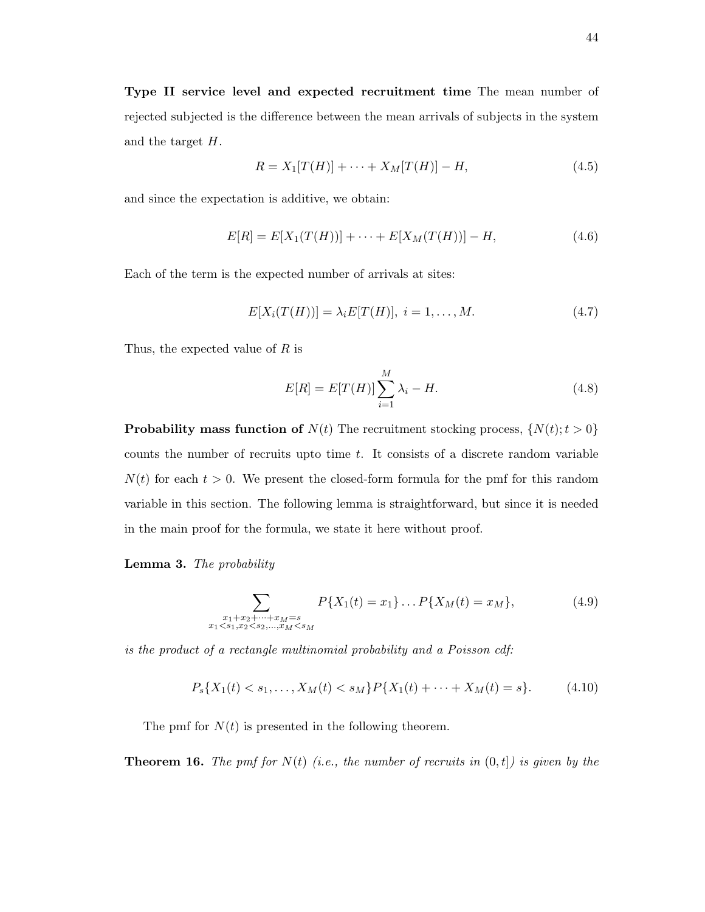Type II service level and expected recruitment time The mean number of rejected subjected is the difference between the mean arrivals of subjects in the system and the target H.

$$
R = X_1[T(H)] + \dots + X_M[T(H)] - H,\tag{4.5}
$$

and since the expectation is additive, we obtain:

$$
E[R] = E[X_1(T(H))] + \cdots + E[X_M(T(H))] - H,
$$
\n(4.6)

Each of the term is the expected number of arrivals at sites:

$$
E[X_i(T(H))] = \lambda_i E[T(H)], \ i = 1, ..., M.
$$
 (4.7)

Thus, the expected value of R is

$$
E[R] = E[T(H)] \sum_{i=1}^{M} \lambda_i - H.
$$
\n(4.8)

**Probability mass function of**  $N(t)$  The recruitment stocking process,  $\{N(t); t > 0\}$ counts the number of recruits upto time  $t$ . It consists of a discrete random variable  $N(t)$  for each  $t > 0$ . We present the closed-form formula for the pmf for this random variable in this section. The following lemma is straightforward, but since it is needed in the main proof for the formula, we state it here without proof.

## Lemma 3. The probability

$$
\sum_{\substack{x_1+x_2+\cdots+x_M=s\\x_1
$$

is the product of a rectangle multinomial probability and a Poisson cdf:

$$
P_s\{X_1(t) < s_1, \dots, X_M(t) < s_M\} P\{X_1(t) + \dots + X_M(t) = s\}.\tag{4.10}
$$

The pmf for  $N(t)$  is presented in the following theorem.

**Theorem 16.** The pmf for  $N(t)$  (i.e., the number of recruits in  $(0,t]$ ) is given by the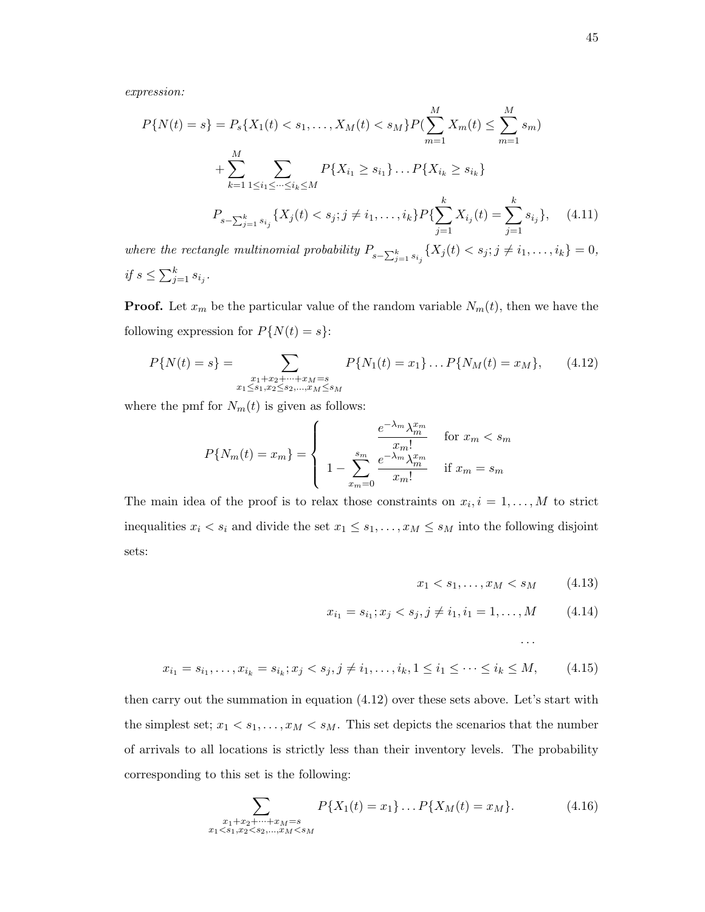expression:

$$
P\{N(t) = s\} = P_s\{X_1(t) < s_1, \dots, X_M(t) < s_M\} P\left(\sum_{m=1}^M X_m(t) \le \sum_{m=1}^M s_m\right)
$$
\n
$$
+ \sum_{k=1}^M \sum_{1 \le i_1 \le \dots \le i_k \le M} P\{X_{i_1} \ge s_{i_1}\} \dots P\{X_{i_k} \ge s_{i_k}\}
$$
\n
$$
P_{s - \sum_{j=1}^k s_{i_j}}\{X_j(t) < s_j; j \ne i_1, \dots, i_k\} P\{\sum_{j=1}^k X_{i_j}(t) = \sum_{j=1}^k s_{i_j}\}, \quad (4.11)
$$
\nere the rectangle multinomial probability  $P_{s - \sum_{j=1}^k s_j} \{X_j(t) < s_j; j \ne i_1, \dots, i_k\} = 0,$ 

where the rectangle multinomial probability  $P_{s-\sum_{j=1}^k s_{i_j}}\{X_j(t) < s_j; j \neq i_1, \ldots, i_k\} = 0,$ if  $s \leq \sum_{j=1}^k s_{i_j}$ .

**Proof.** Let  $x_m$  be the particular value of the random variable  $N_m(t)$ , then we have the following expression for  $P\{N(t) = s\}$ :

$$
P\{N(t) = s\} = \sum_{\substack{x_1 + x_2 + \dots + x_M = s \\ x_1 \le s_1, x_2 \le s_2, \dots, x_M \le s_M}} P\{N_1(t) = x_1\} \dots P\{N_M(t) = x_M\},\qquad(4.12)
$$

where the pmf for  $N_m(t)$  is given as follows:

$$
P\{N_m(t) = x_m\} = \begin{cases} \n\frac{e^{-\lambda_m} \lambda_m^{x_m}}{x_m!} & \text{for } x_m < s_m\\ \n1 - \sum_{x_m=0}^{s_m} \frac{e^{-\lambda_m} \lambda_m^{x_m}}{x_m!} & \text{if } x_m = s_m \n\end{cases}
$$

The main idea of the proof is to relax those constraints on  $x_i, i = 1, \ldots, M$  to strict inequalities  $x_i < s_i$  and divide the set  $x_1 \leq s_1, \ldots, x_M \leq s_M$  into the following disjoint sets:

$$
x_1 < s_1, \dots, x_M < s_M \tag{4.13}
$$

. . .

$$
x_{i_1} = s_{i_1}; x_j < s_j, j \neq i_1, i_1 = 1, \dots, M \tag{4.14}
$$

$$
x_{i_1} = s_{i_1}, \dots, x_{i_k} = s_{i_k}; x_j < s_j, j \neq i_1, \dots, i_k, 1 \leq i_1 \leq \dots \leq i_k \leq M,\tag{4.15}
$$

then carry out the summation in equation (4.12) over these sets above. Let's start with the simplest set;  $x_1 < s_1, \ldots, x_M < s_M$ . This set depicts the scenarios that the number of arrivals to all locations is strictly less than their inventory levels. The probability corresponding to this set is the following:

$$
\sum_{\substack{x_1+x_2+\cdots+x_M=s\\x_1 (4.16)
$$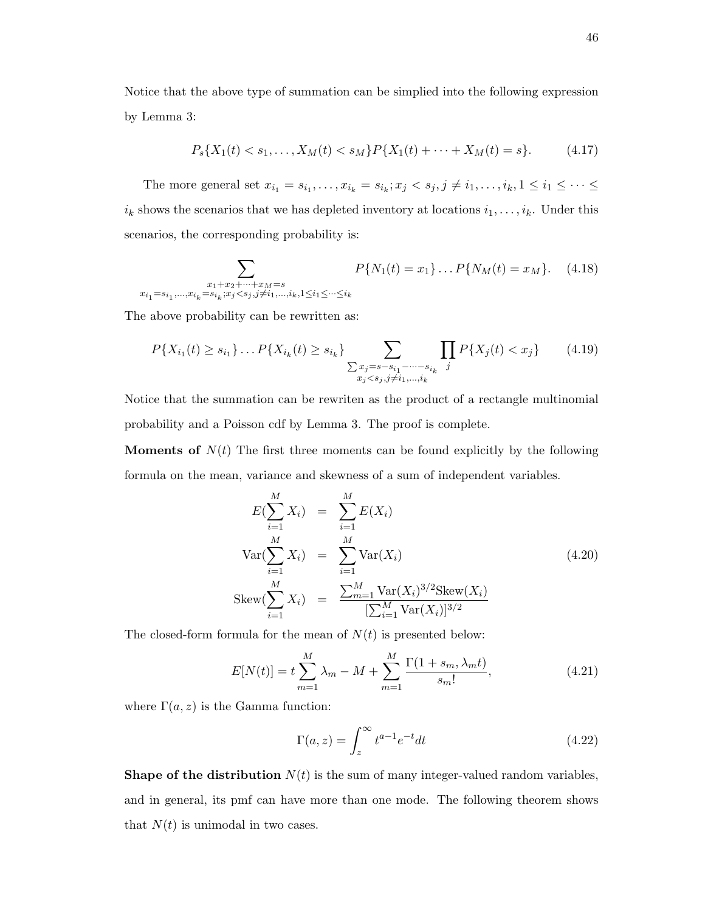Notice that the above type of summation can be simplied into the following expression by Lemma 3:

$$
P_s\{X_1(t) < s_1, \dots, X_M(t) < s_M\} P\{X_1(t) + \dots + X_M(t) = s\}.\tag{4.17}
$$

The more general set  $x_{i_1} = s_{i_1}, \ldots, x_{i_k} = s_{i_k}; x_j \lt s_j, j \neq i_1, \ldots, i_k, 1 \leq i_1 \leq \cdots \leq i_k$  $i_k$  shows the scenarios that we has depleted inventory at locations  $i_1, \ldots, i_k$ . Under this scenarios, the corresponding probability is:

$$
\sum_{\substack{x_1+x_2+\cdots+x_M=s\\x_{i_1}=s_{i_1},\ldots,x_{i_k}=s_{i_k}; x_j\leq s_j, j\neq i_1,\ldots,i_k, 1\leq i_1\leq\cdots\leq i_k}} P\{N_1(t)=x_1\}\ldots P\{N_M(t)=x_M\}.
$$
 (4.18)

The above probability can be rewritten as:

$$
P\{X_{i_1}(t) \ge s_{i_1}\}\dots P\{X_{i_k}(t) \ge s_{i_k}\}\n\sum_{\substack{\sum x_j = s - s_{i_1} - \dots - s_{i_k} \\ x_j < s_j, j \ne i_1, \dots, i_k}} \prod_j P\{X_j(t) < x_j\}\n\tag{4.19}
$$

Notice that the summation can be rewriten as the product of a rectangle multinomial probability and a Poisson cdf by Lemma 3. The proof is complete.

**Moments of**  $N(t)$  The first three moments can be found explicitly by the following formula on the mean, variance and skewness of a sum of independent variables.

$$
E(\sum_{i=1}^{M} X_i) = \sum_{i=1}^{M} E(X_i)
$$
  
\n
$$
Var(\sum_{i=1}^{M} X_i) = \sum_{i=1}^{M} Var(X_i)
$$
  
\n
$$
Skew(\sum_{i=1}^{M} X_i) = \frac{\sum_{m=1}^{M} Var(X_i)^{3/2} Skew(X_i)}{[\sum_{i=1}^{M} Var(X_i)]^{3/2}}
$$
\n(4.20)

The closed-form formula for the mean of  $N(t)$  is presented below:

$$
E[N(t)] = t \sum_{m=1}^{M} \lambda_m - M + \sum_{m=1}^{M} \frac{\Gamma(1 + s_m, \lambda_m t)}{s_m!},
$$
\n(4.21)

where  $\Gamma(a, z)$  is the Gamma function:

$$
\Gamma(a,z) = \int_{z}^{\infty} t^{a-1} e^{-t} dt
$$
\n(4.22)

**Shape of the distribution**  $N(t)$  is the sum of many integer-valued random variables, and in general, its pmf can have more than one mode. The following theorem shows that  $N(t)$  is unimodal in two cases.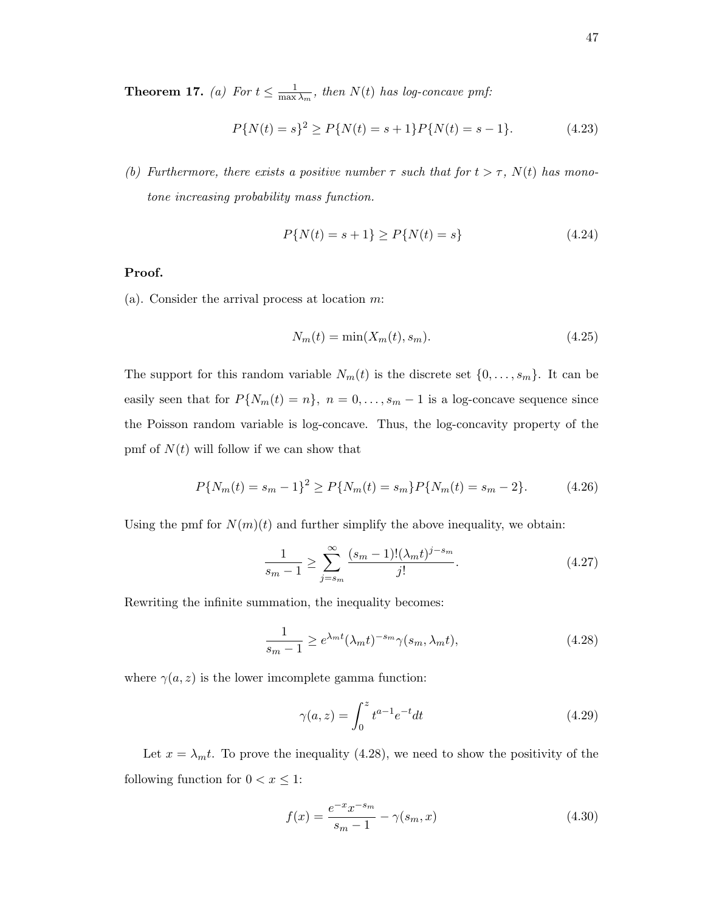**Theorem 17.** (a) For  $t \leq \frac{1}{\max}$  $\frac{1}{\max \lambda_m}$ , then  $N(t)$  has log-concave pmf:

$$
P\{N(t) = s\}^{2} \ge P\{N(t) = s + 1\}P\{N(t) = s - 1\}.
$$
\n(4.23)

(b) Furthermore, there exists a positive number  $\tau$  such that for  $t > \tau$ ,  $N(t)$  has monotone increasing probability mass function.

$$
P\{N(t) = s + 1\} \ge P\{N(t) = s\}
$$
\n(4.24)

## Proof.

(a). Consider the arrival process at location m:

$$
N_m(t) = \min(X_m(t), s_m). \tag{4.25}
$$

The support for this random variable  $N_m(t)$  is the discrete set  $\{0, \ldots, s_m\}$ . It can be easily seen that for  $P\{N_m(t) = n\}$ ,  $n = 0, \ldots, s_m - 1$  is a log-concave sequence since the Poisson random variable is log-concave. Thus, the log-concavity property of the pmf of  $N(t)$  will follow if we can show that

$$
P\{N_m(t) = s_m - 1\}^2 \ge P\{N_m(t) = s_m\} P\{N_m(t) = s_m - 2\}.
$$
 (4.26)

Using the pmf for  $N(m)(t)$  and further simplify the above inequality, we obtain:

$$
\frac{1}{s_m - 1} \ge \sum_{j = s_m}^{\infty} \frac{(s_m - 1)!(\lambda_m t)^{j - s_m}}{j!}.
$$
 (4.27)

Rewriting the infinite summation, the inequality becomes:

$$
\frac{1}{s_m - 1} \ge e^{\lambda_m t} (\lambda_m t)^{-s_m} \gamma(s_m, \lambda_m t), \tag{4.28}
$$

where  $\gamma(a, z)$  is the lower imcomplete gamma function:

$$
\gamma(a, z) = \int_0^z t^{a-1} e^{-t} dt
$$
\n(4.29)

Let  $x = \lambda_m t$ . To prove the inequality (4.28), we need to show the positivity of the following function for  $0 < x \leq 1$ :

$$
f(x) = \frac{e^{-x}x^{-s_m}}{s_m - 1} - \gamma(s_m, x)
$$
\n(4.30)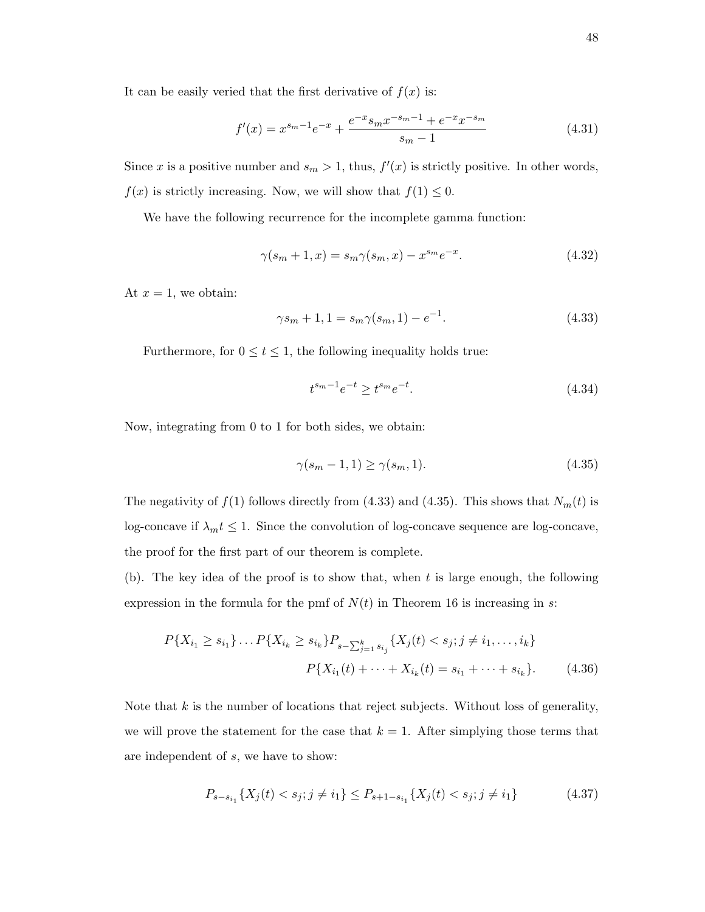It can be easily veried that the first derivative of  $f(x)$  is:

$$
f'(x) = x^{s_m - 1}e^{-x} + \frac{e^{-x}s_m x^{-s_m - 1} + e^{-x}x^{-s_m}}{s_m - 1}
$$
\n(4.31)

Since x is a positive number and  $s_m > 1$ , thus,  $f'(x)$  is strictly positive. In other words,  $f(x)$  is strictly increasing. Now, we will show that  $f(1) \leq 0$ .

We have the following recurrence for the incomplete gamma function:

$$
\gamma(s_m + 1, x) = s_m \gamma(s_m, x) - x^{s_m} e^{-x}.
$$
\n(4.32)

At  $x = 1$ , we obtain:

$$
\gamma s_m + 1, 1 = s_m \gamma(s_m, 1) - e^{-1}.
$$
\n(4.33)

Furthermore, for  $0 \le t \le 1$ , the following inequality holds true:

$$
t^{s_m - 1} e^{-t} \ge t^{s_m} e^{-t}.
$$
\n(4.34)

Now, integrating from 0 to 1 for both sides, we obtain:

$$
\gamma(s_m - 1, 1) \ge \gamma(s_m, 1). \tag{4.35}
$$

The negativity of  $f(1)$  follows directly from (4.33) and (4.35). This shows that  $N_m(t)$  is log-concave if  $\lambda_m t \leq 1$ . Since the convolution of log-concave sequence are log-concave, the proof for the first part of our theorem is complete.

(b). The key idea of the proof is to show that, when  $t$  is large enough, the following expression in the formula for the pmf of  $N(t)$  in Theorem 16 is increasing in s:

$$
P\{X_{i_1} \ge s_{i_1}\}\dots P\{X_{i_k} \ge s_{i_k}\}P_{s-\sum_{j=1}^k s_{i_j}}\{X_j(t) < s_j; j \ne i_1, \dots, i_k\}
$$
\n
$$
P\{X_{i_1}(t) + \dots + X_{i_k}(t) = s_{i_1} + \dots + s_{i_k}\}.\tag{4.36}
$$

Note that  $k$  is the number of locations that reject subjects. Without loss of generality, we will prove the statement for the case that  $k = 1$ . After simplying those terms that are independent of s, we have to show:

$$
P_{s-s_{i_1}}\{X_j(t) < s_j; j \neq i_1\} \le P_{s+1-s_{i_1}}\{X_j(t) < s_j; j \neq i_1\} \tag{4.37}
$$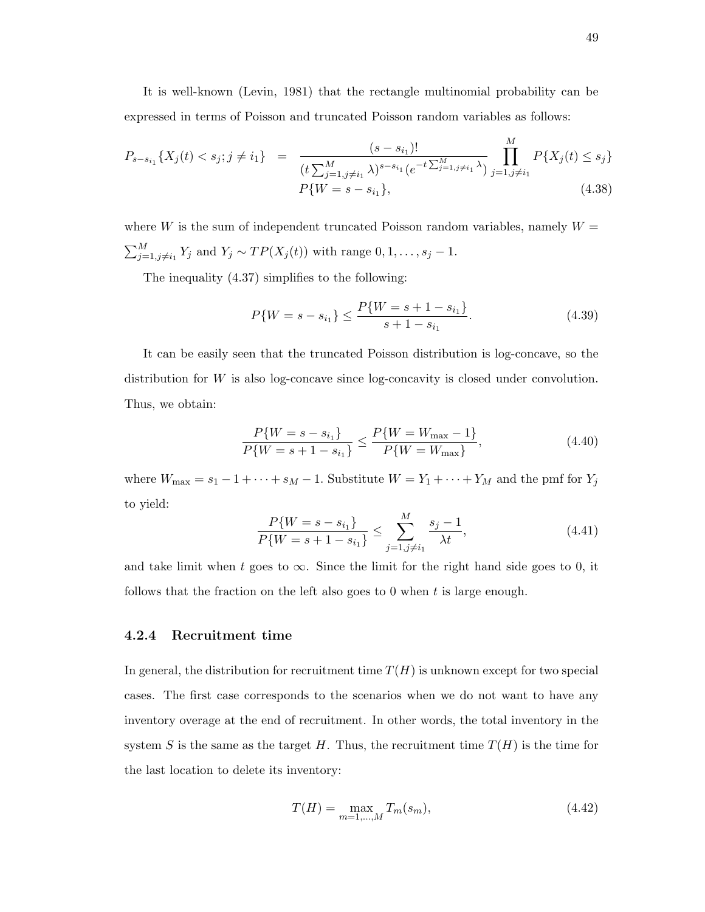It is well-known (Levin, 1981) that the rectangle multinomial probability can be expressed in terms of Poisson and truncated Poisson random variables as follows:

$$
P_{s-s_{i_1}}\{X_j(t) < s_j; j \neq i_1\} = \frac{(s-s_{i_1})!}{(t\sum_{j=1,j\neq i_1}^M \lambda)^{s-s_{i_1}}(e^{-t\sum_{j=1,j\neq i_1}^M \lambda})} \prod_{j=1,j\neq i_1}^M P\{X_j(t) \leq s_j\}
$$
\n
$$
P\{W = s - s_{i_1}\},\tag{4.38}
$$

where W is the sum of independent truncated Poisson random variables, namely  $W =$  $\sum_{j=1, j\neq i_1}^M Y_j$  and  $Y_j \sim TP(X_j(t))$  with range  $0, 1, \ldots, s_j - 1$ .

The inequality (4.37) simplifies to the following:

$$
P\{W = s - s_{i_1}\} \le \frac{P\{W = s + 1 - s_{i_1}\}}{s + 1 - s_{i_1}}.\tag{4.39}
$$

It can be easily seen that the truncated Poisson distribution is log-concave, so the distribution for W is also log-concave since log-concavity is closed under convolution. Thus, we obtain:

$$
\frac{P\{W = s - s_{i_1}\}}{P\{W = s + 1 - s_{i_1}\}} \le \frac{P\{W = W_{\text{max}} - 1\}}{P\{W = W_{\text{max}}\}},\tag{4.40}
$$

where  $W_{\text{max}} = s_1 - 1 + \cdots + s_M - 1$ . Substitute  $W = Y_1 + \cdots + Y_M$  and the pmf for  $Y_j$ to yield:

$$
\frac{P\{W = s - s_{i_1}\}}{P\{W = s + 1 - s_{i_1}\}} \le \sum_{j=1, j \ne i_1}^{M} \frac{s_j - 1}{\lambda t},\tag{4.41}
$$

and take limit when t goes to  $\infty$ . Since the limit for the right hand side goes to 0, it follows that the fraction on the left also goes to 0 when  $t$  is large enough.

#### 4.2.4 Recruitment time

In general, the distribution for recruitment time  $T(H)$  is unknown except for two special cases. The first case corresponds to the scenarios when we do not want to have any inventory overage at the end of recruitment. In other words, the total inventory in the system S is the same as the target H. Thus, the recruitment time  $T(H)$  is the time for the last location to delete its inventory:

$$
T(H) = \max_{m=1,\dots,M} T_m(s_m),
$$
\n(4.42)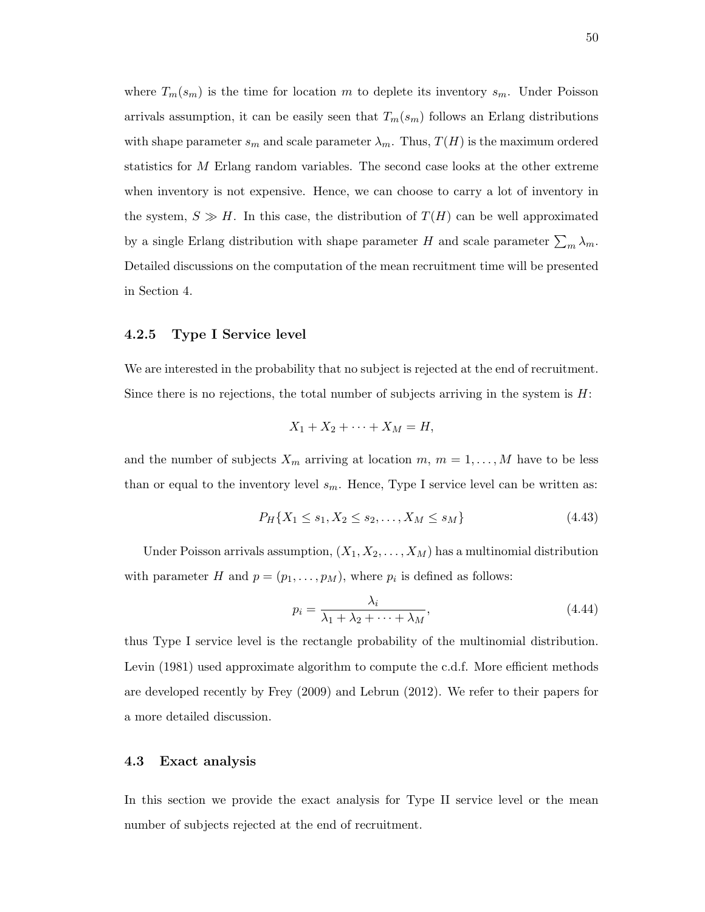where  $T_m(s_m)$  is the time for location m to deplete its inventory  $s_m$ . Under Poisson arrivals assumption, it can be easily seen that  $T_m(s_m)$  follows an Erlang distributions with shape parameter  $s_m$  and scale parameter  $\lambda_m$ . Thus,  $T(H)$  is the maximum ordered statistics for M Erlang random variables. The second case looks at the other extreme when inventory is not expensive. Hence, we can choose to carry a lot of inventory in the system,  $S \gg H$ . In this case, the distribution of  $T(H)$  can be well approximated by a single Erlang distribution with shape parameter H and scale parameter  $\sum_{m} \lambda_m$ . Detailed discussions on the computation of the mean recruitment time will be presented in Section 4.

#### 4.2.5 Type I Service level

We are interested in the probability that no subject is rejected at the end of recruitment. Since there is no rejections, the total number of subjects arriving in the system is  $H$ :

$$
X_1 + X_2 + \cdots + X_M = H,
$$

and the number of subjects  $X_m$  arriving at location  $m, m = 1, ..., M$  have to be less than or equal to the inventory level  $s_m$ . Hence, Type I service level can be written as:

$$
P_H\{X_1 \le s_1, X_2 \le s_2, \dots, X_M \le s_M\} \tag{4.43}
$$

Under Poisson arrivals assumption,  $(X_1, X_2, \ldots, X_M)$  has a multinomial distribution with parameter H and  $p = (p_1, \ldots, p_M)$ , where  $p_i$  is defined as follows:

$$
p_i = \frac{\lambda_i}{\lambda_1 + \lambda_2 + \dots + \lambda_M},\tag{4.44}
$$

thus Type I service level is the rectangle probability of the multinomial distribution. Levin (1981) used approximate algorithm to compute the c.d.f. More efficient methods are developed recently by Frey (2009) and Lebrun (2012). We refer to their papers for a more detailed discussion.

## 4.3 Exact analysis

In this section we provide the exact analysis for Type II service level or the mean number of subjects rejected at the end of recruitment.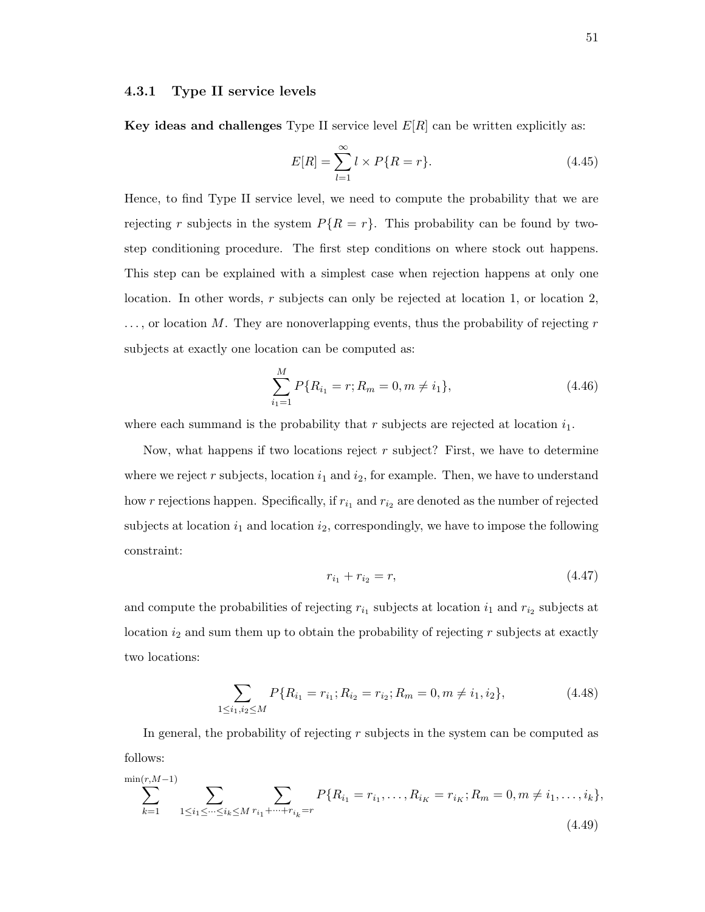## 4.3.1 Type II service levels

Key ideas and challenges Type II service level  $E[R]$  can be written explicitly as:

$$
E[R] = \sum_{l=1}^{\infty} l \times P\{R = r\}.
$$
 (4.45)

Hence, to find Type II service level, we need to compute the probability that we are rejecting r subjects in the system  $P\{R = r\}$ . This probability can be found by twostep conditioning procedure. The first step conditions on where stock out happens. This step can be explained with a simplest case when rejection happens at only one location. In other words,  $r$  subjects can only be rejected at location 1, or location 2,  $\ldots$ , or location M. They are nonoverlapping events, thus the probability of rejecting r subjects at exactly one location can be computed as:

$$
\sum_{i_1=1}^{M} P\{R_{i_1} = r; R_m = 0, m \neq i_1\},\tag{4.46}
$$

where each summand is the probability that r subjects are rejected at location  $i_1$ .

Now, what happens if two locations reject r subject? First, we have to determine where we reject  $r$  subjects, location  $i_1$  and  $i_2$ , for example. Then, we have to understand how r rejections happen. Specifically, if  $r_{i_1}$  and  $r_{i_2}$  are denoted as the number of rejected subjects at location  $i_1$  and location  $i_2$ , correspondingly, we have to impose the following constraint:

$$
r_{i_1} + r_{i_2} = r,\t\t(4.47)
$$

and compute the probabilities of rejecting  $r_{i_1}$  subjects at location  $i_1$  and  $r_{i_2}$  subjects at location  $i_2$  and sum them up to obtain the probability of rejecting r subjects at exactly two locations:

$$
\sum_{1 \le i_1, i_2 \le M} P\{R_{i_1} = r_{i_1}; R_{i_2} = r_{i_2}; R_m = 0, m \ne i_1, i_2\},\tag{4.48}
$$

In general, the probability of rejecting  $r$  subjects in the system can be computed as follows:

$$
\sum_{k=1}^{\min(r, M-1)} \sum_{1 \le i_1 \le \dots \le i_k \le M} \sum_{r_{i_1} + \dots + r_{i_k} = r} P\{R_{i_1} = r_{i_1}, \dots, R_{i_K} = r_{i_K}; R_m = 0, m \ne i_1, \dots, i_k\},\tag{4.49}
$$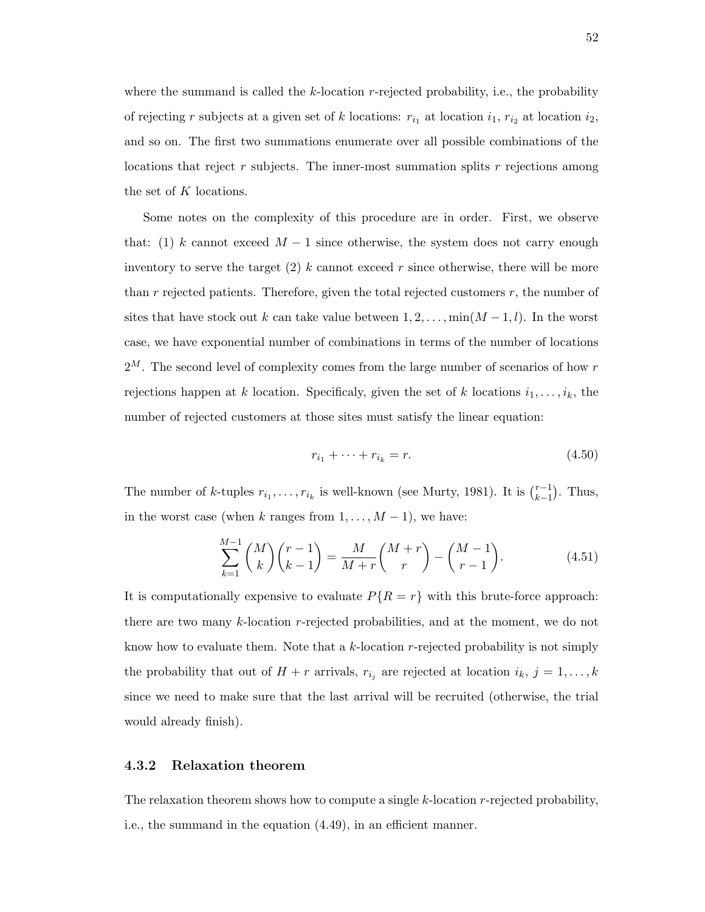where the summand is called the  $k$ -location r-rejected probability, i.e., the probability of rejecting r subjects at a given set of k locations:  $r_{i_1}$  at location  $i_1, r_{i_2}$  at location  $i_2$ , and so on. The first two summations enumerate over all possible combinations of the locations that reject r subjects. The inner-most summation splits r rejections among the set of K locations.

Some notes on the complexity of this procedure are in order. First, we observe that: (1) k cannot exceed  $M-1$  since otherwise, the system does not carry enough inventory to serve the target (2) k cannot exceed r since otherwise, there will be more than  $r$  rejected patients. Therefore, given the total rejected customers  $r$ , the number of sites that have stock out k can take value between  $1, 2, \ldots, \min(M-1, l)$ . In the worst case, we have exponential number of combinations in terms of the number of locations  $2^M$ . The second level of complexity comes from the large number of scenarios of how r rejections happen at k location. Specificaly, given the set of k locations  $i_1, \ldots, i_k$ , the number of rejected customers at those sites must satisfy the linear equation:

$$
r_{i_1} + \dots + r_{i_k} = r.
$$
\n(4.50)

The number of k-tuples  $r_{i_1}, \ldots, r_{i_k}$  is well-known (see Murty, 1981). It is  $\binom{r-1}{k-1}$  $_{k-1}^{r-1}$ ). Thus, in the worst case (when k ranges from  $1, \ldots, M-1$ ), we have:

$$
\sum_{k=1}^{M-1} {M \choose k} {r-1 \choose k-1} = \frac{M}{M+r} {M+r \choose r} - {M-1 \choose r-1}.
$$
 (4.51)

It is computationally expensive to evaluate  $P\{R = r\}$  with this brute-force approach: there are two many k-location r-rejected probabilities, and at the moment, we do not know how to evaluate them. Note that a k-location r-rejected probability is not simply the probability that out of  $H + r$  arrivals,  $r_{i_j}$  are rejected at location  $i_k$ ,  $j = 1, ..., k$ since we need to make sure that the last arrival will be recruited (otherwise, the trial would already finish).

## 4.3.2 Relaxation theorem

The relaxation theorem shows how to compute a single  $k$ -location  $r$ -rejected probability, i.e., the summand in the equation (4.49), in an efficient manner.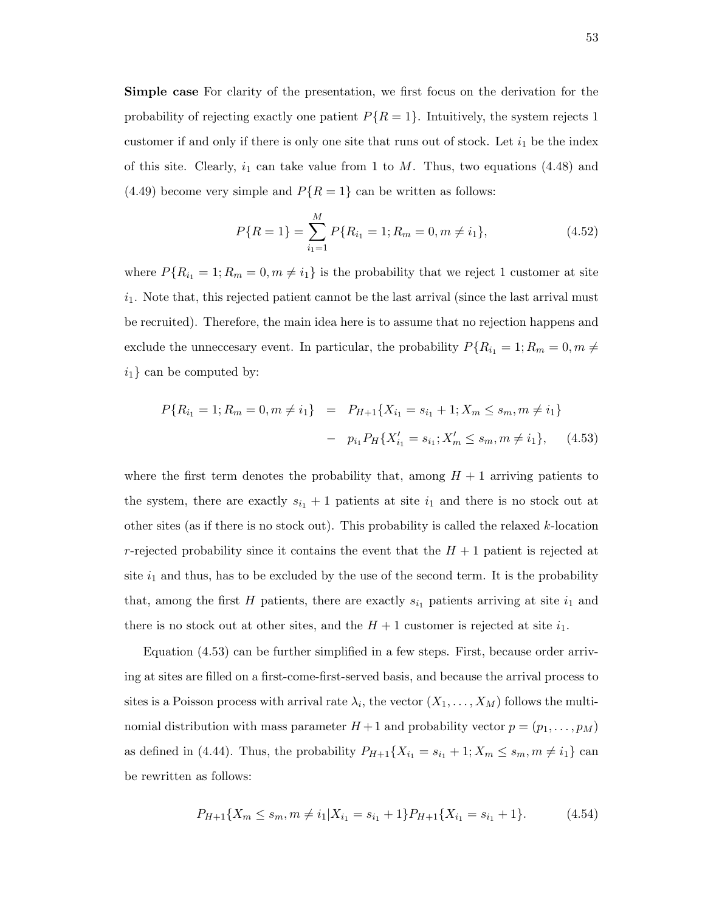Simple case For clarity of the presentation, we first focus on the derivation for the probability of rejecting exactly one patient  $P\{R = 1\}$ . Intuitively, the system rejects 1 customer if and only if there is only one site that runs out of stock. Let  $i_1$  be the index of this site. Clearly,  $i_1$  can take value from 1 to  $M$ . Thus, two equations (4.48) and  $(4.49)$  become very simple and  $P\{R=1\}$  can be written as follows:

$$
P\{R=1\} = \sum_{i_1=1}^{M} P\{R_{i_1} = 1; R_m = 0, m \neq i_1\},\tag{4.52}
$$

where  $P\{R_{i_1} = 1; R_m = 0, m \neq i_1\}$  is the probability that we reject 1 customer at site  $i_1$ . Note that, this rejected patient cannot be the last arrival (since the last arrival must be recruited). Therefore, the main idea here is to assume that no rejection happens and exclude the unneccesary event. In particular, the probability  $P\{R_{i_1} = 1; R_m = 0, m \neq \emptyset\}$  $i_1$ } can be computed by:

$$
P\{R_{i_1} = 1; R_m = 0, m \neq i_1\} = P_{H+1}\{X_{i_1} = s_{i_1} + 1; X_m \leq s_m, m \neq i_1\}
$$

$$
- p_{i_1}P_H\{X'_{i_1} = s_{i_1}; X'_m \leq s_m, m \neq i_1\}, \quad (4.53)
$$

where the first term denotes the probability that, among  $H + 1$  arriving patients to the system, there are exactly  $s_{i_1}+1$  patients at site  $i_1$  and there is no stock out at other sites (as if there is no stock out). This probability is called the relaxed  $k$ -location r-rejected probability since it contains the event that the  $H + 1$  patient is rejected at site  $i_1$  and thus, has to be excluded by the use of the second term. It is the probability that, among the first H patients, there are exactly  $s_{i_1}$  patients arriving at site  $i_1$  and there is no stock out at other sites, and the  $H + 1$  customer is rejected at site  $i_1$ .

Equation (4.53) can be further simplified in a few steps. First, because order arriving at sites are filled on a first-come-first-served basis, and because the arrival process to sites is a Poisson process with arrival rate  $\lambda_i$ , the vector  $(X_1, \ldots, X_M)$  follows the multinomial distribution with mass parameter  $H+1$  and probability vector  $p=(p_1,\ldots,p_M)$ as defined in (4.44). Thus, the probability  $P_{H+1}\lbrace X_{i_1} = s_{i_1} + 1; X_m \le s_m, m \ne i_1 \rbrace$  can be rewritten as follows:

$$
P_{H+1}\{X_m \le s_m, m \ne i_1 | X_{i_1} = s_{i_1} + 1\} P_{H+1}\{X_{i_1} = s_{i_1} + 1\}.
$$
 (4.54)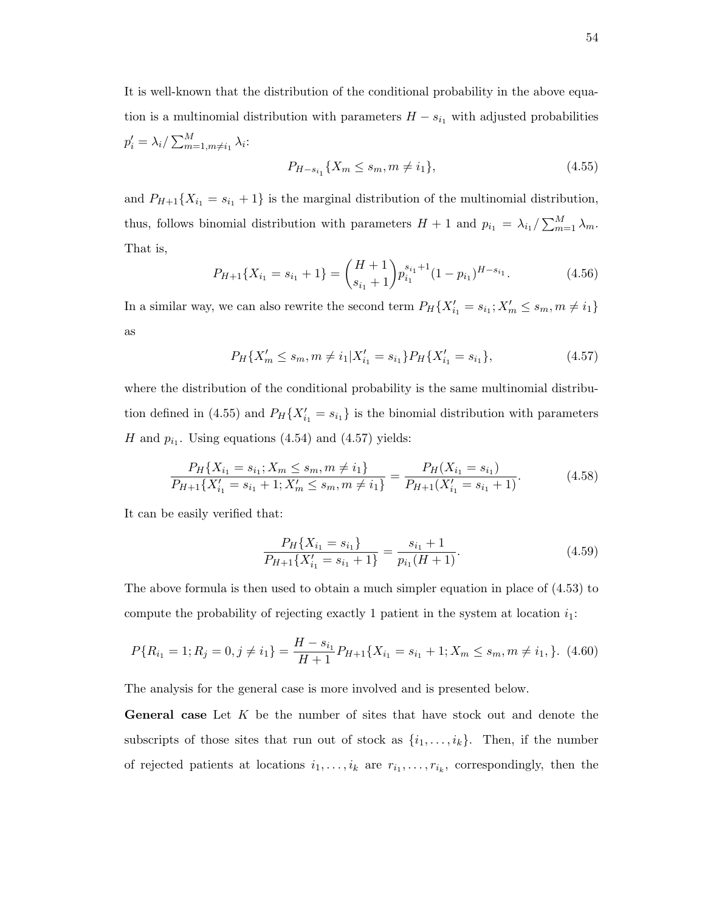It is well-known that the distribution of the conditional probability in the above equation is a multinomial distribution with parameters  $H - s_{i_1}$  with adjusted probabilities  $p_i' = \lambda_i / \sum_{m=1,m\neq i_1}^{M} \lambda_i$ 

$$
P_{H-s_{i_1}}\{X_m \le s_m, m \ne i_1\},\tag{4.55}
$$

and  $P_{H+1}{X_{i_1} = s_{i_1} + 1}$  is the marginal distribution of the multinomial distribution, thus, follows binomial distribution with parameters  $H + 1$  and  $p_{i_1} = \lambda_{i_1} / \sum_{m=1}^{M} \lambda_m$ . That is,

$$
P_{H+1}\{X_{i_1} = s_{i_1} + 1\} = {H+1 \choose s_{i_1}+1} p_{i_1}^{s_{i_1}+1} (1-p_{i_1})^{H-s_{i_1}}.
$$
\n(4.56)

In a similar way, we can also rewrite the second term  $P_H\{X'_{i_1} = s_{i_1}; X'_m \leq s_m, m \neq i_1\}$ as

$$
P_H\{X'_m \le s_m, m \ne i_1 | X'_{i_1} = s_{i_1}\} P_H\{X'_{i_1} = s_{i_1}\},\tag{4.57}
$$

where the distribution of the conditional probability is the same multinomial distribution defined in (4.55) and  $P_H\{X_{i_1}^\prime = s_{i_1}\}\$ is the binomial distribution with parameters H and  $p_{i_1}$ . Using equations (4.54) and (4.57) yields:

$$
\frac{P_H\{X_{i_1} = s_{i_1}; X_m \le s_m, m \ne i_1\}}{P_{H+1}\{X'_{i_1} = s_{i_1} + 1; X'_m \le s_m, m \ne i_1\}} = \frac{P_H(X_{i_1} = s_{i_1})}{P_{H+1}(X'_{i_1} = s_{i_1} + 1)}.\tag{4.58}
$$

It can be easily verified that:

$$
\frac{P_H\{X_{i_1} = s_{i_1}\}}{P_{H+1}\{X'_{i_1} = s_{i_1} + 1\}} = \frac{s_{i_1} + 1}{p_{i_1}(H+1)}.\tag{4.59}
$$

The above formula is then used to obtain a much simpler equation in place of (4.53) to compute the probability of rejecting exactly 1 patient in the system at location  $i_1$ :

$$
P\{R_{i_1} = 1; R_j = 0, j \neq i_1\} = \frac{H - s_{i_1}}{H + 1} P_{H + 1}\{X_{i_1} = s_{i_1} + 1; X_m \leq s_m, m \neq i_1, \}.
$$
 (4.60)

The analysis for the general case is more involved and is presented below.

**General case** Let  $K$  be the number of sites that have stock out and denote the subscripts of those sites that run out of stock as  $\{i_1, \ldots, i_k\}$ . Then, if the number of rejected patients at locations  $i_1, \ldots, i_k$  are  $r_{i_1}, \ldots, r_{i_k}$ , correspondingly, then the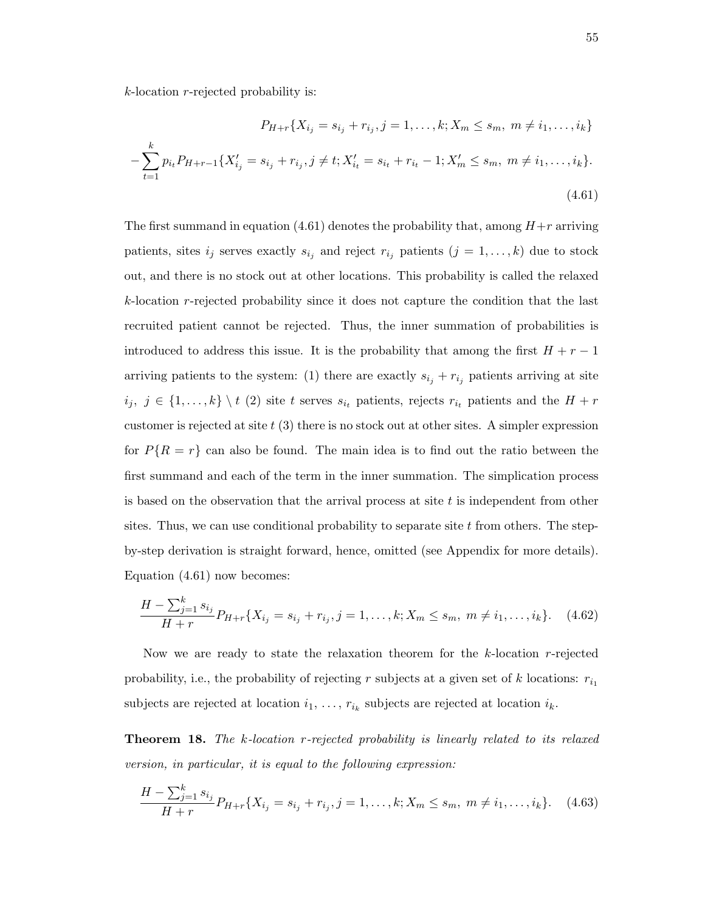$k$ -location r-rejected probability is:

$$
P_{H+r}\{X_{i_j} = s_{i_j} + r_{i_j}, j = 1, ..., k; X_m \le s_m, m \ne i_1, ..., i_k\}
$$

$$
-\sum_{t=1}^k p_{i_t} P_{H+r-1}\{X'_{i_j} = s_{i_j} + r_{i_j}, j \ne t; X'_{i_t} = s_{i_t} + r_{i_t} - 1; X'_m \le s_m, m \ne i_1, ..., i_k\}.
$$
(4.61)

The first summand in equation (4.61) denotes the probability that, among  $H+r$  arriving patients, sites  $i_j$  serves exactly  $s_{i_j}$  and reject  $r_{i_j}$  patients  $(j = 1, \ldots, k)$  due to stock out, and there is no stock out at other locations. This probability is called the relaxed k-location r-rejected probability since it does not capture the condition that the last recruited patient cannot be rejected. Thus, the inner summation of probabilities is introduced to address this issue. It is the probability that among the first  $H + r - 1$ arriving patients to the system: (1) there are exactly  $s_{i_j} + r_{i_j}$  patients arriving at site  $i_j, j \in \{1, \ldots, k\} \setminus t$  (2) site t serves  $s_{i_t}$  patients, rejects  $r_{i_t}$  patients and the  $H + r$ customer is rejected at site  $t(3)$  there is no stock out at other sites. A simpler expression for  $P\{R = r\}$  can also be found. The main idea is to find out the ratio between the first summand and each of the term in the inner summation. The simplication process is based on the observation that the arrival process at site  $t$  is independent from other sites. Thus, we can use conditional probability to separate site  $t$  from others. The stepby-step derivation is straight forward, hence, omitted (see Appendix for more details). Equation (4.61) now becomes:

$$
\frac{H - \sum_{j=1}^{k} s_{i_j}}{H + r} P_{H + r} \{ X_{i_j} = s_{i_j} + r_{i_j}, j = 1, \dots, k; X_m \le s_m, m \ne i_1, \dots, i_k \}.
$$
 (4.62)

Now we are ready to state the relaxation theorem for the  $k$ -location r-rejected probability, i.e., the probability of rejecting r subjects at a given set of k locations:  $r_{i_1}$ subjects are rejected at location  $i_1, \ldots, r_{i_k}$  subjects are rejected at location  $i_k$ .

Theorem 18. The k-location r-rejected probability is linearly related to its relaxed version, in particular, it is equal to the following expression:

$$
\frac{H - \sum_{j=1}^{k} s_{i_j}}{H + r} P_{H + r} \{ X_{i_j} = s_{i_j} + r_{i_j}, j = 1, \dots, k; X_m \le s_m, m \ne i_1, \dots, i_k \}.
$$
 (4.63)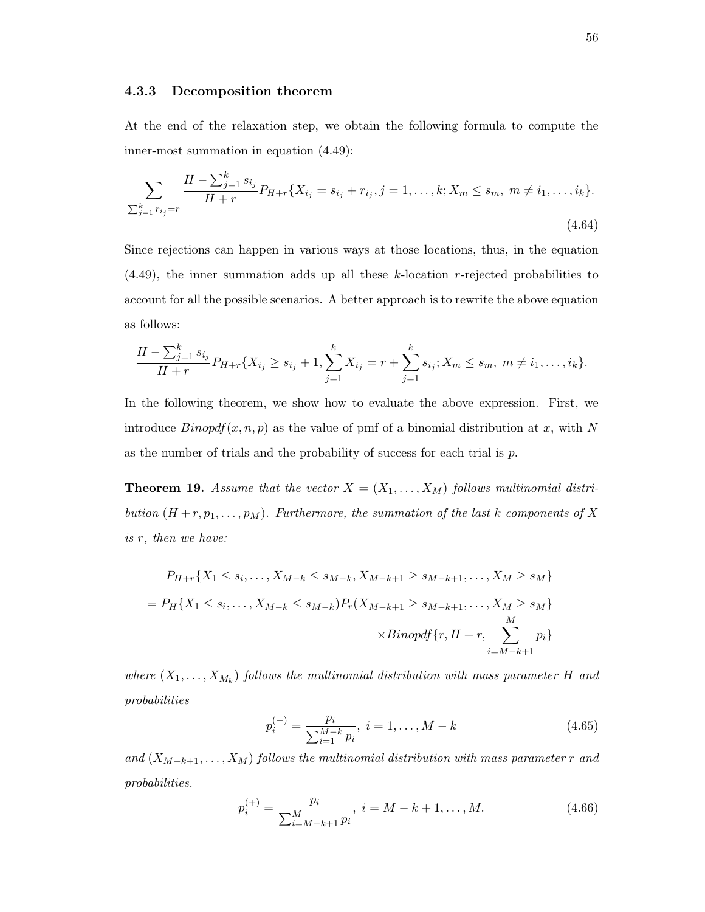## 4.3.3 Decomposition theorem

At the end of the relaxation step, we obtain the following formula to compute the inner-most summation in equation (4.49):

$$
\sum_{\substack{k=1 \ n_j = r}} \frac{H - \sum_{j=1}^k s_{i_j}}{H + r} P_{H + r} \{ X_{i_j} = s_{i_j} + r_{i_j}, j = 1, \dots, k; X_m \le s_m, m \ne i_1, \dots, i_k \}.
$$
\n(4.64)

Since rejections can happen in various ways at those locations, thus, in the equation (4.49), the inner summation adds up all these k-location r-rejected probabilities to account for all the possible scenarios. A better approach is to rewrite the above equation as follows:

$$
\frac{H - \sum_{j=1}^{k} s_{i_j}}{H + r} P_{H + r} \{ X_{i_j} \ge s_{i_j} + 1, \sum_{j=1}^{k} X_{i_j} = r + \sum_{j=1}^{k} s_{i_j}; X_m \le s_m, m \ne i_1, \dots, i_k \}.
$$

In the following theorem, we show how to evaluate the above expression. First, we introduce  $\mathit{Binopdf}(x, n, p)$  as the value of pmf of a binomial distribution at x, with N as the number of trials and the probability of success for each trial is  $p$ .

**Theorem 19.** Assume that the vector  $X = (X_1, \ldots, X_M)$  follows multinomial distribution  $(H + r, p_1, \ldots, p_M)$ . Furthermore, the summation of the last k components of X is r, then we have:

$$
P_{H+r}\{X_1 \le s_i, \dots, X_{M-k} \le s_{M-k}, X_{M-k+1} \ge s_{M-k+1}, \dots, X_M \ge s_M\}
$$
  
= 
$$
P_H\{X_1 \le s_i, \dots, X_{M-k} \le s_{M-k}\} P_r(X_{M-k+1} \ge s_{M-k+1}, \dots, X_M \ge s_M\}
$$
  

$$
\times Binopdf\{r, H+r, \sum_{i=M-k+1}^{M} p_i\}
$$

where  $(X_1, \ldots, X_{M_k})$  follows the multinomial distribution with mass parameter H and probabilities

$$
p_i^{(-)} = \frac{p_i}{\sum_{i=1}^{M-k} p_i}, \ i = 1, \dots, M - k \tag{4.65}
$$

and  $(X_{M-k+1},...,X_M)$  follows the multinomial distribution with mass parameter r and probabilities.

$$
p_i^{(+)} = \frac{p_i}{\sum_{i=M-k+1}^{M} p_i}, \ i = M - k + 1, \dots, M. \tag{4.66}
$$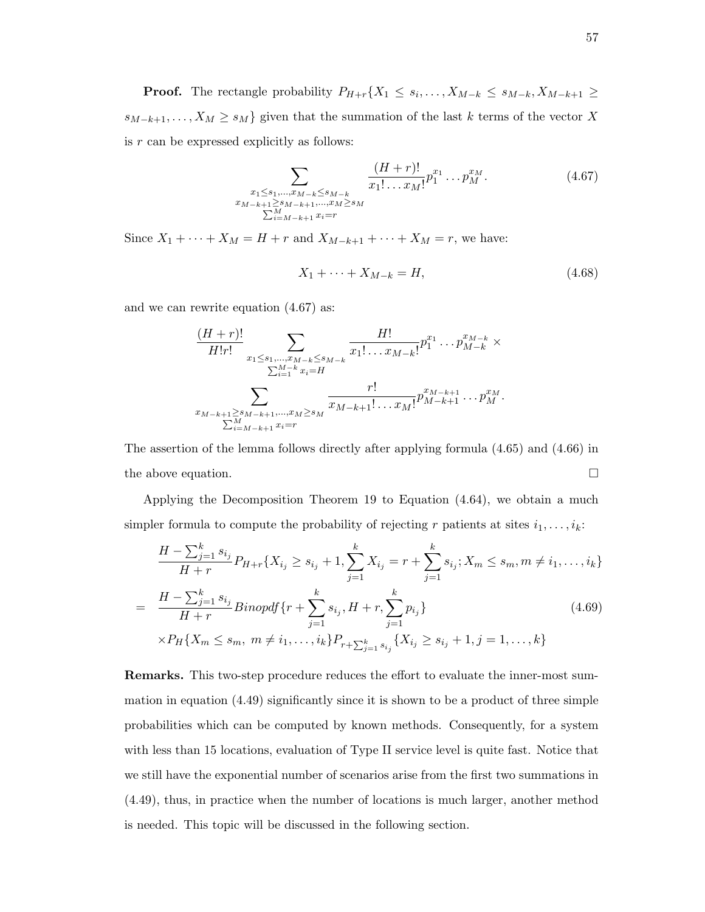**Proof.** The rectangle probability  $P_{H+r}\{X_1 \leq s_i, \ldots, X_{M-k} \leq s_{M-k}, X_{M-k+1} \geq$  $s_{M-k+1}, \ldots, X_M \geq s_M$  given that the summation of the last k terms of the vector X is  $r$  can be expressed explicitly as follows:

$$
\sum_{\substack{x_1 \le s_1, \dots, x_{M-k} \le s_{M-k} \\ x_{M-k+1} \ge s_{M-k+1}, \dots, x_M \ge s_M \\ \sum_{i=M-k+1}^M x_i = r}} \frac{(H+r)!}{x_1! \dots x_M!} p_1^{x_1} \dots p_M^{x_M}.
$$
 (4.67)

Since  $X_1 + \cdots + X_M = H + r$  and  $X_{M-k+1} + \cdots + X_M = r$ , we have:

$$
X_1 + \dots + X_{M-k} = H,\tag{4.68}
$$

and we can rewrite equation (4.67) as:

$$
\frac{(H+r)!}{H!r!} \sum_{\substack{x_1 \le s_1, \dots, x_{M-k} \le s_{M-k} \\ \sum_{i=1}^{M-k} x_i = H}} \frac{H!}{x_1! \dots x_{M-k}!} p_1^{x_1} \dots p_{M-k}^{x_{M-k}} \times \frac{\sum_{i=1}^{M-k} x_i}{\sum_{i=1}^{M-k} x_i = H} r!}{r!} \frac{r!}{x_{M-k+1}! \dots x_M!} p_{M-k+1}^{x_{M-k+1}} \dots p_M^{x_M}.
$$

The assertion of the lemma follows directly after applying formula (4.65) and (4.66) in the above equation.  $\Box$ 

Applying the Decomposition Theorem 19 to Equation (4.64), we obtain a much simpler formula to compute the probability of rejecting r patients at sites  $i_1, \ldots, i_k$ :

$$
\frac{H - \sum_{j=1}^{k} s_{i_j}}{H + r} P_{H + r} \{ X_{i_j} \ge s_{i_j} + 1, \sum_{j=1}^{k} X_{i_j} = r + \sum_{j=1}^{k} s_{i_j}; X_m \le s_m, m \ne i_1, \dots, i_k \}
$$
\n
$$
= \frac{H - \sum_{j=1}^{k} s_{i_j}}{H + r} Binopdf \{ r + \sum_{j=1}^{k} s_{i_j}, H + r, \sum_{j=1}^{k} p_{i_j} \}
$$
\n
$$
\times P_H \{ X_m \le s_m, m \ne i_1, \dots, i_k \} P_{r + \sum_{j=1}^{k} s_{i_j}} \{ X_{i_j} \ge s_{i_j} + 1, j = 1, \dots, k \}
$$
\n(4.69)

Remarks. This two-step procedure reduces the effort to evaluate the inner-most summation in equation (4.49) significantly since it is shown to be a product of three simple probabilities which can be computed by known methods. Consequently, for a system with less than 15 locations, evaluation of Type II service level is quite fast. Notice that we still have the exponential number of scenarios arise from the first two summations in (4.49), thus, in practice when the number of locations is much larger, another method is needed. This topic will be discussed in the following section.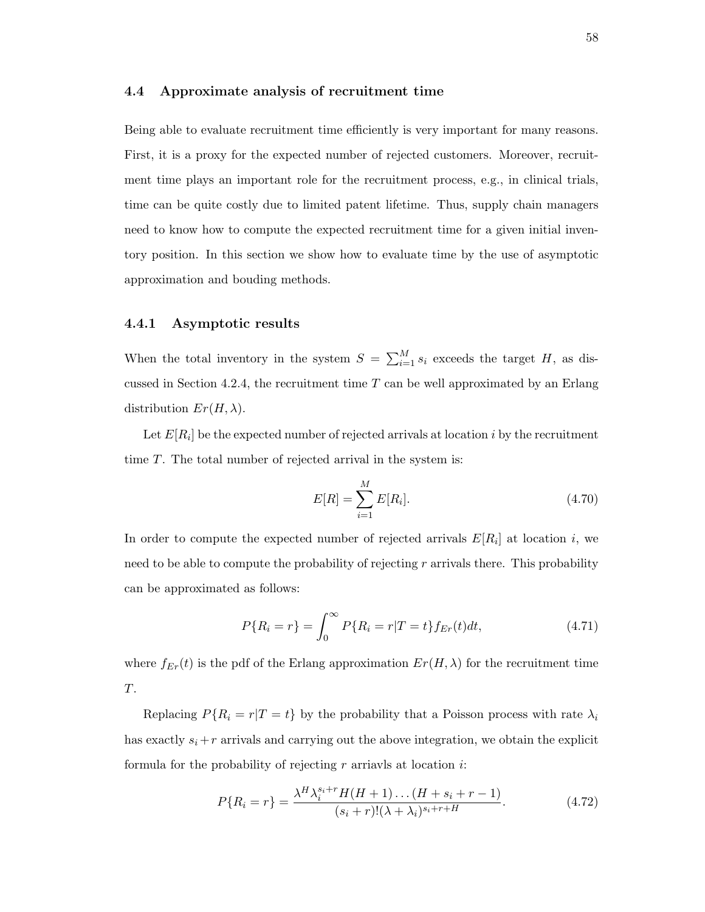## 4.4 Approximate analysis of recruitment time

Being able to evaluate recruitment time efficiently is very important for many reasons. First, it is a proxy for the expected number of rejected customers. Moreover, recruitment time plays an important role for the recruitment process, e.g., in clinical trials, time can be quite costly due to limited patent lifetime. Thus, supply chain managers need to know how to compute the expected recruitment time for a given initial inventory position. In this section we show how to evaluate time by the use of asymptotic approximation and bouding methods.

## 4.4.1 Asymptotic results

When the total inventory in the system  $S = \sum_{i=1}^{M} s_i$  exceeds the target H, as discussed in Section 4.2.4, the recruitment time  $T$  can be well approximated by an Erlang distribution  $Er(H, \lambda)$ .

Let  $E[R_i]$  be the expected number of rejected arrivals at location i by the recruitment time T. The total number of rejected arrival in the system is:

$$
E[R] = \sum_{i=1}^{M} E[R_i].
$$
\n(4.70)

In order to compute the expected number of rejected arrivals  $E[R_i]$  at location i, we need to be able to compute the probability of rejecting  $r$  arrivals there. This probability can be approximated as follows:

$$
P\{R_i = r\} = \int_0^\infty P\{R_i = r | T = t\} f_{Er}(t) dt,\tag{4.71}
$$

where  $f_{Er}(t)$  is the pdf of the Erlang approximation  $Er(H, \lambda)$  for the recruitment time  $\cal T.$ 

Replacing  $P\{R_i = r | T = t\}$  by the probability that a Poisson process with rate  $\lambda_i$ has exactly  $s_i + r$  arrivals and carrying out the above integration, we obtain the explicit formula for the probability of rejecting  $r$  arriavls at location  $i$ :

$$
P\{R_i = r\} = \frac{\lambda^H \lambda_i^{s_i + r} H(H+1) \dots (H+s_i + r - 1)}{(s_i + r)!(\lambda + \lambda_i)^{s_i + r + H}}.
$$
\n(4.72)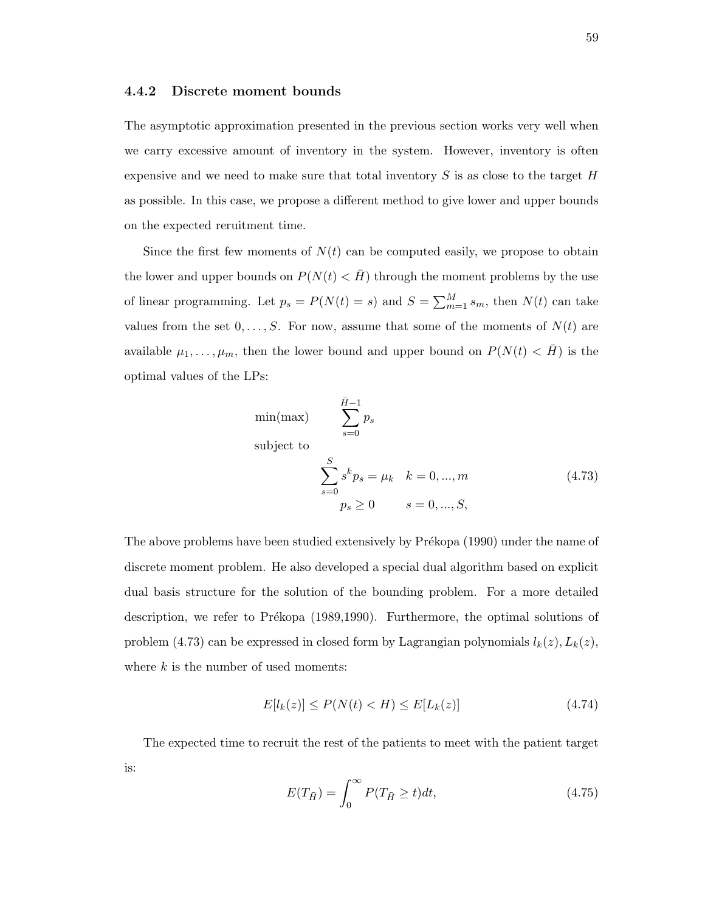## 4.4.2 Discrete moment bounds

The asymptotic approximation presented in the previous section works very well when we carry excessive amount of inventory in the system. However, inventory is often expensive and we need to make sure that total inventory  $S$  is as close to the target  $H$ as possible. In this case, we propose a different method to give lower and upper bounds on the expected reruitment time.

Since the first few moments of  $N(t)$  can be computed easily, we propose to obtain the lower and upper bounds on  $P(N(t) < \overline{H})$  through the moment problems by the use of linear programming. Let  $p_s = P(N(t) = s)$  and  $S = \sum_{m=1}^{M} s_m$ , then  $N(t)$  can take values from the set  $0, \ldots, S$ . For now, assume that some of the moments of  $N(t)$  are available  $\mu_1, \ldots, \mu_m$ , then the lower bound and upper bound on  $P(N(t) < \overline{H})$  is the optimal values of the LPs:

$$
\begin{aligned}\n\min(\max) & \sum_{s=0}^{\bar{H}-1} p_s \\
\text{subject to} & \sum_{s=0}^S s^k p_s = \mu_k \quad k = 0, \dots, m \\
& p_s \ge 0 \qquad s = 0, \dots, S,\n\end{aligned} \tag{4.73}
$$

The above problems have been studied extensively by Prékopa (1990) under the name of discrete moment problem. He also developed a special dual algorithm based on explicit dual basis structure for the solution of the bounding problem. For a more detailed description, we refer to Prékopa (1989,1990). Furthermore, the optimal solutions of problem (4.73) can be expressed in closed form by Lagrangian polynomials  $l_k(z)$ ,  $L_k(z)$ , where  $k$  is the number of used moments:

$$
E[l_k(z)] \le P(N(t) < H) \le E[L_k(z)] \tag{4.74}
$$

The expected time to recruit the rest of the patients to meet with the patient target is:

$$
E(T_{\bar{H}}) = \int_0^\infty P(T_{\bar{H}} \ge t)dt,\tag{4.75}
$$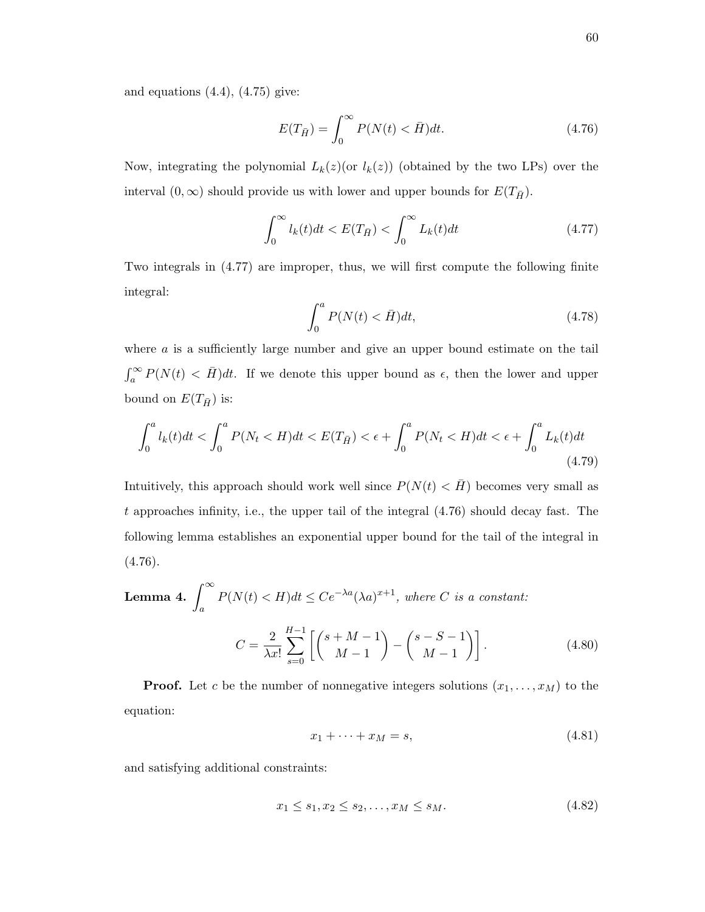and equations  $(4.4)$ ,  $(4.75)$  give:

$$
E(T_{\bar{H}}) = \int_0^\infty P(N(t) < \bar{H})dt. \tag{4.76}
$$

Now, integrating the polynomial  $L_k(z)$  (or  $l_k(z)$ ) (obtained by the two LPs) over the interval  $(0, \infty)$  should provide us with lower and upper bounds for  $E(T_{\bar{H}})$ .

$$
\int_0^\infty l_k(t)dt < E(T_{\bar{H}}) < \int_0^\infty L_k(t)dt \tag{4.77}
$$

Two integrals in (4.77) are improper, thus, we will first compute the following finite integral:

$$
\int_0^a P(N(t) < \bar{H})dt,\tag{4.78}
$$

where  $\alpha$  is a sufficiently large number and give an upper bound estimate on the tail  $\int_{a}^{\infty} P(N(t) \langle \overline{H} \rangle) dt$ . If we denote this upper bound as  $\epsilon$ , then the lower and upper bound on  $E(T_{\bar{H}})$  is:

$$
\int_0^a l_k(t)dt < \int_0^a P(N_t < H)dt < E(T_{\bar{H}}) < \epsilon + \int_0^a P(N_t < H)dt < \epsilon + \int_0^a L_k(t)dt \tag{4.79}
$$

Intuitively, this approach should work well since  $P(N(t) < \bar{H})$  becomes very small as t approaches infinity, i.e., the upper tail of the integral (4.76) should decay fast. The following lemma establishes an exponential upper bound for the tail of the integral in  $(4.76).$ 

**Lemma 4.** 
$$
\int_{a}^{\infty} P(N(t) < H)dt \leq Ce^{-\lambda a} (\lambda a)^{x+1}, \text{ where } C \text{ is a constant:}
$$
\n
$$
C = \frac{2}{\lambda x!} \sum_{s=0}^{H-1} \left[ \binom{s+M-1}{M-1} - \binom{s-S-1}{M-1} \right]. \tag{4.80}
$$

**Proof.** Let c be the number of nonnegative integers solutions  $(x_1, \ldots, x_M)$  to the equation:

$$
x_1 + \dots + x_M = s,\tag{4.81}
$$

and satisfying additional constraints:

$$
x_1 \le s_1, x_2 \le s_2, \dots, x_M \le s_M. \tag{4.82}
$$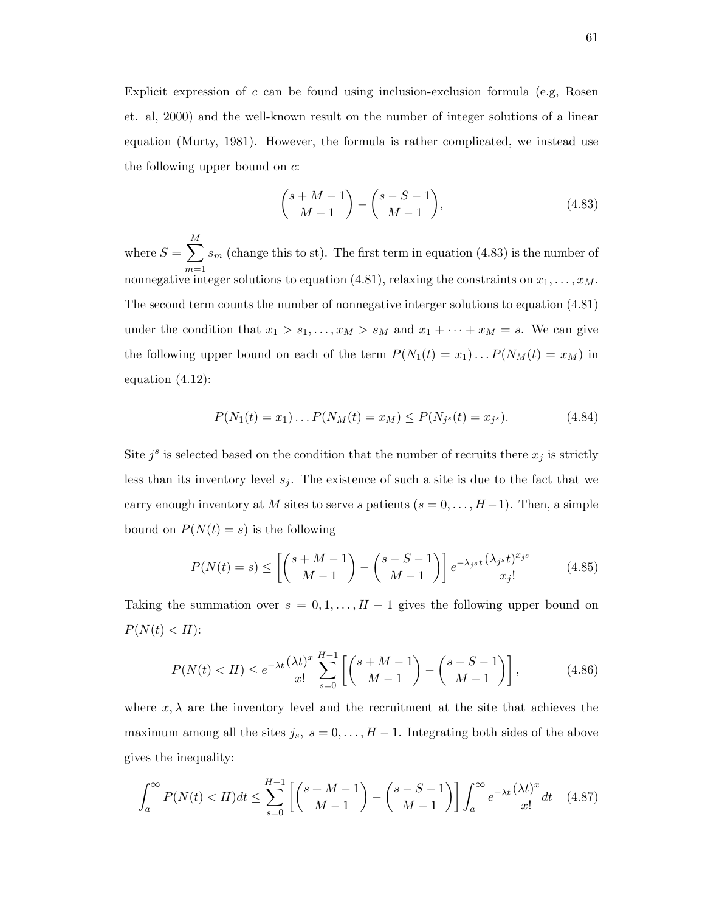Explicit expression of c can be found using inclusion-exclusion formula (e.g, Rosen et. al, 2000) and the well-known result on the number of integer solutions of a linear equation (Murty, 1981). However, the formula is rather complicated, we instead use the following upper bound on  $c$ :

$$
\binom{s+M-1}{M-1} - \binom{s-S-1}{M-1},\tag{4.83}
$$

where  $S = \sum$ M  $m=1$  $s_m$  (change this to st). The first term in equation (4.83) is the number of nonnegative integer solutions to equation (4.81), relaxing the constraints on  $x_1, \ldots, x_M$ . The second term counts the number of nonnegative interger solutions to equation (4.81) under the condition that  $x_1 > s_1, \ldots, x_M > s_M$  and  $x_1 + \cdots + x_M = s$ . We can give the following upper bound on each of the term  $P(N_1(t) = x_1) \dots P(N_M(t) = x_M)$  in equation (4.12):

$$
P(N_1(t) = x_1) \dots P(N_M(t) = x_M) \le P(N_{j^s}(t) = x_{j^s}). \tag{4.84}
$$

Site  $j^s$  is selected based on the condition that the number of recruits there  $x_j$  is strictly less than its inventory level  $s_j$ . The existence of such a site is due to the fact that we carry enough inventory at M sites to serve s patients  $(s = 0, \ldots, H-1)$ . Then, a simple bound on  $P(N(t) = s)$  is the following

$$
P(N(t) = s) \le \left[ \binom{s+M-1}{M-1} - \binom{s-S-1}{M-1} \right] e^{-\lambda_j s} \frac{(\lambda_j s t)^{x_j s}}{x_j!} \tag{4.85}
$$

Taking the summation over  $s = 0, 1, \ldots, H-1$  gives the following upper bound on  $P(N(t) < H)$ :

$$
P(N(t) < H) \le e^{-\lambda t} \frac{(\lambda t)^x}{x!} \sum_{s=0}^{H-1} \left[ \binom{s+M-1}{M-1} - \binom{s-S-1}{M-1} \right],\tag{4.86}
$$

where  $x, \lambda$  are the inventory level and the recruitment at the site that achieves the maximum among all the sites  $j_s$ ,  $s = 0, \ldots, H-1$ . Integrating both sides of the above gives the inequality:

$$
\int_{a}^{\infty} P(N(t) < H)dt \le \sum_{s=0}^{H-1} \left[ \binom{s+M-1}{M-1} - \binom{s-S-1}{M-1} \right] \int_{a}^{\infty} e^{-\lambda t} \frac{(\lambda t)^x}{x!} dt \quad (4.87)
$$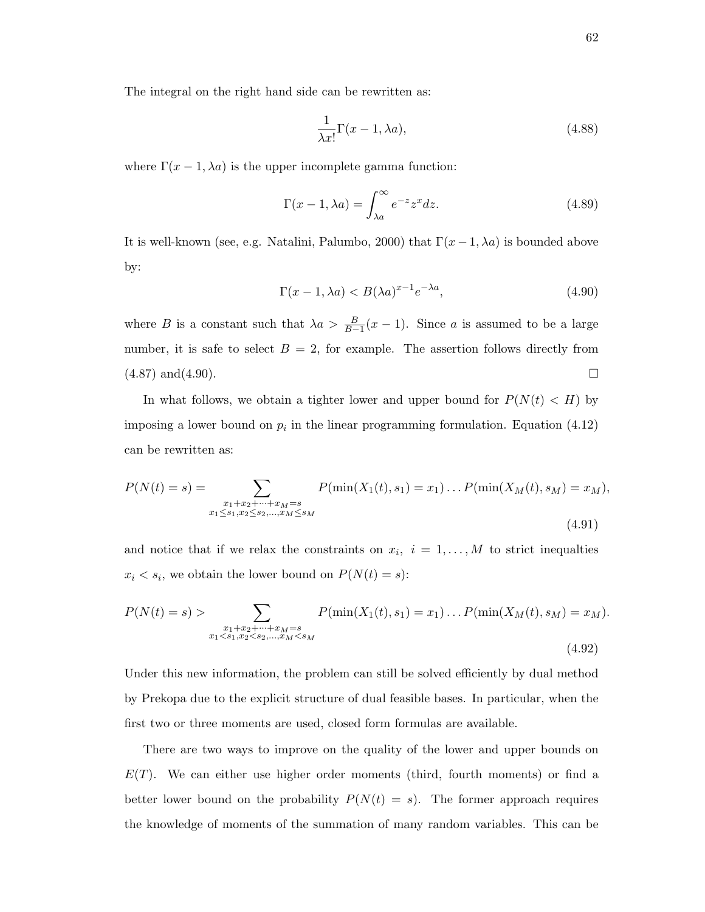The integral on the right hand side can be rewritten as:

$$
\frac{1}{\lambda x!} \Gamma(x-1, \lambda a), \tag{4.88}
$$

where  $\Gamma(x-1,\lambda a)$  is the upper incomplete gamma function:

$$
\Gamma(x-1,\lambda a) = \int_{\lambda a}^{\infty} e^{-z} z^x dz.
$$
 (4.89)

It is well-known (see, e.g. Natalini, Palumbo, 2000) that  $\Gamma(x-1,\lambda a)$  is bounded above by:

$$
\Gamma(x-1,\lambda a) < B(\lambda a)^{x-1} e^{-\lambda a},\tag{4.90}
$$

where B is a constant such that  $\lambda a > \frac{B}{B-1}(x-1)$ . Since a is assumed to be a large number, it is safe to select  $B = 2$ , for example. The assertion follows directly from  $(4.87)$  and  $(4.90)$ .

In what follows, we obtain a tighter lower and upper bound for  $P(N(t) < H)$  by imposing a lower bound on  $p_i$  in the linear programming formulation. Equation (4.12) can be rewritten as:

$$
P(N(t) = s) = \sum_{\substack{x_1 + x_2 + \dots + x_M = s \\ x_1 \le s_1, x_2 \le s_2, \dots, x_M \le s_M}} P(\min(X_1(t), s_1) = x_1) \dots P(\min(X_M(t), s_M) = x_M),
$$
\n(4.91)

and notice that if we relax the constraints on  $x_i$ ,  $i = 1, \ldots, M$  to strict inequalties  $x_i \leq s_i$ , we obtain the lower bound on  $P(N(t) = s)$ :

$$
P(N(t) = s) > \sum_{\substack{x_1 + x_2 + \dots + x_M = s \\ x_1 < s_1, x_2 < s_2, \dots, x_M < s_M}} P(\min(X_1(t), s_1) = x_1) \dots P(\min(X_M(t), s_M) = x_M).
$$
\n(4.92)

Under this new information, the problem can still be solved efficiently by dual method by Prekopa due to the explicit structure of dual feasible bases. In particular, when the first two or three moments are used, closed form formulas are available.

There are two ways to improve on the quality of the lower and upper bounds on  $E(T)$ . We can either use higher order moments (third, fourth moments) or find a better lower bound on the probability  $P(N(t) = s)$ . The former approach requires the knowledge of moments of the summation of many random variables. This can be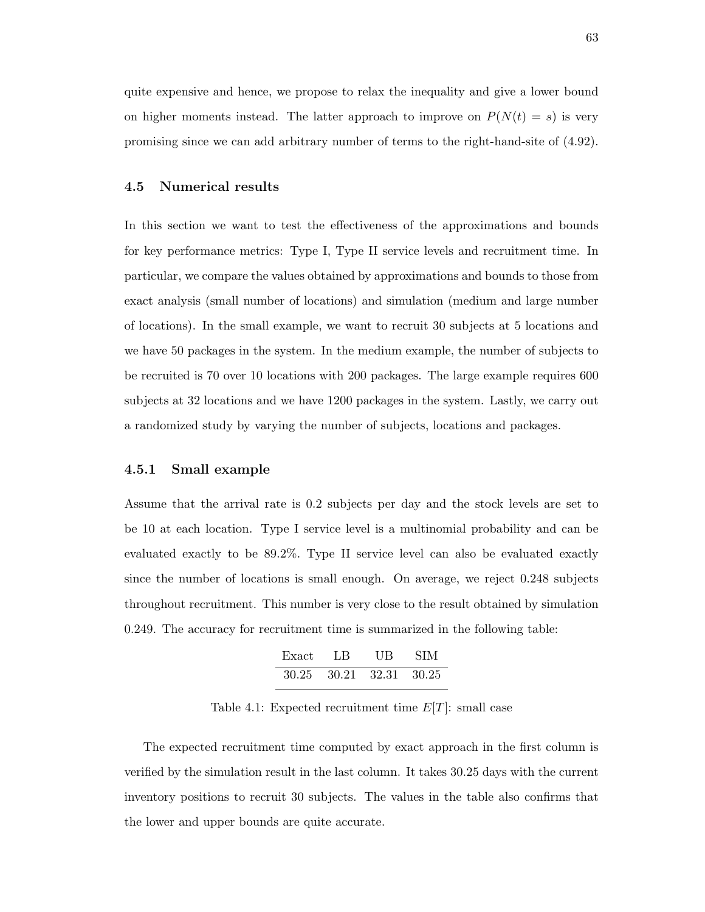quite expensive and hence, we propose to relax the inequality and give a lower bound on higher moments instead. The latter approach to improve on  $P(N(t) = s)$  is very promising since we can add arbitrary number of terms to the right-hand-site of (4.92).

## 4.5 Numerical results

In this section we want to test the effectiveness of the approximations and bounds for key performance metrics: Type I, Type II service levels and recruitment time. In particular, we compare the values obtained by approximations and bounds to those from exact analysis (small number of locations) and simulation (medium and large number of locations). In the small example, we want to recruit 30 subjects at 5 locations and we have 50 packages in the system. In the medium example, the number of subjects to be recruited is 70 over 10 locations with 200 packages. The large example requires 600 subjects at 32 locations and we have 1200 packages in the system. Lastly, we carry out a randomized study by varying the number of subjects, locations and packages.

## 4.5.1 Small example

Assume that the arrival rate is 0.2 subjects per day and the stock levels are set to be 10 at each location. Type I service level is a multinomial probability and can be evaluated exactly to be 89.2%. Type II service level can also be evaluated exactly since the number of locations is small enough. On average, we reject 0.248 subjects throughout recruitment. This number is very close to the result obtained by simulation 0.249. The accuracy for recruitment time is summarized in the following table:

| Exact | LB      | UВ          | <b>SIM</b> |
|-------|---------|-------------|------------|
| 30.25 | - 30.21 | 32.31 30.25 |            |

Table 4.1: Expected recruitment time  $E[T]$ : small case

The expected recruitment time computed by exact approach in the first column is verified by the simulation result in the last column. It takes 30.25 days with the current inventory positions to recruit 30 subjects. The values in the table also confirms that the lower and upper bounds are quite accurate.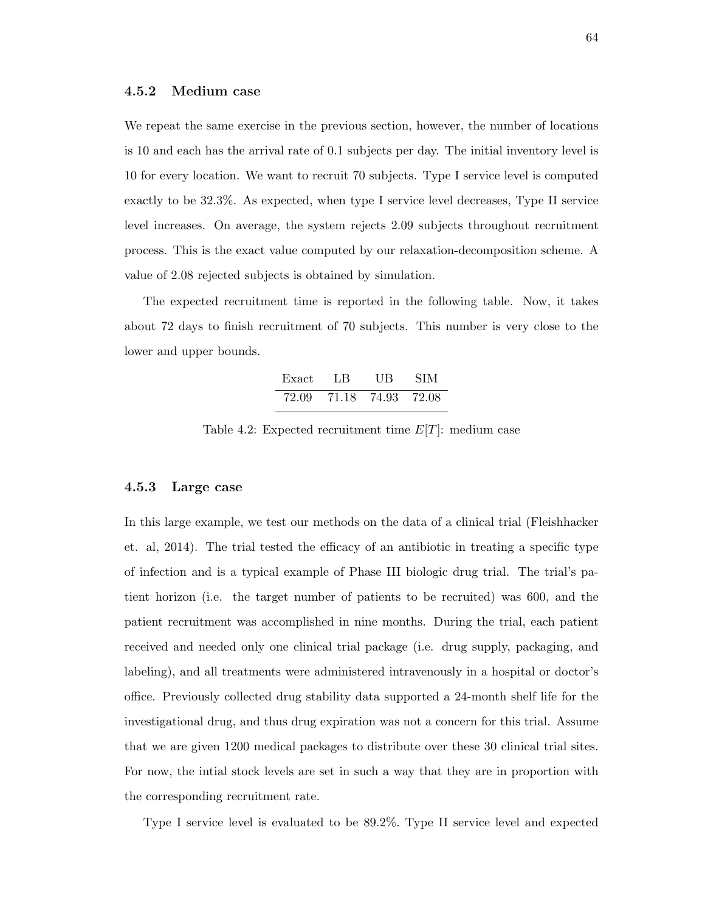## 4.5.2 Medium case

We repeat the same exercise in the previous section, however, the number of locations is 10 and each has the arrival rate of 0.1 subjects per day. The initial inventory level is 10 for every location. We want to recruit 70 subjects. Type I service level is computed exactly to be 32.3%. As expected, when type I service level decreases, Type II service level increases. On average, the system rejects 2.09 subjects throughout recruitment process. This is the exact value computed by our relaxation-decomposition scheme. A value of 2.08 rejected subjects is obtained by simulation.

The expected recruitment time is reported in the following table. Now, it takes about 72 days to finish recruitment of 70 subjects. This number is very close to the lower and upper bounds.

| Exact | LB       | UB    | <b>SIM</b> |
|-------|----------|-------|------------|
| 72.09 | -71.18 - | 74.93 | - 72.08    |

Table 4.2: Expected recruitment time  $E[T]$ : medium case

#### 4.5.3 Large case

In this large example, we test our methods on the data of a clinical trial (Fleishhacker et. al, 2014). The trial tested the efficacy of an antibiotic in treating a specific type of infection and is a typical example of Phase III biologic drug trial. The trial's patient horizon (i.e. the target number of patients to be recruited) was 600, and the patient recruitment was accomplished in nine months. During the trial, each patient received and needed only one clinical trial package (i.e. drug supply, packaging, and labeling), and all treatments were administered intravenously in a hospital or doctor's office. Previously collected drug stability data supported a 24-month shelf life for the investigational drug, and thus drug expiration was not a concern for this trial. Assume that we are given 1200 medical packages to distribute over these 30 clinical trial sites. For now, the intial stock levels are set in such a way that they are in proportion with the corresponding recruitment rate.

Type I service level is evaluated to be 89.2%. Type II service level and expected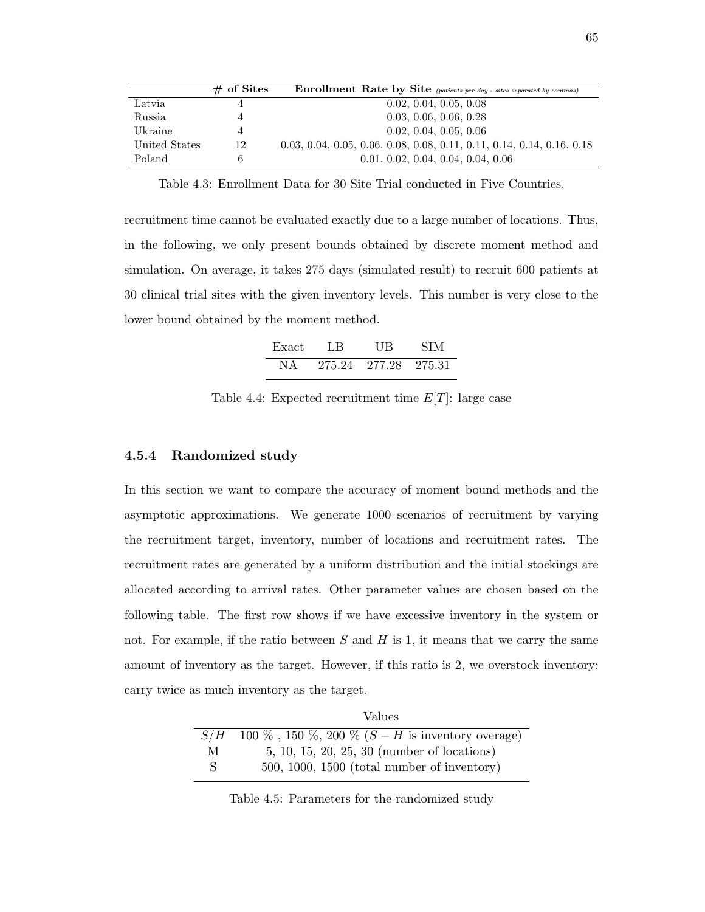|               | $\#$ of Sites | <b>Enrollment Rate by Site</b> (patients per day - sites separated by commas) |
|---------------|---------------|-------------------------------------------------------------------------------|
| Latvia        |               | 0.02, 0.04, 0.05, 0.08                                                        |
| Russia        |               | 0.03, 0.06, 0.06, 0.28                                                        |
| Ukraine       |               | 0.02, 0.04, 0.05, 0.06                                                        |
| United States | 12            | $0.03, 0.04, 0.05, 0.06, 0.08, 0.08, 0.11, 0.11, 0.14, 0.14, 0.16, 0.18$      |
| Poland        | 6             | 0.01, 0.02, 0.04, 0.04, 0.04, 0.06                                            |

Table 4.3: Enrollment Data for 30 Site Trial conducted in Five Countries.

recruitment time cannot be evaluated exactly due to a large number of locations. Thus, in the following, we only present bounds obtained by discrete moment method and simulation. On average, it takes 275 days (simulated result) to recruit 600 patients at 30 clinical trial sites with the given inventory levels. This number is very close to the lower bound obtained by the moment method.

| Exact | LB     | UВ     | SIM      |
|-------|--------|--------|----------|
| NΑ    | 275.24 | 277.28 | - 275.31 |

Table 4.4: Expected recruitment time  $E[T]$ : large case

## 4.5.4 Randomized study

In this section we want to compare the accuracy of moment bound methods and the asymptotic approximations. We generate 1000 scenarios of recruitment by varying the recruitment target, inventory, number of locations and recruitment rates. The recruitment rates are generated by a uniform distribution and the initial stockings are allocated according to arrival rates. Other parameter values are chosen based on the following table. The first row shows if we have excessive inventory in the system or not. For example, if the ratio between  $S$  and  $H$  is 1, it means that we carry the same amount of inventory as the target. However, if this ratio is 2, we overstock inventory: carry twice as much inventory as the target.

|     | Values                                                     |
|-----|------------------------------------------------------------|
| S/H | 100 %, 150 %, 200 % $(S - H \text{ is inventory overage})$ |
| M   | $5, 10, 15, 20, 25, 30$ (number of locations)              |
| S.  | $500, 1000, 1500$ (total number of inventory)              |

Table 4.5: Parameters for the randomized study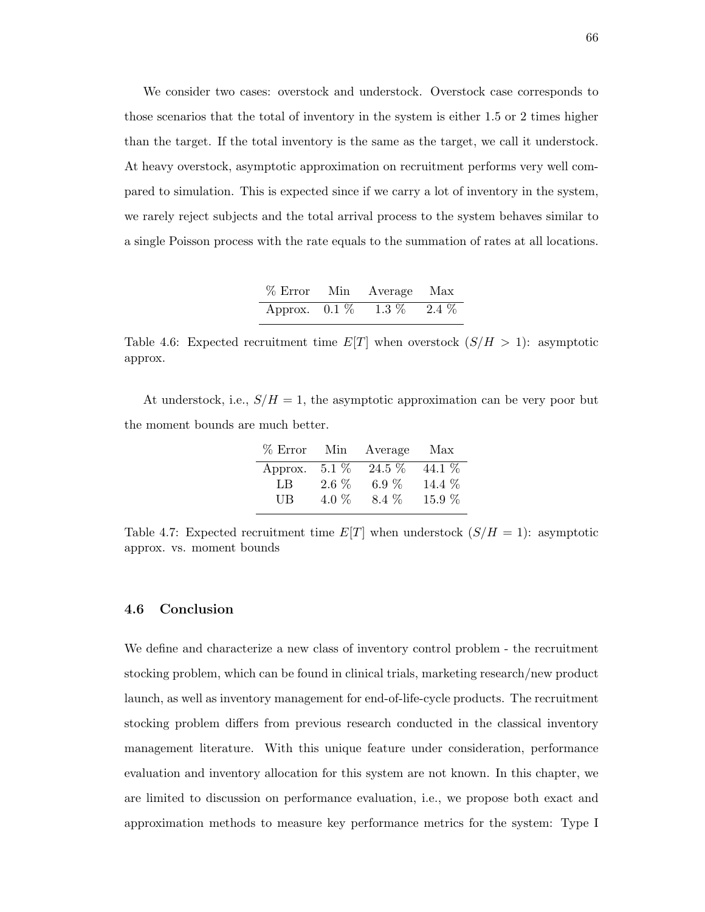We consider two cases: overstock and understock. Overstock case corresponds to those scenarios that the total of inventory in the system is either 1.5 or 2 times higher than the target. If the total inventory is the same as the target, we call it understock. At heavy overstock, asymptotic approximation on recruitment performs very well compared to simulation. This is expected since if we carry a lot of inventory in the system, we rarely reject subjects and the total arrival process to the system behaves similar to a single Poisson process with the rate equals to the summation of rates at all locations.

| $%$ Error Min   | Average Max     |  |
|-----------------|-----------------|--|
| Approx. $0.1\%$ | $1.3\%$ $2.4\%$ |  |

Table 4.6: Expected recruitment time  $E[T]$  when overstock  $(S/H > 1)$ : asymptotic approx.

At understock, i.e.,  $S/H = 1$ , the asymptotic approximation can be very poor but the moment bounds are much better.

| $%$ Error | Min     | Average | Max    |
|-----------|---------|---------|--------|
| Approx.   | $5.1\%$ | 24.5 %  | 44.1 % |
| LB.       | $2.6\%$ | $6.9\%$ | 14.4 % |
| <b>UB</b> | 4.0 $%$ | 8.4 \%  | 15.9 % |

Table 4.7: Expected recruitment time  $E[T]$  when understock  $(S/H = 1)$ : asymptotic approx. vs. moment bounds

## 4.6 Conclusion

We define and characterize a new class of inventory control problem - the recruitment stocking problem, which can be found in clinical trials, marketing research/new product launch, as well as inventory management for end-of-life-cycle products. The recruitment stocking problem differs from previous research conducted in the classical inventory management literature. With this unique feature under consideration, performance evaluation and inventory allocation for this system are not known. In this chapter, we are limited to discussion on performance evaluation, i.e., we propose both exact and approximation methods to measure key performance metrics for the system: Type I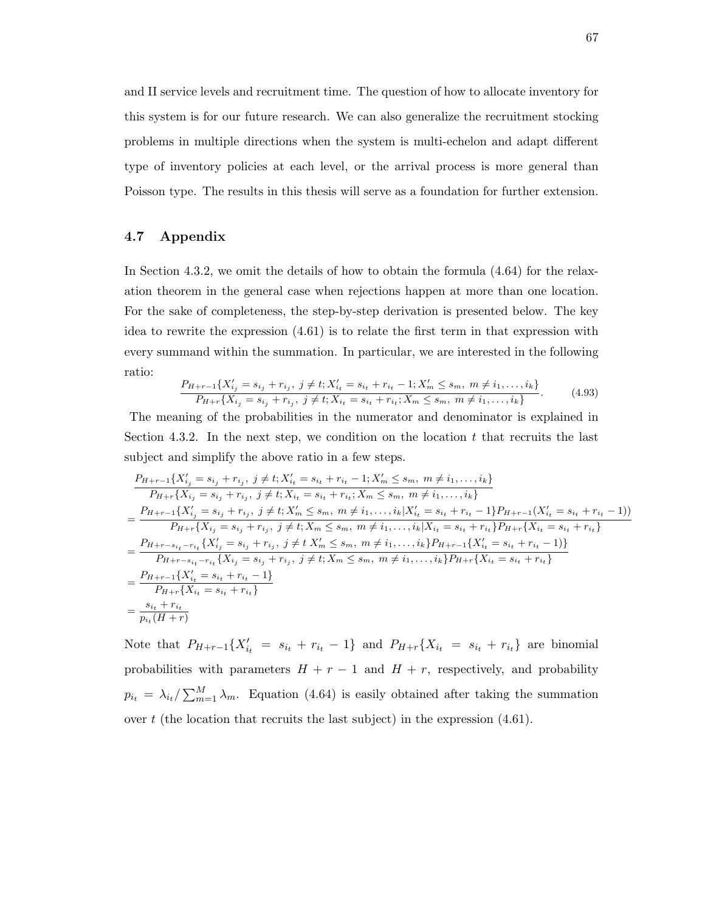and II service levels and recruitment time. The question of how to allocate inventory for this system is for our future research. We can also generalize the recruitment stocking problems in multiple directions when the system is multi-echelon and adapt different type of inventory policies at each level, or the arrival process is more general than Poisson type. The results in this thesis will serve as a foundation for further extension.

## 4.7 Appendix

In Section 4.3.2, we omit the details of how to obtain the formula (4.64) for the relaxation theorem in the general case when rejections happen at more than one location. For the sake of completeness, the step-by-step derivation is presented below. The key idea to rewrite the expression (4.61) is to relate the first term in that expression with every summand within the summation. In particular, we are interested in the following ratio:

$$
\frac{P_{H+r-1}\{X'_{ij}=s_{ij}+r_{ij},\ j\neq t; X'_{it}=s_{it}+r_{it}-1; X'_{m}\leq s_{m},\ m\neq i_{1},\ldots,i_{k}\}}{P_{H+r}\{X_{ij}=s_{ij}+r_{ij},\ j\neq t; X_{it}=s_{it}+r_{it}; X_{m}\leq s_{m},\ m\neq i_{1},\ldots,i_{k}\}}.\tag{4.93}
$$

The meaning of the probabilities in the numerator and denominator is explained in Section 4.3.2. In the next step, we condition on the location  $t$  that recruits the last subject and simplify the above ratio in a few steps.

$$
\frac{P_{H+r-1}\{X'_{ij}=s_{ij}+r_{ij},\ j\neq t; X'_{it}=s_{it}+r_{it}-1; X'_{m}\leq s_{m},\ m\neq i_{1},\ldots,i_{k}\}}{P_{H+r}\{X_{ij}=s_{ij}+r_{ij},\ j\neq t; X_{it}=s_{it}+r_{it}; X_{m}\leq s_{m},\ m\neq i_{1},\ldots,i_{k}\}}\n=\frac{P_{H+r-1}\{X'_{ij}=s_{ij}+r_{ij},\ j\neq t; X'_{m}\leq s_{m},\ m\neq i_{1},\ldots,i_{k}|X'_{it}=s_{it}+r_{it}-1\}P_{H+r-1}(X'_{it}=s_{it}+r_{it}-1)\}}{P_{H+r}\{X_{ij}=s_{ij}+r_{ij},\ j\neq t; X_{m}\leq s_{m},\ m\neq i_{1},\ldots,i_{k}|X_{it}=s_{it}+r_{it}\}P_{H+r}\{X_{it}=s_{it}+r_{it}\}}\n=\frac{P_{H+r-s_{it}-r_{it}}\{X'_{ij}=s_{ij}+r_{ij},\ j\neq t; X'_{m}\leq s_{m},\ m\neq i_{1},\ldots,i_{k}\}P_{H+r-1}\{X'_{it}=s_{it}+r_{it}-1\}}{P_{H+r-s_{it}-r_{it}}\{X_{it}=s_{ij}+r_{ij},\ j\neq t; X_{m}\leq s_{m},\ m\neq i_{1},\ldots,i_{k}\}P_{H+r}\{X_{it}=s_{it}+r_{it}\}}\n=\frac{P_{H+r-1}\{X'_{it}=s_{it}+r_{it}-1\}}{P_{H+r}\{X_{it}=s_{it}+r_{it}\}}\n=\frac{s_{it}+r_{it}}{p_{it}(H+r)}
$$

Note that  $P_{H+r-1}\{X'_{it} = s_{i_t} + r_{i_t} - 1\}$  and  $P_{H+r}\{X_{i_t} = s_{i_t} + r_{i_t}\}\$  are binomial probabilities with parameters  $H + r - 1$  and  $H + r$ , respectively, and probability  $p_{i_t} = \lambda_{i_t}/\sum_{m=1}^{M} \lambda_m$ . Equation (4.64) is easily obtained after taking the summation over  $t$  (the location that recruits the last subject) in the expression  $(4.61)$ .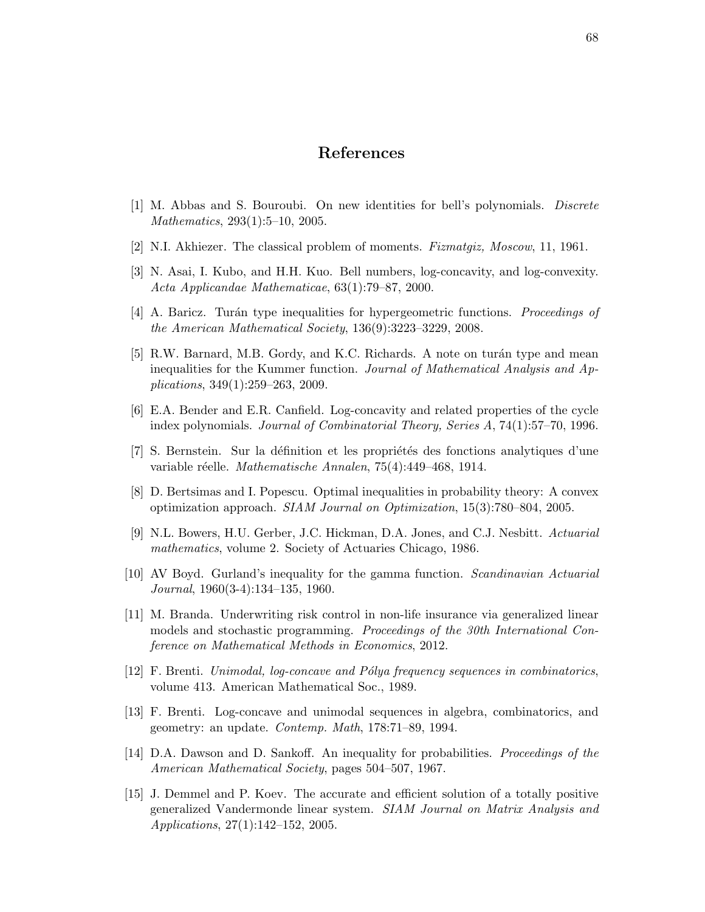## References

- [1] M. Abbas and S. Bouroubi. On new identities for bell's polynomials. Discrete Mathematics, 293(1):5–10, 2005.
- [2] N.I. Akhiezer. The classical problem of moments. Fizmatgiz, Moscow, 11, 1961.
- [3] N. Asai, I. Kubo, and H.H. Kuo. Bell numbers, log-concavity, and log-convexity. Acta Applicandae Mathematicae, 63(1):79–87, 2000.
- [4] A. Baricz. Turán type inequalities for hypergeometric functions. *Proceedings of* the American Mathematical Society, 136(9):3223–3229, 2008.
- [5] R.W. Barnard, M.B. Gordy, and K.C. Richards. A note on turán type and mean inequalities for the Kummer function. Journal of Mathematical Analysis and Applications, 349(1):259–263, 2009.
- [6] E.A. Bender and E.R. Canfield. Log-concavity and related properties of the cycle index polynomials. Journal of Combinatorial Theory, Series A, 74(1):57–70, 1996.
- [7] S. Bernstein. Sur la définition et les propriétés des fonctions analytiques d'une variable réelle. Mathematische Annalen, 75(4):449–468, 1914.
- [8] D. Bertsimas and I. Popescu. Optimal inequalities in probability theory: A convex optimization approach. SIAM Journal on Optimization, 15(3):780–804, 2005.
- [9] N.L. Bowers, H.U. Gerber, J.C. Hickman, D.A. Jones, and C.J. Nesbitt. Actuarial mathematics, volume 2. Society of Actuaries Chicago, 1986.
- [10] AV Boyd. Gurland's inequality for the gamma function. Scandinavian Actuarial Journal, 1960(3-4):134–135, 1960.
- [11] M. Branda. Underwriting risk control in non-life insurance via generalized linear models and stochastic programming. Proceedings of the 30th International Conference on Mathematical Methods in Economics, 2012.
- $[12]$  F. Brenti. Unimodal, log-concave and Pólya frequency sequences in combinatorics, volume 413. American Mathematical Soc., 1989.
- [13] F. Brenti. Log-concave and unimodal sequences in algebra, combinatorics, and geometry: an update. Contemp. Math, 178:71–89, 1994.
- [14] D.A. Dawson and D. Sankoff. An inequality for probabilities. Proceedings of the American Mathematical Society, pages 504–507, 1967.
- [15] J. Demmel and P. Koev. The accurate and efficient solution of a totally positive generalized Vandermonde linear system. SIAM Journal on Matrix Analysis and Applications, 27(1):142–152, 2005.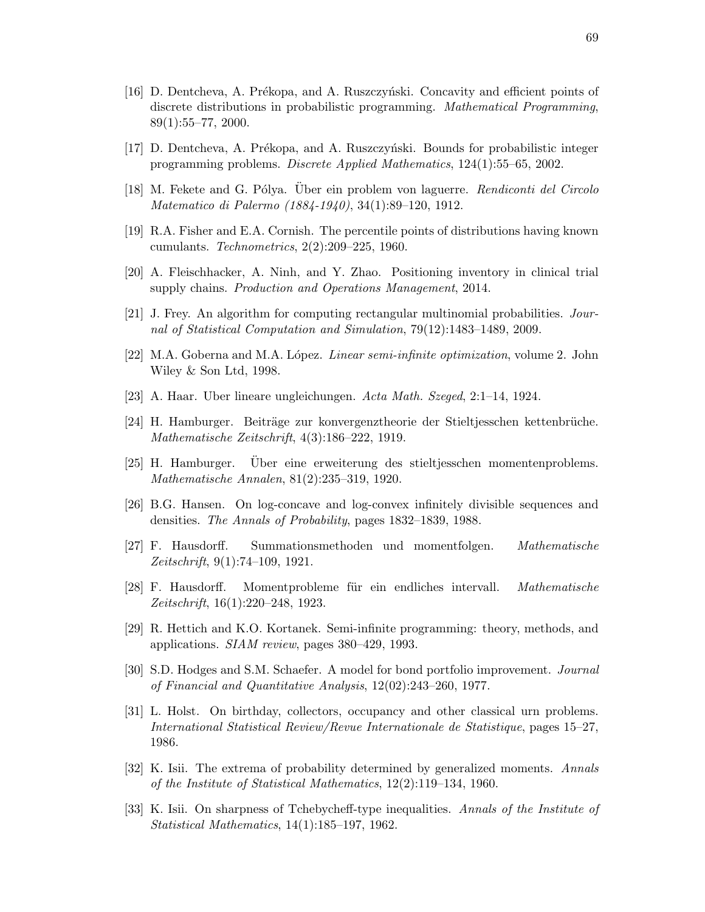- [16] D. Dentcheva, A. Prékopa, and A. Ruszczyński. Concavity and efficient points of discrete distributions in probabilistic programming. Mathematical Programming, 89(1):55–77, 2000.
- [17] D. Dentcheva, A. Prékopa, and A. Ruszczyński. Bounds for probabilistic integer programming problems. Discrete Applied Mathematics, 124(1):55–65, 2002.
- [18] M. Fekete and G. Pólya. Über ein problem von laguerre. Rendiconti del Circolo Matematico di Palermo (1884-1940), 34(1):89–120, 1912.
- [19] R.A. Fisher and E.A. Cornish. The percentile points of distributions having known cumulants. Technometrics, 2(2):209–225, 1960.
- [20] A. Fleischhacker, A. Ninh, and Y. Zhao. Positioning inventory in clinical trial supply chains. Production and Operations Management, 2014.
- [21] J. Frey. An algorithm for computing rectangular multinomial probabilities. Journal of Statistical Computation and Simulation, 79(12):1483–1489, 2009.
- [22] M.A. Goberna and M.A. López. *Linear semi-infinite optimization*, volume 2. John Wiley & Son Ltd, 1998.
- [23] A. Haar. Uber lineare ungleichungen. Acta Math. Szeged, 2:1–14, 1924.
- [24] H. Hamburger. Beiträge zur konvergenztheorie der Stieltjesschen kettenbrüche. Mathematische Zeitschrift, 4(3):186–222, 1919.
- [25] H. Hamburger. Über eine erweiterung des stieltjesschen momentenproblems. Mathematische Annalen, 81(2):235–319, 1920.
- [26] B.G. Hansen. On log-concave and log-convex infinitely divisible sequences and densities. The Annals of Probability, pages 1832–1839, 1988.
- [27] F. Hausdorff. Summationsmethoden und momentfolgen. Mathematische Zeitschrift, 9(1):74–109, 1921.
- [28] F. Hausdorff. Momentprobleme für ein endliches intervall. Mathematische Zeitschrift, 16(1):220–248, 1923.
- [29] R. Hettich and K.O. Kortanek. Semi-infinite programming: theory, methods, and applications. SIAM review, pages 380–429, 1993.
- [30] S.D. Hodges and S.M. Schaefer. A model for bond portfolio improvement. Journal of Financial and Quantitative Analysis, 12(02):243–260, 1977.
- [31] L. Holst. On birthday, collectors, occupancy and other classical urn problems. International Statistical Review/Revue Internationale de Statistique, pages 15–27, 1986.
- [32] K. Isii. The extrema of probability determined by generalized moments. Annals of the Institute of Statistical Mathematics, 12(2):119–134, 1960.
- [33] K. Isii. On sharpness of Tchebycheff-type inequalities. Annals of the Institute of Statistical Mathematics, 14(1):185–197, 1962.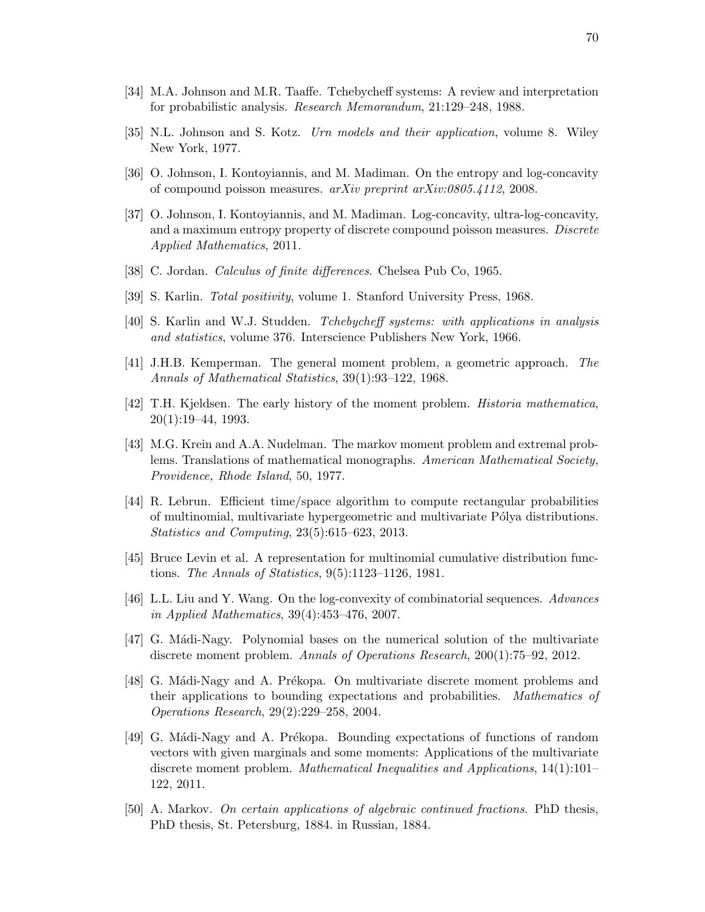- [34] M.A. Johnson and M.R. Taaffe. Tchebycheff systems: A review and interpretation for probabilistic analysis. Research Memorandum, 21:129–248, 1988.
- [35] N.L. Johnson and S. Kotz. Urn models and their application, volume 8. Wiley New York, 1977.
- [36] O. Johnson, I. Kontoyiannis, and M. Madiman. On the entropy and log-concavity of compound poisson measures. arXiv preprint arXiv:0805.4112, 2008.
- [37] O. Johnson, I. Kontoyiannis, and M. Madiman. Log-concavity, ultra-log-concavity, and a maximum entropy property of discrete compound poisson measures. Discrete Applied Mathematics, 2011.
- [38] C. Jordan. *Calculus of finite differences*. Chelsea Pub Co, 1965.
- [39] S. Karlin. Total positivity, volume 1. Stanford University Press, 1968.
- [40] S. Karlin and W.J. Studden. Tchebycheff systems: with applications in analysis and statistics, volume 376. Interscience Publishers New York, 1966.
- [41] J.H.B. Kemperman. The general moment problem, a geometric approach. The Annals of Mathematical Statistics, 39(1):93–122, 1968.
- [42] T.H. Kjeldsen. The early history of the moment problem. Historia mathematica, 20(1):19–44, 1993.
- [43] M.G. Krein and A.A. Nudelman. The markov moment problem and extremal problems. Translations of mathematical monographs. American Mathematical Society, Providence, Rhode Island, 50, 1977.
- [44] R. Lebrun. Efficient time/space algorithm to compute rectangular probabilities of multinomial, multivariate hypergeometric and multivariate P´olya distributions. Statistics and Computing, 23(5):615–623, 2013.
- [45] Bruce Levin et al. A representation for multinomial cumulative distribution functions. The Annals of Statistics, 9(5):1123–1126, 1981.
- [46] L.L. Liu and Y. Wang. On the log-convexity of combinatorial sequences. Advances in Applied Mathematics, 39(4):453–476, 2007.
- [47] G. Mádi-Nagy. Polynomial bases on the numerical solution of the multivariate discrete moment problem. Annals of Operations Research, 200(1):75–92, 2012.
- [48] G. Mádi-Nagy and A. Prékopa. On multivariate discrete moment problems and their applications to bounding expectations and probabilities. Mathematics of Operations Research, 29(2):229–258, 2004.
- [49] G. Mádi-Nagy and A. Prékopa. Bounding expectations of functions of random vectors with given marginals and some moments: Applications of the multivariate discrete moment problem. Mathematical Inequalities and Applications, 14(1):101– 122, 2011.
- [50] A. Markov. On certain applications of algebraic continued fractions. PhD thesis, PhD thesis, St. Petersburg, 1884. in Russian, 1884.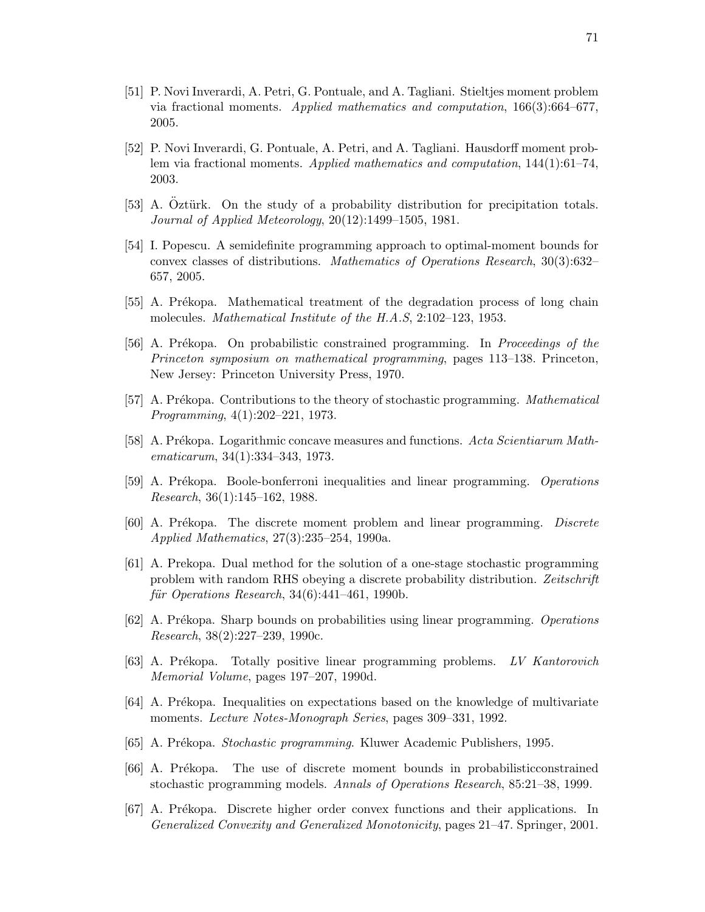- [51] P. Novi Inverardi, A. Petri, G. Pontuale, and A. Tagliani. Stieltjes moment problem via fractional moments. Applied mathematics and computation, 166(3):664–677, 2005.
- [52] P. Novi Inverardi, G. Pontuale, A. Petri, and A. Tagliani. Hausdorff moment problem via fractional moments. Applied mathematics and computation, 144(1):61–74, 2003.
- [53] A. Oztürk. On the study of a probability distribution for precipitation totals. Journal of Applied Meteorology, 20(12):1499–1505, 1981.
- [54] I. Popescu. A semidefinite programming approach to optimal-moment bounds for convex classes of distributions. Mathematics of Operations Research, 30(3):632– 657, 2005.
- [55] A. Prékopa. Mathematical treatment of the degradation process of long chain molecules. Mathematical Institute of the H.A.S, 2:102–123, 1953.
- [56] A. Prékopa. On probabilistic constrained programming. In Proceedings of the Princeton symposium on mathematical programming, pages 113–138. Princeton, New Jersey: Princeton University Press, 1970.
- [57] A. Prékopa. Contributions to the theory of stochastic programming. Mathematical Programming, 4(1):202–221, 1973.
- [58] A. Prékopa. Logarithmic concave measures and functions. Acta Scientiarum Mathematicarum, 34(1):334–343, 1973.
- [59] A. Prékopa. Boole-bonferroni inequalities and linear programming. Operations Research, 36(1):145–162, 1988.
- [60] A. Prékopa. The discrete moment problem and linear programming. Discrete Applied Mathematics, 27(3):235–254, 1990a.
- [61] A. Prekopa. Dual method for the solution of a one-stage stochastic programming problem with random RHS obeying a discrete probability distribution. Zeitschrift  $f\ddot{u}$ r Operations Research, 34(6):441-461, 1990b.
- [62] A. Prékopa. Sharp bounds on probabilities using linear programming. Operations Research, 38(2):227–239, 1990c.
- [63] A. Prékopa. Totally positive linear programming problems. LV Kantorovich Memorial Volume, pages 197–207, 1990d.
- [64] A. Prékopa. Inequalities on expectations based on the knowledge of multivariate moments. *Lecture Notes-Monograph Series*, pages 309–331, 1992.
- [65] A. Prékopa. *Stochastic programming*. Kluwer Academic Publishers, 1995.
- [66] A. Prékopa. The use of discrete moment bounds in probabilisticconstrained stochastic programming models. Annals of Operations Research, 85:21–38, 1999.
- [67] A. Prékopa. Discrete higher order convex functions and their applications. In Generalized Convexity and Generalized Monotonicity, pages 21–47. Springer, 2001.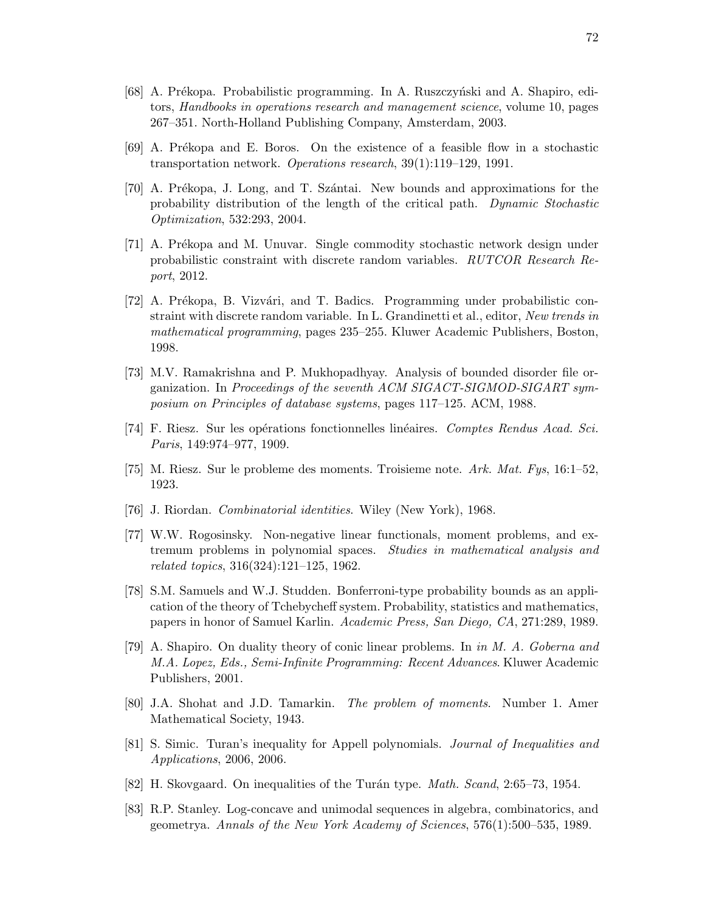- [68] A. Prékopa. Probabilistic programming. In A. Ruszczyński and A. Shapiro, editors, Handbooks in operations research and management science, volume 10, pages 267–351. North-Holland Publishing Company, Amsterdam, 2003.
- [69] A. Pr´ekopa and E. Boros. On the existence of a feasible flow in a stochastic transportation network. Operations research, 39(1):119–129, 1991.
- [70] A. Prékopa, J. Long, and T. Szántai. New bounds and approximations for the probability distribution of the length of the critical path. Dynamic Stochastic Optimization, 532:293, 2004.
- [71] A. Prékopa and M. Unuvar. Single commodity stochastic network design under probabilistic constraint with discrete random variables. RUTCOR Research Report, 2012.
- [72] A. Prékopa, B. Vizvári, and T. Badics. Programming under probabilistic constraint with discrete random variable. In L. Grandinetti et al., editor, New trends in mathematical programming, pages 235–255. Kluwer Academic Publishers, Boston, 1998.
- [73] M.V. Ramakrishna and P. Mukhopadhyay. Analysis of bounded disorder file organization. In Proceedings of the seventh ACM SIGACT-SIGMOD-SIGART symposium on Principles of database systems, pages 117–125. ACM, 1988.
- [74] F. Riesz. Sur les opérations fonctionnelles linéaires. Comptes Rendus Acad. Sci. Paris, 149:974–977, 1909.
- [75] M. Riesz. Sur le probleme des moments. Troisieme note. Ark. Mat. Fys, 16:1–52, 1923.
- [76] J. Riordan. Combinatorial identities. Wiley (New York), 1968.
- [77] W.W. Rogosinsky. Non-negative linear functionals, moment problems, and extremum problems in polynomial spaces. Studies in mathematical analysis and related topics, 316(324):121–125, 1962.
- [78] S.M. Samuels and W.J. Studden. Bonferroni-type probability bounds as an application of the theory of Tchebycheff system. Probability, statistics and mathematics, papers in honor of Samuel Karlin. Academic Press, San Diego, CA, 271:289, 1989.
- [79] A. Shapiro. On duality theory of conic linear problems. In in M. A. Goberna and M.A. Lopez, Eds., Semi-Infinite Programming: Recent Advances. Kluwer Academic Publishers, 2001.
- [80] J.A. Shohat and J.D. Tamarkin. The problem of moments. Number 1. Amer Mathematical Society, 1943.
- [81] S. Simic. Turan's inequality for Appell polynomials. Journal of Inequalities and Applications, 2006, 2006.
- [82] H. Skovgaard. On inequalities of the Turán type. *Math. Scand*, 2:65–73, 1954.
- [83] R.P. Stanley. Log-concave and unimodal sequences in algebra, combinatorics, and geometrya. Annals of the New York Academy of Sciences, 576(1):500–535, 1989.